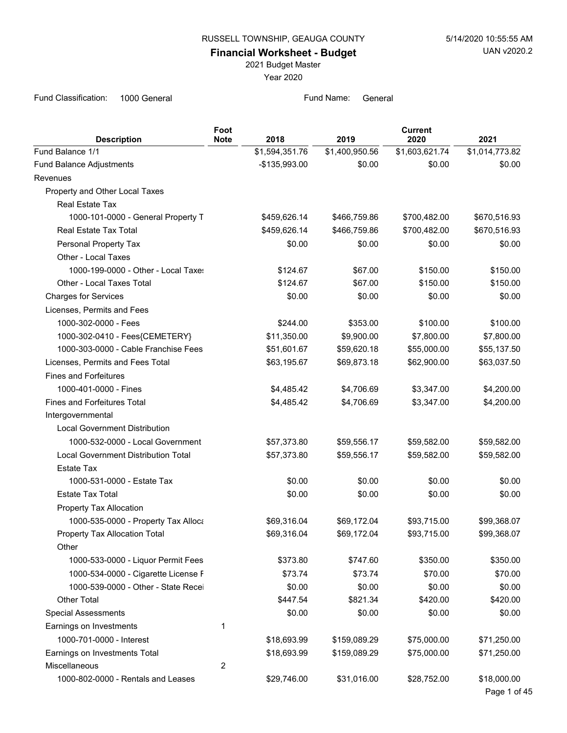**Financial Worksheet - Budget**

2021 Budget Master

Year 2020

| <b>Description</b>                   | Foot<br><b>Note</b> | 2018           | 2019           | <b>Current</b><br>2020 | 2021           |
|--------------------------------------|---------------------|----------------|----------------|------------------------|----------------|
| Fund Balance 1/1                     |                     | \$1,594,351.76 | \$1,400,950.56 | \$1,603,621.74         | \$1,014,773.82 |
| Fund Balance Adjustments             |                     | -\$135,993.00  | \$0.00         | \$0.00                 | \$0.00         |
| Revenues                             |                     |                |                |                        |                |
| Property and Other Local Taxes       |                     |                |                |                        |                |
| Real Estate Tax                      |                     |                |                |                        |                |
| 1000-101-0000 - General Property T   |                     | \$459,626.14   | \$466,759.86   | \$700,482.00           | \$670,516.93   |
| Real Estate Tax Total                |                     | \$459,626.14   | \$466,759.86   | \$700,482.00           | \$670,516.93   |
| Personal Property Tax                |                     | \$0.00         | \$0.00         | \$0.00                 | \$0.00         |
| Other - Local Taxes                  |                     |                |                |                        |                |
| 1000-199-0000 - Other - Local Taxes  |                     | \$124.67       | \$67.00        | \$150.00               | \$150.00       |
| Other - Local Taxes Total            |                     | \$124.67       | \$67.00        | \$150.00               | \$150.00       |
| <b>Charges for Services</b>          |                     | \$0.00         | \$0.00         | \$0.00                 | \$0.00         |
| Licenses, Permits and Fees           |                     |                |                |                        |                |
| 1000-302-0000 - Fees                 |                     | \$244.00       | \$353.00       | \$100.00               | \$100.00       |
| 1000-302-0410 - Fees{CEMETERY}       |                     | \$11,350.00    | \$9,900.00     | \$7,800.00             | \$7,800.00     |
| 1000-303-0000 - Cable Franchise Fees |                     | \$51,601.67    | \$59,620.18    | \$55,000.00            | \$55,137.50    |
| Licenses, Permits and Fees Total     |                     | \$63,195.67    | \$69,873.18    | \$62,900.00            | \$63,037.50    |
| <b>Fines and Forfeitures</b>         |                     |                |                |                        |                |
| 1000-401-0000 - Fines                |                     | \$4.485.42     | \$4,706.69     | \$3,347.00             | \$4,200.00     |
| Fines and Forfeitures Total          |                     | \$4,485.42     | \$4,706.69     | \$3,347.00             | \$4,200.00     |
| Intergovernmental                    |                     |                |                |                        |                |
| <b>Local Government Distribution</b> |                     |                |                |                        |                |
| 1000-532-0000 - Local Government     |                     | \$57,373.80    | \$59,556.17    | \$59,582.00            | \$59,582.00    |
| Local Government Distribution Total  |                     | \$57,373.80    | \$59,556.17    | \$59,582.00            | \$59,582.00    |
| <b>Estate Tax</b>                    |                     |                |                |                        |                |
| 1000-531-0000 - Estate Tax           |                     | \$0.00         | \$0.00         | \$0.00                 | \$0.00         |
| <b>Estate Tax Total</b>              |                     | \$0.00         | \$0.00         | \$0.00                 | \$0.00         |
| Property Tax Allocation              |                     |                |                |                        |                |
| 1000-535-0000 - Property Tax Alloca  |                     | \$69,316.04    | \$69,172.04    | \$93,715.00            | \$99,368.07    |
| Property Tax Allocation Total        |                     | \$69,316.04    | \$69,172.04    | \$93,715.00            | \$99,368.07    |
| Other                                |                     |                |                |                        |                |
| 1000-533-0000 - Liquor Permit Fees   |                     | \$373.80       | \$747.60       | \$350.00               | \$350.00       |
| 1000-534-0000 - Cigarette License F  |                     | \$73.74        | \$73.74        | \$70.00                | \$70.00        |
| 1000-539-0000 - Other - State Recei  |                     | \$0.00         | \$0.00         | \$0.00                 | \$0.00         |
| <b>Other Total</b>                   |                     | \$447.54       | \$821.34       | \$420.00               | \$420.00       |
| <b>Special Assessments</b>           |                     | \$0.00         | \$0.00         | \$0.00                 | \$0.00         |
| Earnings on Investments              | 1                   |                |                |                        |                |
| 1000-701-0000 - Interest             |                     | \$18,693.99    | \$159,089.29   | \$75,000.00            | \$71,250.00    |
| Earnings on Investments Total        |                     | \$18,693.99    | \$159,089.29   | \$75,000.00            | \$71,250.00    |
| Miscellaneous                        | $\overline{2}$      |                |                |                        |                |
| 1000-802-0000 - Rentals and Leases   |                     | \$29,746.00    | \$31,016.00    | \$28,752.00            | \$18,000.00    |
|                                      |                     |                |                |                        | Page 1 of 45   |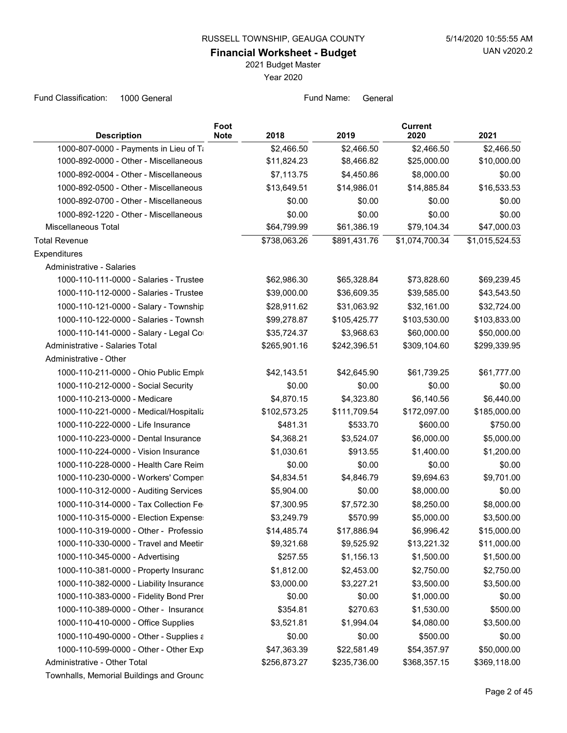**Financial Worksheet - Budget**

2021 Budget Master

Year 2020

| <b>Description</b>                       | Foot<br><b>Note</b> | 2018         | 2019         | <b>Current</b><br>2020 | 2021           |
|------------------------------------------|---------------------|--------------|--------------|------------------------|----------------|
| 1000-807-0000 - Payments in Lieu of Ti   |                     | \$2,466.50   | \$2,466.50   | \$2,466.50             | \$2,466.50     |
| 1000-892-0000 - Other - Miscellaneous    |                     | \$11,824.23  | \$8,466.82   | \$25,000.00            | \$10,000.00    |
| 1000-892-0004 - Other - Miscellaneous    |                     | \$7,113.75   | \$4,450.86   | \$8,000.00             | \$0.00         |
| 1000-892-0500 - Other - Miscellaneous    |                     | \$13,649.51  | \$14,986.01  | \$14,885.84            | \$16,533.53    |
| 1000-892-0700 - Other - Miscellaneous    |                     | \$0.00       | \$0.00       | \$0.00                 | \$0.00         |
| 1000-892-1220 - Other - Miscellaneous    |                     | \$0.00       | \$0.00       | \$0.00                 | \$0.00         |
| Miscellaneous Total                      |                     | \$64,799.99  | \$61,386.19  | \$79,104.34            | \$47,000.03    |
| <b>Total Revenue</b>                     |                     | \$738,063.26 | \$891,431.76 | \$1,074,700.34         | \$1,015,524.53 |
| Expenditures                             |                     |              |              |                        |                |
| Administrative - Salaries                |                     |              |              |                        |                |
| 1000-110-111-0000 - Salaries - Trustee   |                     | \$62,986.30  | \$65,328.84  | \$73,828.60            | \$69,239.45    |
| 1000-110-112-0000 - Salaries - Trustee   |                     | \$39,000.00  | \$36,609.35  | \$39,585.00            | \$43,543.50    |
| 1000-110-121-0000 - Salary - Township    |                     | \$28,911.62  | \$31,063.92  | \$32,161.00            | \$32,724.00    |
| 1000-110-122-0000 - Salaries - Townsh    |                     | \$99,278.87  | \$105,425.77 | \$103,530.00           | \$103,833.00   |
| 1000-110-141-0000 - Salary - Legal Cor   |                     | \$35,724.37  | \$3,968.63   | \$60,000.00            | \$50,000.00    |
| Administrative - Salaries Total          |                     | \$265,901.16 | \$242,396.51 | \$309,104.60           | \$299,339.95   |
| Administrative - Other                   |                     |              |              |                        |                |
| 1000-110-211-0000 - Ohio Public Emplo    |                     | \$42,143.51  | \$42,645.90  | \$61,739.25            | \$61,777.00    |
| 1000-110-212-0000 - Social Security      |                     | \$0.00       | \$0.00       | \$0.00                 | \$0.00         |
| 1000-110-213-0000 - Medicare             |                     | \$4,870.15   | \$4,323.80   | \$6,140.56             | \$6,440.00     |
| 1000-110-221-0000 - Medical/Hospitaliz   |                     | \$102,573.25 | \$111,709.54 | \$172,097.00           | \$185,000.00   |
| 1000-110-222-0000 - Life Insurance       |                     | \$481.31     | \$533.70     | \$600.00               | \$750.00       |
| 1000-110-223-0000 - Dental Insurance     |                     | \$4,368.21   | \$3,524.07   | \$6,000.00             | \$5,000.00     |
| 1000-110-224-0000 - Vision Insurance     |                     | \$1,030.61   | \$913.55     | \$1,400.00             | \$1,200.00     |
| 1000-110-228-0000 - Health Care Reim     |                     | \$0.00       | \$0.00       | \$0.00                 | \$0.00         |
| 1000-110-230-0000 - Workers' Compen      |                     | \$4,834.51   | \$4,846.79   | \$9,694.63             | \$9,701.00     |
| 1000-110-312-0000 - Auditing Services    |                     | \$5,904.00   | \$0.00       | \$8,000.00             | \$0.00         |
| 1000-110-314-0000 - Tax Collection Fe    |                     | \$7,300.95   | \$7,572.30   | \$8,250.00             | \$8,000.00     |
| 1000-110-315-0000 - Election Expense:    |                     | \$3,249.79   | \$570.99     | \$5,000.00             | \$3,500.00     |
| 1000-110-319-0000 - Other - Professio    |                     | \$14,485.74  | \$17,886.94  | \$6,996.42             | \$15,000.00    |
| 1000-110-330-0000 - Travel and Meetin    |                     | \$9,321.68   | \$9,525.92   | \$13,221.32            | \$11,000.00    |
| 1000-110-345-0000 - Advertising          |                     | \$257.55     | \$1,156.13   | \$1,500.00             | \$1,500.00     |
| 1000-110-381-0000 - Property Insuranc    |                     | \$1,812.00   | \$2,453.00   | \$2,750.00             | \$2,750.00     |
| 1000-110-382-0000 - Liability Insurance  |                     | \$3,000.00   | \$3,227.21   | \$3,500.00             | \$3,500.00     |
| 1000-110-383-0000 - Fidelity Bond Prer   |                     | \$0.00       | \$0.00       | \$1,000.00             | \$0.00         |
| 1000-110-389-0000 - Other - Insurance    |                     | \$354.81     | \$270.63     | \$1,530.00             | \$500.00       |
| 1000-110-410-0000 - Office Supplies      |                     | \$3,521.81   | \$1,994.04   | \$4,080.00             | \$3,500.00     |
| 1000-110-490-0000 - Other - Supplies ε   |                     | \$0.00       | \$0.00       | \$500.00               | \$0.00         |
| 1000-110-599-0000 - Other - Other Exp    |                     | \$47,363.39  | \$22,581.49  | \$54,357.97            | \$50,000.00    |
| Administrative - Other Total             |                     | \$256,873.27 | \$235,736.00 | \$368,357.15           | \$369,118.00   |
| Townhalls, Memorial Buildings and Ground |                     |              |              |                        |                |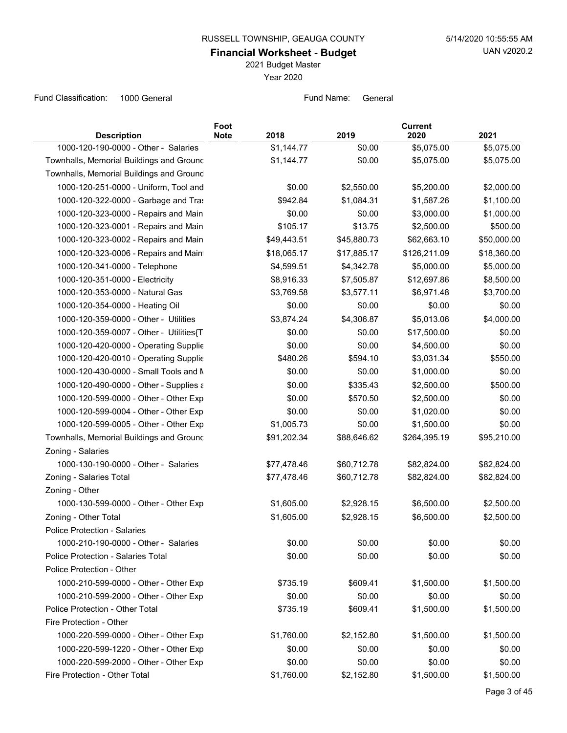**Financial Worksheet - Budget**

2021 Budget Master

Year 2020

| <b>Description</b>                       | Foot<br><b>Note</b><br>2018 | 2019        | <b>Current</b><br>2020 | 2021        |
|------------------------------------------|-----------------------------|-------------|------------------------|-------------|
| 1000-120-190-0000 - Other - Salaries     | \$1,144.77                  | \$0.00      | \$5,075.00             | \$5,075.00  |
| Townhalls, Memorial Buildings and Ground | \$1,144.77                  | \$0.00      | \$5,075.00             | \$5,075.00  |
| Townhalls, Memorial Buildings and Ground |                             |             |                        |             |
| 1000-120-251-0000 - Uniform, Tool and    | \$0.00                      | \$2,550.00  | \$5,200.00             | \$2,000.00  |
| 1000-120-322-0000 - Garbage and Tras     | \$942.84                    | \$1,084.31  | \$1,587.26             | \$1,100.00  |
| 1000-120-323-0000 - Repairs and Main     | \$0.00                      | \$0.00      | \$3,000.00             | \$1,000.00  |
| 1000-120-323-0001 - Repairs and Main     | \$105.17                    | \$13.75     | \$2,500.00             | \$500.00    |
| 1000-120-323-0002 - Repairs and Main     | \$49,443.51                 | \$45,880.73 | \$62,663.10            | \$50,000.00 |
| 1000-120-323-0006 - Repairs and Maint    | \$18,065.17                 | \$17,885.17 | \$126,211.09           | \$18,360.00 |
| 1000-120-341-0000 - Telephone            | \$4,599.51                  | \$4,342.78  | \$5,000.00             | \$5,000.00  |
| 1000-120-351-0000 - Electricity          | \$8,916.33                  | \$7,505.87  | \$12,697.86            | \$8,500.00  |
| 1000-120-353-0000 - Natural Gas          | \$3,769.58                  | \$3,577.11  | \$6,971.48             | \$3,700.00  |
| 1000-120-354-0000 - Heating Oil          | \$0.00                      | \$0.00      | \$0.00                 | \$0.00      |
| 1000-120-359-0000 - Other - Utilities    | \$3,874.24                  | \$4,306.87  | \$5,013.06             | \$4,000.00  |
| 1000-120-359-0007 - Other - Utilities{T  | \$0.00                      | \$0.00      | \$17,500.00            | \$0.00      |
| 1000-120-420-0000 - Operating Supplie    | \$0.00                      | \$0.00      | \$4,500.00             | \$0.00      |
| 1000-120-420-0010 - Operating Supplie    | \$480.26                    | \$594.10    | \$3,031.34             | \$550.00    |
| 1000-120-430-0000 - Small Tools and N    | \$0.00                      | \$0.00      | \$1,000.00             | \$0.00      |
| 1000-120-490-0000 - Other - Supplies ε   | \$0.00                      | \$335.43    | \$2,500.00             | \$500.00    |
| 1000-120-599-0000 - Other - Other Exp    | \$0.00                      | \$570.50    | \$2,500.00             | \$0.00      |
| 1000-120-599-0004 - Other - Other Exp    | \$0.00                      | \$0.00      | \$1,020.00             | \$0.00      |
| 1000-120-599-0005 - Other - Other Exp    | \$1,005.73                  | \$0.00      | \$1,500.00             | \$0.00      |
| Townhalls, Memorial Buildings and Ground | \$91,202.34                 | \$88,646.62 | \$264,395.19           | \$95,210.00 |
| Zoning - Salaries                        |                             |             |                        |             |
| 1000-130-190-0000 - Other - Salaries     | \$77,478.46                 | \$60,712.78 | \$82,824.00            | \$82,824.00 |
| Zoning - Salaries Total                  | \$77,478.46                 | \$60,712.78 | \$82,824.00            | \$82,824.00 |
| Zoning - Other                           |                             |             |                        |             |
| 1000-130-599-0000 - Other - Other Exp    | \$1,605.00                  | \$2,928.15  | \$6,500.00             | \$2,500.00  |
| Zoning - Other Total                     | \$1,605.00                  | \$2,928.15  | \$6,500.00             | \$2,500.00  |
| Police Protection - Salaries             |                             |             |                        |             |
| 1000-210-190-0000 - Other - Salaries     | \$0.00                      | \$0.00      | \$0.00                 | \$0.00      |
| Police Protection - Salaries Total       | \$0.00                      | \$0.00      | \$0.00                 | \$0.00      |
| Police Protection - Other                |                             |             |                        |             |
| 1000-210-599-0000 - Other - Other Exp    | \$735.19                    | \$609.41    | \$1,500.00             | \$1,500.00  |
| 1000-210-599-2000 - Other - Other Exp    | \$0.00                      | \$0.00      | \$0.00                 | \$0.00      |
| Police Protection - Other Total          | \$735.19                    | \$609.41    | \$1,500.00             | \$1,500.00  |
| Fire Protection - Other                  |                             |             |                        |             |
| 1000-220-599-0000 - Other - Other Exp    | \$1,760.00                  | \$2,152.80  | \$1,500.00             | \$1,500.00  |
| 1000-220-599-1220 - Other - Other Exp    | \$0.00                      | \$0.00      | \$0.00                 | \$0.00      |
| 1000-220-599-2000 - Other - Other Exp    | \$0.00                      | \$0.00      | \$0.00                 | \$0.00      |
| Fire Protection - Other Total            | \$1,760.00                  | \$2,152.80  | \$1,500.00             | \$1,500.00  |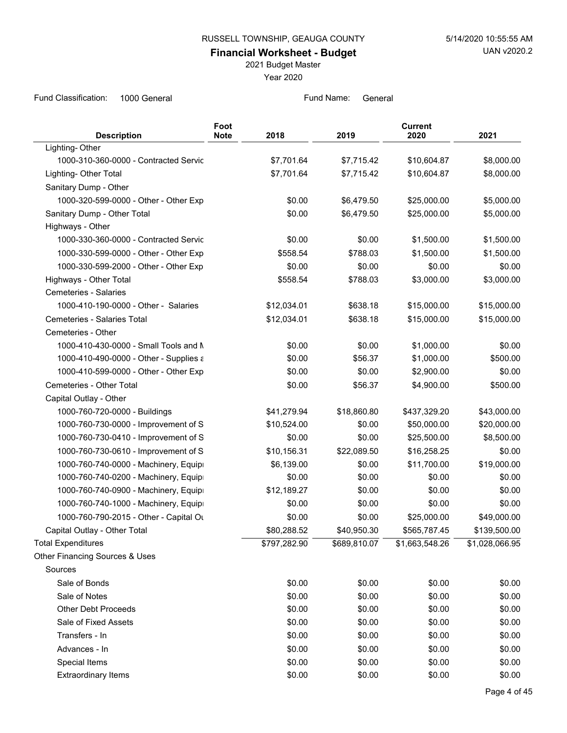**Financial Worksheet - Budget**

2021 Budget Master

Year 2020

| <b>Description</b>                     | Foot<br><b>Note</b> | 2018         | 2019         | <b>Current</b><br>2020 | 2021           |
|----------------------------------------|---------------------|--------------|--------------|------------------------|----------------|
| Lighting-Other                         |                     |              |              |                        |                |
| 1000-310-360-0000 - Contracted Servic  |                     | \$7,701.64   | \$7,715.42   | \$10,604.87            | \$8,000.00     |
| Lighting- Other Total                  |                     | \$7,701.64   | \$7,715.42   | \$10,604.87            | \$8,000.00     |
| Sanitary Dump - Other                  |                     |              |              |                        |                |
| 1000-320-599-0000 - Other - Other Exp  |                     | \$0.00       | \$6,479.50   | \$25,000.00            | \$5,000.00     |
| Sanitary Dump - Other Total            |                     | \$0.00       | \$6,479.50   | \$25,000.00            | \$5,000.00     |
| Highways - Other                       |                     |              |              |                        |                |
| 1000-330-360-0000 - Contracted Servic  |                     | \$0.00       | \$0.00       | \$1,500.00             | \$1,500.00     |
| 1000-330-599-0000 - Other - Other Exp  |                     | \$558.54     | \$788.03     | \$1,500.00             | \$1,500.00     |
| 1000-330-599-2000 - Other - Other Exp  |                     | \$0.00       | \$0.00       | \$0.00                 | \$0.00         |
| Highways - Other Total                 |                     | \$558.54     | \$788.03     | \$3,000.00             | \$3,000.00     |
| Cemeteries - Salaries                  |                     |              |              |                        |                |
| 1000-410-190-0000 - Other - Salaries   |                     | \$12,034.01  | \$638.18     | \$15,000.00            | \$15,000.00    |
| Cemeteries - Salaries Total            |                     | \$12,034.01  | \$638.18     | \$15,000.00            | \$15,000.00    |
| Cemeteries - Other                     |                     |              |              |                        |                |
| 1000-410-430-0000 - Small Tools and M  |                     | \$0.00       | \$0.00       | \$1,000.00             | \$0.00         |
| 1000-410-490-0000 - Other - Supplies ε |                     | \$0.00       | \$56.37      | \$1,000.00             | \$500.00       |
| 1000-410-599-0000 - Other - Other Exp  |                     | \$0.00       | \$0.00       | \$2,900.00             | \$0.00         |
| Cemeteries - Other Total               |                     | \$0.00       | \$56.37      | \$4,900.00             | \$500.00       |
| Capital Outlay - Other                 |                     |              |              |                        |                |
| 1000-760-720-0000 - Buildings          |                     | \$41,279.94  | \$18,860.80  | \$437,329.20           | \$43,000.00    |
| 1000-760-730-0000 - Improvement of S   |                     | \$10,524.00  | \$0.00       | \$50,000.00            | \$20,000.00    |
| 1000-760-730-0410 - Improvement of S   |                     | \$0.00       | \$0.00       | \$25,500.00            | \$8,500.00     |
| 1000-760-730-0610 - Improvement of S   |                     | \$10,156.31  | \$22,089.50  | \$16,258.25            | \$0.00         |
| 1000-760-740-0000 - Machinery, Equipi  |                     | \$6,139.00   | \$0.00       | \$11,700.00            | \$19,000.00    |
| 1000-760-740-0200 - Machinery, Equipr  |                     | \$0.00       | \$0.00       | \$0.00                 | \$0.00         |
| 1000-760-740-0900 - Machinery, Equipi  |                     | \$12,189.27  | \$0.00       | \$0.00                 | \$0.00         |
| 1000-760-740-1000 - Machinery, Equipi  |                     | \$0.00       | \$0.00       | \$0.00                 | \$0.00         |
| 1000-760-790-2015 - Other - Capital Ou |                     | \$0.00       | \$0.00       | \$25,000.00            | \$49,000.00    |
| Capital Outlay - Other Total           |                     | \$80,288.52  | \$40,950.30  | \$565,787.45           | \$139,500.00   |
| <b>Total Expenditures</b>              |                     | \$797,282.90 | \$689,810.07 | \$1,663,548.26         | \$1,028,066.95 |
| Other Financing Sources & Uses         |                     |              |              |                        |                |
| Sources                                |                     |              |              |                        |                |
| Sale of Bonds                          |                     | \$0.00       | \$0.00       | \$0.00                 | \$0.00         |
| Sale of Notes                          |                     | \$0.00       | \$0.00       | \$0.00                 | \$0.00         |
| <b>Other Debt Proceeds</b>             |                     | \$0.00       | \$0.00       | \$0.00                 | \$0.00         |
| Sale of Fixed Assets                   |                     | \$0.00       | \$0.00       | \$0.00                 | \$0.00         |
| Transfers - In                         |                     | \$0.00       | \$0.00       | \$0.00                 | \$0.00         |
| Advances - In                          |                     | \$0.00       | \$0.00       | \$0.00                 | \$0.00         |
| Special Items                          |                     | \$0.00       | \$0.00       | \$0.00                 | \$0.00         |
| Extraordinary Items                    |                     | \$0.00       | \$0.00       | \$0.00                 | \$0.00         |
|                                        |                     |              |              |                        |                |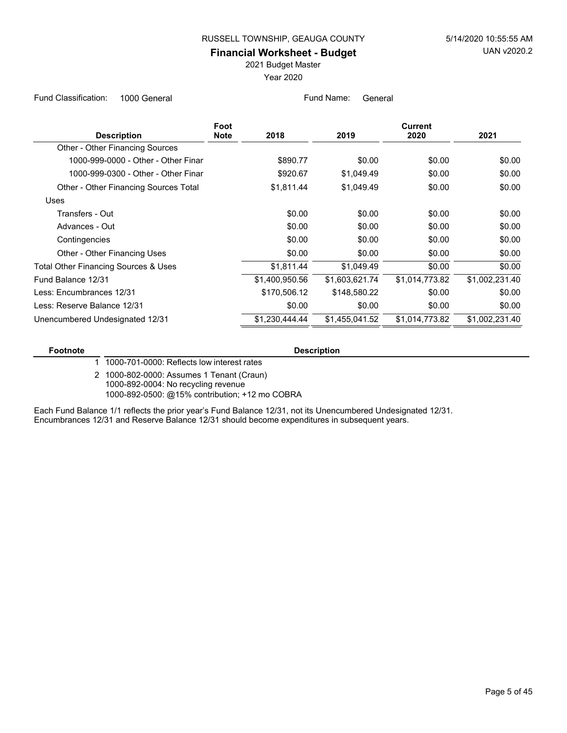#### **Financial Worksheet - Budget**

2021 Budget Master

Year 2020

Fund Classification: 1000 General Fund Name: General Fund Name: General

| Foot |                |                | <b>Current</b> |                |
|------|----------------|----------------|----------------|----------------|
|      |                |                |                | 2021           |
|      |                |                |                |                |
|      | \$890.77       | \$0.00         | \$0.00         | \$0.00         |
|      | \$920.67       | \$1,049.49     | \$0.00         | \$0.00         |
|      | \$1,811.44     | \$1,049.49     | \$0.00         | \$0.00         |
|      |                |                |                |                |
|      | \$0.00         | \$0.00         | \$0.00         | \$0.00         |
|      | \$0.00         | \$0.00         | \$0.00         | \$0.00         |
|      | \$0.00         | \$0.00         | \$0.00         | \$0.00         |
|      | \$0.00         | \$0.00         | \$0.00         | \$0.00         |
|      | \$1,811.44     | \$1,049.49     | \$0.00         | \$0.00         |
|      | \$1,400,950.56 | \$1,603,621.74 | \$1,014,773.82 | \$1,002,231.40 |
|      | \$170,506.12   | \$148,580.22   | \$0.00         | \$0.00         |
|      | \$0.00         | \$0.00         | \$0.00         | \$0.00         |
|      | \$1,230,444.44 | \$1,455,041.52 | \$1,014,773.82 | \$1,002,231.40 |
|      | <b>Note</b>    | 2018           | 2019           | 2020           |

#### **Footnote Description**

1 1000-701-0000: Reflects low interest rates

1000-802-0000: Assumes 1 Tenant (Craun) 2 1000-892-0004: No recycling revenue 1000-892-0500: @15% contribution; +12 mo COBRA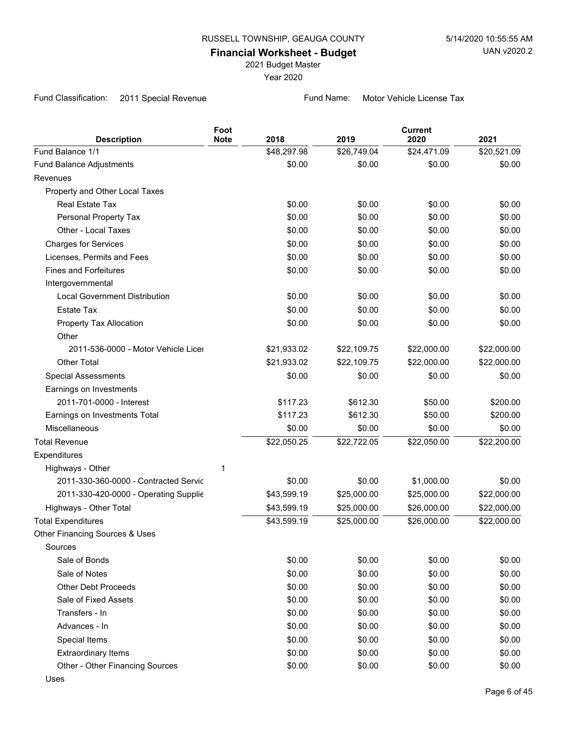2021 Budget Master

Year 2020

Fund Classification: 2011 Special Revenue Fund Name: Motor Vehicle License Tax

| <b>Description</b>                    | Foot<br><b>Note</b> | 2018        | 2019        | <b>Current</b><br>2020 | 2021        |
|---------------------------------------|---------------------|-------------|-------------|------------------------|-------------|
| Fund Balance 1/1                      |                     | \$48,297.98 | \$26,749.04 | \$24,471.09            | \$20,521.09 |
| <b>Fund Balance Adjustments</b>       |                     | \$0.00      | \$0.00      | \$0.00                 | \$0.00      |
| Revenues                              |                     |             |             |                        |             |
| Property and Other Local Taxes        |                     |             |             |                        |             |
| Real Estate Tax                       |                     | \$0.00      | \$0.00      | \$0.00                 | \$0.00      |
| Personal Property Tax                 |                     | \$0.00      | \$0.00      | \$0.00                 | \$0.00      |
| Other - Local Taxes                   |                     | \$0.00      | \$0.00      | \$0.00                 | \$0.00      |
| <b>Charges for Services</b>           |                     | \$0.00      | \$0.00      | \$0.00                 | \$0.00      |
| Licenses, Permits and Fees            |                     | \$0.00      | \$0.00      | \$0.00                 | \$0.00      |
| <b>Fines and Forfeitures</b>          |                     | \$0.00      | \$0.00      | \$0.00                 | \$0.00      |
| Intergovernmental                     |                     |             |             |                        |             |
| <b>Local Government Distribution</b>  |                     | \$0.00      | \$0.00      | \$0.00                 | \$0.00      |
| <b>Estate Tax</b>                     |                     | \$0.00      | \$0.00      | \$0.00                 | \$0.00      |
| Property Tax Allocation               |                     | \$0.00      | \$0.00      | \$0.00                 | \$0.00      |
| Other                                 |                     |             |             |                        |             |
| 2011-536-0000 - Motor Vehicle Licer   |                     | \$21,933.02 | \$22,109.75 | \$22,000.00            | \$22,000.00 |
| <b>Other Total</b>                    |                     | \$21,933.02 | \$22,109.75 | \$22,000.00            | \$22,000.00 |
| <b>Special Assessments</b>            |                     | \$0.00      | \$0.00      | \$0.00                 | \$0.00      |
| Earnings on Investments               |                     |             |             |                        |             |
| 2011-701-0000 - Interest              |                     | \$117.23    | \$612.30    | \$50.00                | \$200.00    |
| Earnings on Investments Total         |                     | \$117.23    | \$612.30    | \$50.00                | \$200.00    |
| Miscellaneous                         |                     | \$0.00      | \$0.00      | \$0.00                 | \$0.00      |
| <b>Total Revenue</b>                  |                     | \$22,050.25 | \$22,722.05 | \$22,050.00            | \$22,200.00 |
| Expenditures                          |                     |             |             |                        |             |
| Highways - Other                      | 1                   |             |             |                        |             |
| 2011-330-360-0000 - Contracted Servic |                     | \$0.00      | \$0.00      | \$1,000.00             | \$0.00      |
| 2011-330-420-0000 - Operating Supplie |                     | \$43,599.19 | \$25,000.00 | \$25,000.00            | \$22,000.00 |
| Highways - Other Total                |                     | \$43,599.19 | \$25,000.00 | \$26,000.00            | \$22,000.00 |
| <b>Total Expenditures</b>             |                     | \$43,599.19 | \$25,000.00 | \$26,000.00            | \$22,000.00 |
| Other Financing Sources & Uses        |                     |             |             |                        |             |
| Sources                               |                     |             |             |                        |             |
| Sale of Bonds                         |                     | \$0.00      | \$0.00      | \$0.00                 | \$0.00      |
| Sale of Notes                         |                     | \$0.00      | \$0.00      | \$0.00                 | \$0.00      |
| <b>Other Debt Proceeds</b>            |                     | \$0.00      | \$0.00      | \$0.00                 | \$0.00      |
| Sale of Fixed Assets                  |                     | \$0.00      | \$0.00      | \$0.00                 | \$0.00      |
| Transfers - In                        |                     | \$0.00      | \$0.00      | \$0.00                 | \$0.00      |
| Advances - In                         |                     | \$0.00      | \$0.00      | \$0.00                 | \$0.00      |
| Special Items                         |                     | \$0.00      | \$0.00      | \$0.00                 | \$0.00      |
| <b>Extraordinary Items</b>            |                     | \$0.00      | \$0.00      | \$0.00                 | \$0.00      |
| Other - Other Financing Sources       |                     | \$0.00      | \$0.00      | \$0.00                 | \$0.00      |
| Uses                                  |                     |             |             |                        |             |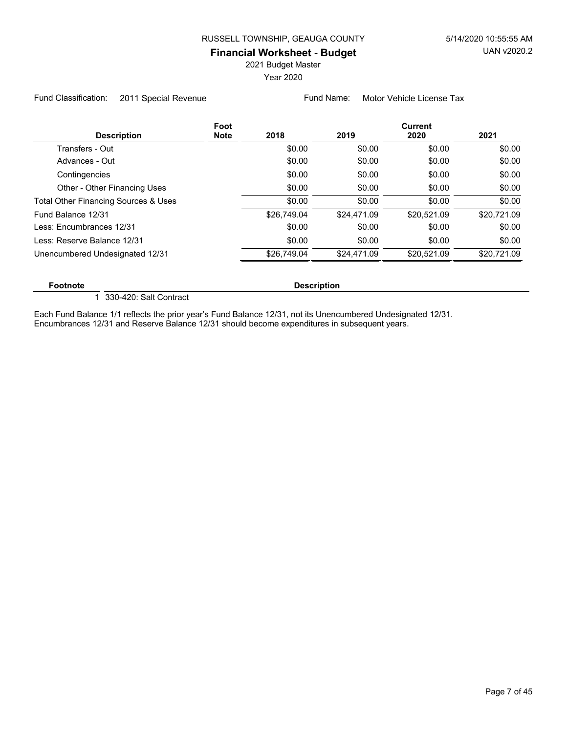2021 Budget Master

Year 2020

Fund Classification: 2011 Special Revenue Fund Name: Motor Vehicle License Tax

| <b>Description</b>                   | Foot<br><b>Note</b> | 2018        | 2019        | <b>Current</b><br>2020 | 2021        |
|--------------------------------------|---------------------|-------------|-------------|------------------------|-------------|
| Transfers - Out                      |                     | \$0.00      | \$0.00      | \$0.00                 | \$0.00      |
| Advances - Out                       |                     | \$0.00      | \$0.00      | \$0.00                 | \$0.00      |
| Contingencies                        |                     | \$0.00      | \$0.00      | \$0.00                 | \$0.00      |
| Other - Other Financing Uses         |                     | \$0.00      | \$0.00      | \$0.00                 | \$0.00      |
| Total Other Financing Sources & Uses |                     | \$0.00      | \$0.00      | \$0.00                 | \$0.00      |
| Fund Balance 12/31                   |                     | \$26,749.04 | \$24,471.09 | \$20,521.09            | \$20,721.09 |
| Less: Encumbrances 12/31             |                     | \$0.00      | \$0.00      | \$0.00                 | \$0.00      |
| Less: Reserve Balance 12/31          |                     | \$0.00      | \$0.00      | \$0.00                 | \$0.00      |
| Unencumbered Undesignated 12/31      |                     | \$26.749.04 | \$24.471.09 | \$20,521.09            | \$20,721.09 |
|                                      |                     |             |             |                        |             |

#### **Footnote Description**

1 330-420: Salt Contract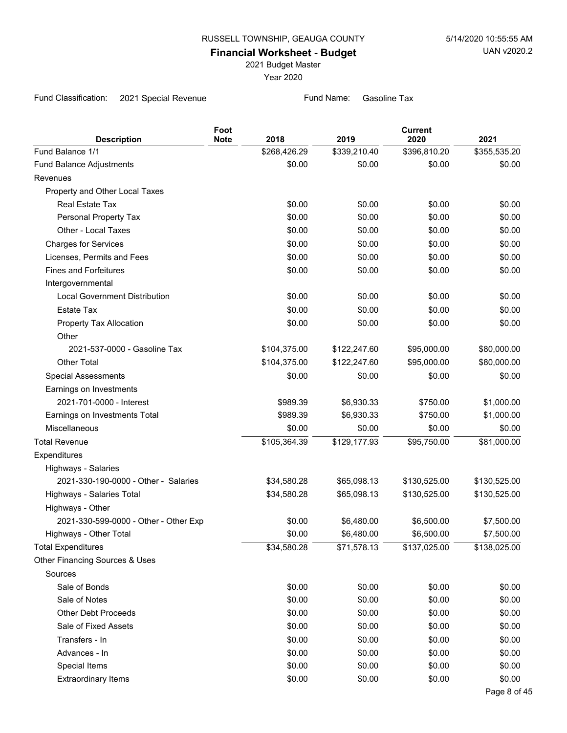2021 Budget Master

Year 2020

Fund Classification: 2021 Special Revenue Fund Name: Gasoline Tax

| <b>Description</b>                    | Foot<br><b>Note</b> | 2018         | 2019         | <b>Current</b><br>2020 | 2021         |
|---------------------------------------|---------------------|--------------|--------------|------------------------|--------------|
| Fund Balance 1/1                      |                     | \$268,426.29 | \$339,210.40 | \$396,810.20           | \$355,535.20 |
| Fund Balance Adjustments              |                     | \$0.00       | \$0.00       | \$0.00                 | \$0.00       |
| Revenues                              |                     |              |              |                        |              |
| Property and Other Local Taxes        |                     |              |              |                        |              |
| <b>Real Estate Tax</b>                |                     | \$0.00       | \$0.00       | \$0.00                 | \$0.00       |
| Personal Property Tax                 |                     | \$0.00       | \$0.00       | \$0.00                 | \$0.00       |
| Other - Local Taxes                   |                     | \$0.00       | \$0.00       | \$0.00                 | \$0.00       |
| <b>Charges for Services</b>           |                     | \$0.00       | \$0.00       | \$0.00                 | \$0.00       |
| Licenses, Permits and Fees            |                     | \$0.00       | \$0.00       | \$0.00                 | \$0.00       |
| <b>Fines and Forfeitures</b>          |                     | \$0.00       | \$0.00       | \$0.00                 | \$0.00       |
| Intergovernmental                     |                     |              |              |                        |              |
| <b>Local Government Distribution</b>  |                     | \$0.00       | \$0.00       | \$0.00                 | \$0.00       |
| <b>Estate Tax</b>                     |                     | \$0.00       | \$0.00       | \$0.00                 | \$0.00       |
| Property Tax Allocation               |                     | \$0.00       | \$0.00       | \$0.00                 | \$0.00       |
| Other                                 |                     |              |              |                        |              |
| 2021-537-0000 - Gasoline Tax          |                     | \$104,375.00 | \$122,247.60 | \$95,000.00            | \$80,000.00  |
| <b>Other Total</b>                    |                     | \$104,375.00 | \$122,247.60 | \$95,000.00            | \$80,000.00  |
| <b>Special Assessments</b>            |                     | \$0.00       | \$0.00       | \$0.00                 | \$0.00       |
| Earnings on Investments               |                     |              |              |                        |              |
| 2021-701-0000 - Interest              |                     | \$989.39     | \$6,930.33   | \$750.00               | \$1,000.00   |
| Earnings on Investments Total         |                     | \$989.39     | \$6,930.33   | \$750.00               | \$1,000.00   |
| <b>Miscellaneous</b>                  |                     | \$0.00       | \$0.00       | \$0.00                 | \$0.00       |
| <b>Total Revenue</b>                  |                     | \$105,364.39 | \$129,177.93 | \$95,750.00            | \$81,000.00  |
| Expenditures                          |                     |              |              |                        |              |
| Highways - Salaries                   |                     |              |              |                        |              |
| 2021-330-190-0000 - Other - Salaries  |                     | \$34,580.28  | \$65,098.13  | \$130,525.00           | \$130,525.00 |
| Highways - Salaries Total             |                     | \$34,580.28  | \$65,098.13  | \$130,525.00           | \$130,525.00 |
| Highways - Other                      |                     |              |              |                        |              |
| 2021-330-599-0000 - Other - Other Exp |                     | \$0.00       | \$6,480.00   | \$6,500.00             | \$7,500.00   |
| Highways - Other Total                |                     | \$0.00       | \$6,480.00   | \$6,500.00             | \$7,500.00   |
| <b>Total Expenditures</b>             |                     | \$34,580.28  | \$71,578.13  | \$137,025.00           | \$138,025.00 |
| Other Financing Sources & Uses        |                     |              |              |                        |              |
| Sources                               |                     |              |              |                        |              |
| Sale of Bonds                         |                     | \$0.00       | \$0.00       | \$0.00                 | \$0.00       |
| Sale of Notes                         |                     | \$0.00       | \$0.00       | \$0.00                 | \$0.00       |
| <b>Other Debt Proceeds</b>            |                     | \$0.00       | \$0.00       | \$0.00                 | \$0.00       |
| Sale of Fixed Assets                  |                     | \$0.00       | \$0.00       | \$0.00                 | \$0.00       |
| Transfers - In                        |                     | \$0.00       | \$0.00       | \$0.00                 | \$0.00       |
| Advances - In                         |                     | \$0.00       | \$0.00       | \$0.00                 | \$0.00       |
| Special Items                         |                     | \$0.00       | \$0.00       | \$0.00                 | \$0.00       |
| <b>Extraordinary Items</b>            |                     | \$0.00       | \$0.00       | \$0.00                 | \$0.00       |
|                                       |                     |              |              |                        | Page 8 of 45 |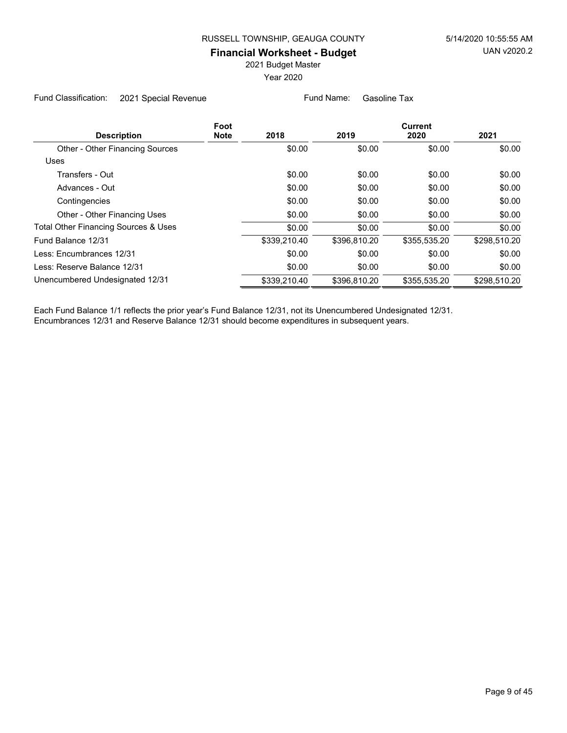2021 Budget Master

Year 2020

Fund Classification: 2021 Special Revenue Fund Name: Gasoline Tax

|                                        | Foot        |              |              | <b>Current</b> |              |  |
|----------------------------------------|-------------|--------------|--------------|----------------|--------------|--|
| <b>Description</b>                     | <b>Note</b> | 2018         | 2019         | 2020           | 2021         |  |
| <b>Other - Other Financing Sources</b> |             | \$0.00       | \$0.00       | \$0.00         | \$0.00       |  |
| <b>Uses</b>                            |             |              |              |                |              |  |
| Transfers - Out                        |             | \$0.00       | \$0.00       | \$0.00         | \$0.00       |  |
| Advances - Out                         |             | \$0.00       | \$0.00       | \$0.00         | \$0.00       |  |
| Contingencies                          |             | \$0.00       | \$0.00       | \$0.00         | \$0.00       |  |
| Other - Other Financing Uses           |             | \$0.00       | \$0.00       | \$0.00         | \$0.00       |  |
| Total Other Financing Sources & Uses   |             | \$0.00       | \$0.00       | \$0.00         | \$0.00       |  |
| Fund Balance 12/31                     |             | \$339,210.40 | \$396,810.20 | \$355,535.20   | \$298,510.20 |  |
| Less: Encumbrances 12/31               |             | \$0.00       | \$0.00       | \$0.00         | \$0.00       |  |
| Less: Reserve Balance 12/31            |             | \$0.00       | \$0.00       | \$0.00         | \$0.00       |  |
| Unencumbered Undesignated 12/31        |             | \$339,210.40 | \$396.810.20 | \$355.535.20   | \$298,510.20 |  |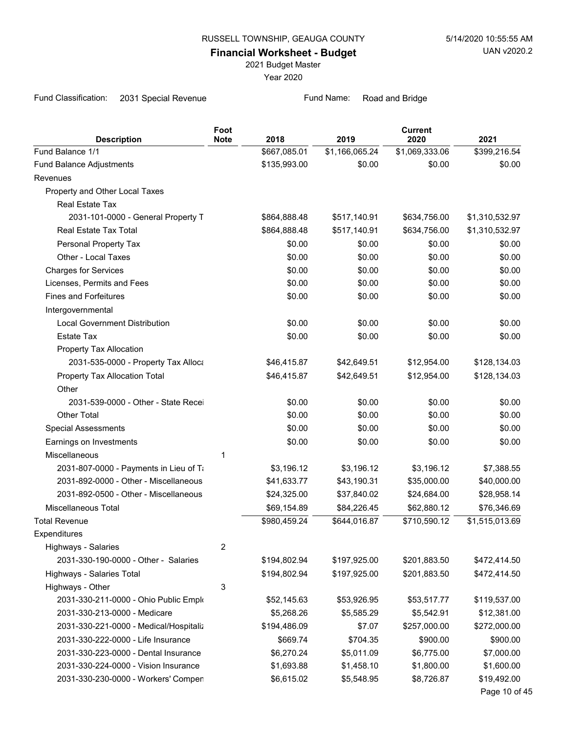2021 Budget Master

Year 2020

Fund Classification: 2031 Special Revenue Fund Name: Road and Bridge

| <b>Description</b>                     | Foot<br><b>Note</b> | 2018         | 2019           | <b>Current</b><br>2020 | 2021           |
|----------------------------------------|---------------------|--------------|----------------|------------------------|----------------|
| Fund Balance 1/1                       |                     | \$667,085.01 | \$1,166,065.24 | \$1,069,333.06         | \$399,216.54   |
| Fund Balance Adjustments               |                     | \$135,993.00 | \$0.00         | \$0.00                 | \$0.00         |
| Revenues                               |                     |              |                |                        |                |
| Property and Other Local Taxes         |                     |              |                |                        |                |
| Real Estate Tax                        |                     |              |                |                        |                |
| 2031-101-0000 - General Property T     |                     | \$864,888.48 | \$517,140.91   | \$634,756.00           | \$1,310,532.97 |
| Real Estate Tax Total                  |                     | \$864,888.48 | \$517,140.91   | \$634,756.00           | \$1,310,532.97 |
| Personal Property Tax                  |                     | \$0.00       | \$0.00         | \$0.00                 | \$0.00         |
| Other - Local Taxes                    |                     | \$0.00       | \$0.00         | \$0.00                 | \$0.00         |
| <b>Charges for Services</b>            |                     | \$0.00       | \$0.00         | \$0.00                 | \$0.00         |
| Licenses, Permits and Fees             |                     | \$0.00       | \$0.00         | \$0.00                 | \$0.00         |
| <b>Fines and Forfeitures</b>           |                     | \$0.00       | \$0.00         | \$0.00                 | \$0.00         |
| Intergovernmental                      |                     |              |                |                        |                |
| <b>Local Government Distribution</b>   |                     | \$0.00       | \$0.00         | \$0.00                 | \$0.00         |
| <b>Estate Tax</b>                      |                     | \$0.00       | \$0.00         | \$0.00                 | \$0.00         |
| Property Tax Allocation                |                     |              |                |                        |                |
| 2031-535-0000 - Property Tax Alloca    |                     | \$46,415.87  | \$42,649.51    | \$12,954.00            | \$128,134.03   |
| Property Tax Allocation Total          |                     | \$46,415.87  | \$42,649.51    | \$12,954.00            | \$128,134.03   |
| Other                                  |                     |              |                |                        |                |
| 2031-539-0000 - Other - State Recei    |                     | \$0.00       | \$0.00         | \$0.00                 | \$0.00         |
| <b>Other Total</b>                     |                     | \$0.00       | \$0.00         | \$0.00                 | \$0.00         |
| <b>Special Assessments</b>             |                     | \$0.00       | \$0.00         | \$0.00                 | \$0.00         |
| Earnings on Investments                |                     | \$0.00       | \$0.00         | \$0.00                 | \$0.00         |
| Miscellaneous                          | 1                   |              |                |                        |                |
| 2031-807-0000 - Payments in Lieu of Ti |                     | \$3,196.12   | \$3,196.12     | \$3,196.12             | \$7,388.55     |
| 2031-892-0000 - Other - Miscellaneous  |                     | \$41,633.77  | \$43,190.31    | \$35,000.00            | \$40,000.00    |
| 2031-892-0500 - Other - Miscellaneous  |                     | \$24,325.00  | \$37,840.02    | \$24,684.00            | \$28,958.14    |
| Miscellaneous Total                    |                     | \$69,154.89  | \$84,226.45    | \$62,880.12            | \$76,346.69    |
| <b>Total Revenue</b>                   |                     | \$980,459.24 | \$644,016.87   | \$710,590.12           | \$1,515,013.69 |
| Expenditures                           |                     |              |                |                        |                |
| Highways - Salaries                    | 2                   |              |                |                        |                |
| 2031-330-190-0000 - Other - Salaries   |                     | \$194,802.94 | \$197,925.00   | \$201,883.50           | \$472,414.50   |
| Highways - Salaries Total              |                     | \$194,802.94 | \$197,925.00   | \$201,883.50           | \$472,414.50   |
| Highways - Other                       | 3                   |              |                |                        |                |
| 2031-330-211-0000 - Ohio Public Emplo  |                     | \$52,145.63  | \$53,926.95    | \$53,517.77            | \$119,537.00   |
| 2031-330-213-0000 - Medicare           |                     | \$5,268.26   | \$5,585.29     | \$5,542.91             | \$12,381.00    |
| 2031-330-221-0000 - Medical/Hospitaliz |                     | \$194,486.09 | \$7.07         | \$257,000.00           | \$272,000.00   |
| 2031-330-222-0000 - Life Insurance     |                     | \$669.74     | \$704.35       | \$900.00               | \$900.00       |
| 2031-330-223-0000 - Dental Insurance   |                     | \$6,270.24   | \$5,011.09     | \$6,775.00             | \$7,000.00     |
| 2031-330-224-0000 - Vision Insurance   |                     | \$1,693.88   | \$1,458.10     | \$1,800.00             | \$1,600.00     |
| 2031-330-230-0000 - Workers' Compen    |                     | \$6,615.02   | \$5,548.95     | \$8,726.87             | \$19,492.00    |
|                                        |                     |              |                |                        | Page 10 of 45  |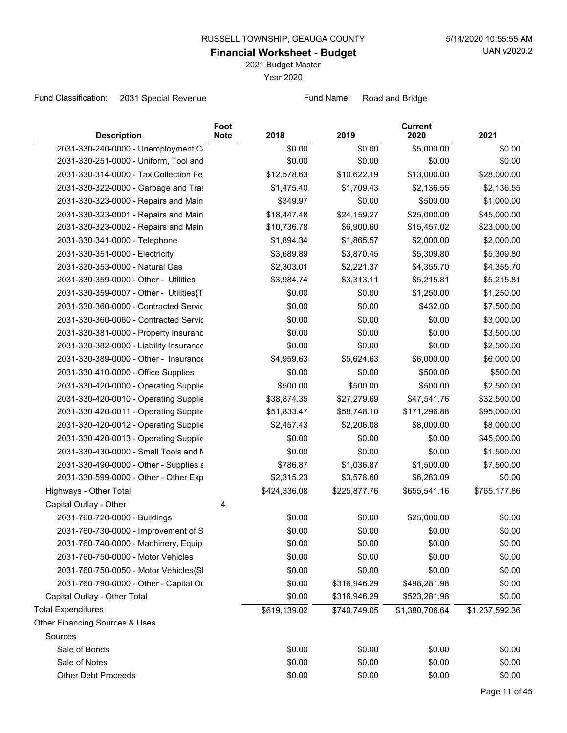2021 Budget Master

Year 2020

Fund Classification: 2031 Special Revenue Fund Name: Road and Bridge

| <b>Description</b>                      | Foot<br><b>Note</b> | 2018         | 2019         | <b>Current</b><br>2020 | 2021           |
|-----------------------------------------|---------------------|--------------|--------------|------------------------|----------------|
| 2031-330-240-0000 - Unemployment Co     |                     | \$0.00       | \$0.00       | \$5,000.00             | \$0.00         |
| 2031-330-251-0000 - Uniform, Tool and   |                     | \$0.00       | \$0.00       | \$0.00                 | \$0.00         |
| 2031-330-314-0000 - Tax Collection Fe   |                     | \$12,578.63  | \$10,622.19  | \$13,000.00            | \$28,000.00    |
| 2031-330-322-0000 - Garbage and Tras    |                     | \$1,475.40   | \$1,709.43   | \$2,136.55             | \$2,136.55     |
| 2031-330-323-0000 - Repairs and Main    |                     | \$349.97     | \$0.00       | \$500.00               | \$1,000.00     |
| 2031-330-323-0001 - Repairs and Main    |                     | \$18,447.48  | \$24,159.27  | \$25,000.00            | \$45,000.00    |
| 2031-330-323-0002 - Repairs and Main    |                     | \$10,736.78  | \$6,900.60   | \$15,457.02            | \$23,000.00    |
| 2031-330-341-0000 - Telephone           |                     | \$1,894.34   | \$1,865.57   | \$2,000.00             | \$2,000.00     |
| 2031-330-351-0000 - Electricity         |                     | \$3,689.89   | \$3,870.45   | \$5,309.80             | \$5,309.80     |
| 2031-330-353-0000 - Natural Gas         |                     | \$2,303.01   | \$2,221.37   | \$4,355.70             | \$4,355.70     |
| 2031-330-359-0000 - Other - Utilities   |                     | \$3,984.74   | \$3,313.11   | \$5,215.81             | \$5,215.81     |
| 2031-330-359-0007 - Other - Utilities{T |                     | \$0.00       | \$0.00       | \$1,250.00             | \$1,250.00     |
| 2031-330-360-0000 - Contracted Servic   |                     | \$0.00       | \$0.00       | \$432.00               | \$7,500.00     |
| 2031-330-360-0060 - Contracted Servic   |                     | \$0.00       | \$0.00       | \$0.00                 | \$3,000.00     |
| 2031-330-381-0000 - Property Insuranc   |                     | \$0.00       | \$0.00       | \$0.00                 | \$3,500.00     |
| 2031-330-382-0000 - Liability Insurance |                     | \$0.00       | \$0.00       | \$0.00                 | \$2,500.00     |
| 2031-330-389-0000 - Other - Insurance   |                     | \$4,959.63   | \$5,624.63   | \$6,000.00             | \$6,000.00     |
| 2031-330-410-0000 - Office Supplies     |                     | \$0.00       | \$0.00       | \$500.00               | \$500.00       |
| 2031-330-420-0000 - Operating Supplie   |                     | \$500.00     | \$500.00     | \$500.00               | \$2,500.00     |
| 2031-330-420-0010 - Operating Supplie   |                     | \$38,874.35  | \$27,279.69  | \$47,541.76            | \$32,500.00    |
| 2031-330-420-0011 - Operating Supplie   |                     | \$51,833.47  | \$58,748.10  | \$171,296.88           | \$95,000.00    |
| 2031-330-420-0012 - Operating Supplie   |                     | \$2,457.43   | \$2,206.08   | \$8,000.00             | \$8,000.00     |
| 2031-330-420-0013 - Operating Supplie   |                     | \$0.00       | \$0.00       | \$0.00                 | \$45,000.00    |
| 2031-330-430-0000 - Small Tools and N   |                     | \$0.00       | \$0.00       | \$0.00                 | \$1,500.00     |
| 2031-330-490-0000 - Other - Supplies a  |                     | \$786.87     | \$1,036.87   | \$1,500.00             | \$7,500.00     |
| 2031-330-599-0000 - Other - Other Exp   |                     | \$2,315.23   | \$3,578.60   | \$6,283.09             | \$0.00         |
| Highways - Other Total                  |                     | \$424,336.08 | \$225,877.76 | \$655,541.16           | \$765,177.86   |
| Capital Outlay - Other                  | 4                   |              |              |                        |                |
| 2031-760-720-0000 - Buildings           |                     | \$0.00       | \$0.00       | \$25,000.00            | \$0.00         |
| 2031-760-730-0000 - Improvement of S    |                     | \$0.00       | \$0.00       | \$0.00                 | \$0.00         |
| 2031-760-740-0000 - Machinery, Equipi   |                     | \$0.00       | \$0.00       | \$0.00                 | \$0.00         |
| 2031-760-750-0000 - Motor Vehicles      |                     | \$0.00       | \$0.00       | \$0.00                 | \$0.00         |
| 2031-760-750-0050 - Motor Vehicles{SI   |                     | \$0.00       | \$0.00       | \$0.00                 | \$0.00         |
| 2031-760-790-0000 - Other - Capital Ou  |                     | \$0.00       | \$316,946.29 | \$498,281.98           | \$0.00         |
| Capital Outlay - Other Total            |                     | \$0.00       | \$316,946.29 | \$523,281.98           | \$0.00         |
| <b>Total Expenditures</b>               |                     | \$619,139.02 | \$740,749.05 | \$1,380,706.64         | \$1,237,592.36 |
| Other Financing Sources & Uses          |                     |              |              |                        |                |
| Sources                                 |                     |              |              |                        |                |
| Sale of Bonds                           |                     | \$0.00       | \$0.00       | \$0.00                 | \$0.00         |
| Sale of Notes                           |                     | \$0.00       | \$0.00       | \$0.00                 | \$0.00         |
| <b>Other Debt Proceeds</b>              |                     | \$0.00       | \$0.00       | \$0.00                 | \$0.00         |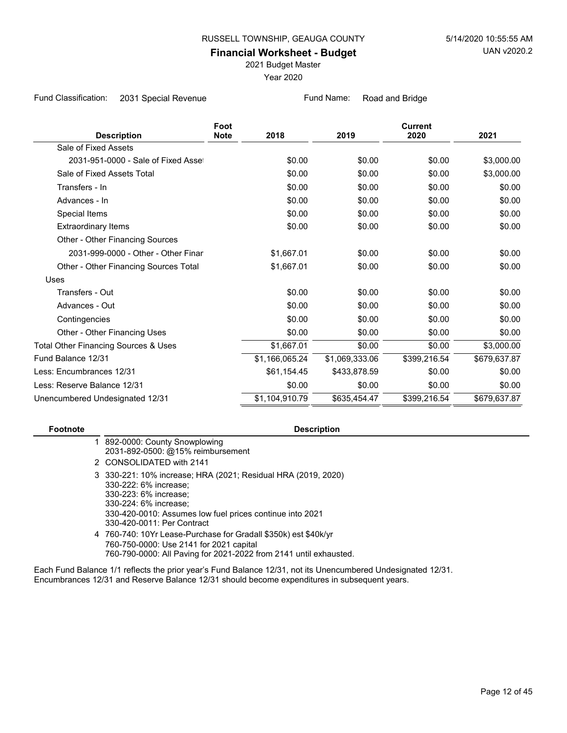2021 Budget Master

Year 2020

Fund Classification: 2031 Special Revenue Fund Name: Road and Bridge

| <b>Description</b>                              | Foot<br><b>Note</b> | 2018           | 2019           | <b>Current</b><br>2020 | 2021         |
|-------------------------------------------------|---------------------|----------------|----------------|------------------------|--------------|
| Sale of Fixed Assets                            |                     |                |                |                        |              |
|                                                 |                     |                |                |                        |              |
| 2031-951-0000 - Sale of Fixed Asset             |                     | \$0.00         | \$0.00         | \$0.00                 | \$3,000.00   |
| Sale of Fixed Assets Total                      |                     | \$0.00         | \$0.00         | \$0.00                 | \$3,000.00   |
| Transfers - In                                  |                     | \$0.00         | \$0.00         | \$0.00                 | \$0.00       |
| Advances - In                                   |                     | \$0.00         | \$0.00         | \$0.00                 | \$0.00       |
| Special Items                                   |                     | \$0.00         | \$0.00         | \$0.00                 | \$0.00       |
| <b>Extraordinary Items</b>                      |                     | \$0.00         | \$0.00         | \$0.00                 | \$0.00       |
| Other - Other Financing Sources                 |                     |                |                |                        |              |
| 2031-999-0000 - Other - Other Finar             |                     | \$1,667.01     | \$0.00         | \$0.00                 | \$0.00       |
| Other - Other Financing Sources Total           |                     | \$1,667.01     | \$0.00         | \$0.00                 | \$0.00       |
| Uses                                            |                     |                |                |                        |              |
| Transfers - Out                                 |                     | \$0.00         | \$0.00         | \$0.00                 | \$0.00       |
| Advances - Out                                  |                     | \$0.00         | \$0.00         | \$0.00                 | \$0.00       |
| Contingencies                                   |                     | \$0.00         | \$0.00         | \$0.00                 | \$0.00       |
| Other - Other Financing Uses                    |                     | \$0.00         | \$0.00         | \$0.00                 | \$0.00       |
| <b>Total Other Financing Sources &amp; Uses</b> |                     | \$1,667.01     | \$0.00         | \$0.00                 | \$3,000.00   |
| Fund Balance 12/31                              |                     | \$1,166,065.24 | \$1,069,333.06 | \$399,216.54           | \$679,637.87 |
| Less: Encumbrances 12/31                        |                     | \$61,154.45    | \$433,878.59   | \$0.00                 | \$0.00       |
| Less: Reserve Balance 12/31                     |                     | \$0.00         | \$0.00         | \$0.00                 | \$0.00       |
| Unencumbered Undesignated 12/31                 |                     | \$1,104,910.79 | \$635,454.47   | \$399,216.54           | \$679,637.87 |

#### **Footnote Description**

- 892-0000: County Snowplowing 1 2031-892-0500: @15% reimbursement
- 2 CONSOLIDATED with 2141
- 330-221: 10% increase; HRA (2021; Residual HRA (2019, 2020) 3 330-222: 6% increase; 330-223: 6% increase; 330-224: 6% increase; 330-420-0010: Assumes low fuel prices continue into 2021 330-420-0011: Per Contract
- 760-740: 10Yr Lease-Purchase for Gradall \$350k) est \$40k/yr 4 760-750-0000: Use 2141 for 2021 capital 760-790-0000: All Paving for 2021-2022 from 2141 until exhausted.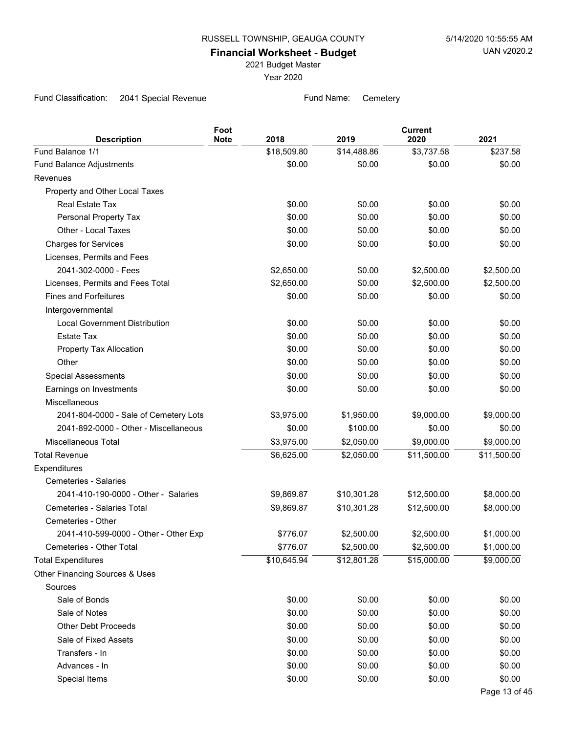2021 Budget Master

Year 2020

Fund Classification: 2041 Special Revenue Fund Name: Cemetery

| <b>Description</b>                    | Foot<br><b>Note</b> | 2018        | 2019        | <b>Current</b><br>2020 | 2021          |
|---------------------------------------|---------------------|-------------|-------------|------------------------|---------------|
| Fund Balance 1/1                      |                     | \$18,509.80 | \$14,488.86 | \$3,737.58             | \$237.58      |
| Fund Balance Adjustments              |                     | \$0.00      | \$0.00      | \$0.00                 | \$0.00        |
| Revenues                              |                     |             |             |                        |               |
| Property and Other Local Taxes        |                     |             |             |                        |               |
| Real Estate Tax                       |                     | \$0.00      | \$0.00      | \$0.00                 | \$0.00        |
| Personal Property Tax                 |                     | \$0.00      | \$0.00      | \$0.00                 | \$0.00        |
| Other - Local Taxes                   |                     | \$0.00      | \$0.00      | \$0.00                 | \$0.00        |
| <b>Charges for Services</b>           |                     | \$0.00      | \$0.00      | \$0.00                 | \$0.00        |
| Licenses, Permits and Fees            |                     |             |             |                        |               |
| 2041-302-0000 - Fees                  |                     | \$2,650.00  | \$0.00      | \$2,500.00             | \$2,500.00    |
| Licenses, Permits and Fees Total      |                     | \$2,650.00  | \$0.00      | \$2,500.00             | \$2,500.00    |
| <b>Fines and Forfeitures</b>          |                     | \$0.00      | \$0.00      | \$0.00                 | \$0.00        |
| Intergovernmental                     |                     |             |             |                        |               |
| <b>Local Government Distribution</b>  |                     | \$0.00      | \$0.00      | \$0.00                 | \$0.00        |
| Estate Tax                            |                     | \$0.00      | \$0.00      | \$0.00                 | \$0.00        |
| Property Tax Allocation               |                     | \$0.00      | \$0.00      | \$0.00                 | \$0.00        |
| Other                                 |                     | \$0.00      | \$0.00      | \$0.00                 | \$0.00        |
| <b>Special Assessments</b>            |                     | \$0.00      | \$0.00      | \$0.00                 | \$0.00        |
| Earnings on Investments               |                     | \$0.00      | \$0.00      | \$0.00                 | \$0.00        |
| Miscellaneous                         |                     |             |             |                        |               |
| 2041-804-0000 - Sale of Cemetery Lots |                     | \$3,975.00  | \$1,950.00  | \$9,000.00             | \$9,000.00    |
| 2041-892-0000 - Other - Miscellaneous |                     | \$0.00      | \$100.00    | \$0.00                 | \$0.00        |
| <b>Miscellaneous Total</b>            |                     | \$3,975.00  | \$2,050.00  | \$9,000.00             | \$9,000.00    |
| <b>Total Revenue</b>                  |                     | \$6,625.00  | \$2,050.00  | \$11,500.00            | \$11,500.00   |
| Expenditures                          |                     |             |             |                        |               |
| Cemeteries - Salaries                 |                     |             |             |                        |               |
| 2041-410-190-0000 - Other - Salaries  |                     | \$9,869.87  | \$10,301.28 | \$12,500.00            | \$8,000.00    |
| Cemeteries - Salaries Total           |                     | \$9,869.87  | \$10,301.28 | \$12,500.00            | \$8,000.00    |
| Cemeteries - Other                    |                     |             |             |                        |               |
| 2041-410-599-0000 - Other - Other Exp |                     | \$776.07    | \$2,500.00  | \$2,500.00             | \$1,000.00    |
| Cemeteries - Other Total              |                     | \$776.07    | \$2,500.00  | \$2,500.00             | \$1,000.00    |
| <b>Total Expenditures</b>             |                     | \$10,645.94 | \$12,801.28 | \$15,000.00            | \$9,000.00    |
| Other Financing Sources & Uses        |                     |             |             |                        |               |
| Sources                               |                     |             |             |                        |               |
| Sale of Bonds                         |                     | \$0.00      | \$0.00      | \$0.00                 | \$0.00        |
| Sale of Notes                         |                     | \$0.00      | \$0.00      | \$0.00                 | \$0.00        |
| <b>Other Debt Proceeds</b>            |                     | \$0.00      | \$0.00      | \$0.00                 | \$0.00        |
| Sale of Fixed Assets                  |                     | \$0.00      | \$0.00      | \$0.00                 | \$0.00        |
| Transfers - In                        |                     | \$0.00      | \$0.00      | \$0.00                 | \$0.00        |
| Advances - In                         |                     | \$0.00      | \$0.00      | \$0.00                 | \$0.00        |
| Special Items                         |                     | \$0.00      | \$0.00      | \$0.00                 | \$0.00        |
|                                       |                     |             |             |                        | Page 13 of 45 |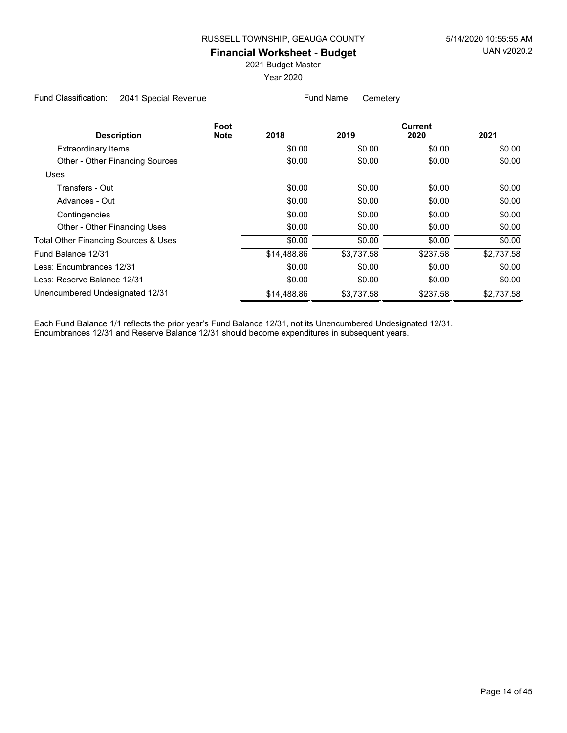2021 Budget Master

Year 2020

Fund Classification: 2041 Special Revenue Fund Name: Cemetery

|             |            | <b>Current</b> |            |  |
|-------------|------------|----------------|------------|--|
| 2018        | 2019       | 2020           | 2021       |  |
| \$0.00      | \$0.00     | \$0.00         | \$0.00     |  |
| \$0.00      | \$0.00     | \$0.00         | \$0.00     |  |
|             |            |                |            |  |
| \$0.00      | \$0.00     | \$0.00         | \$0.00     |  |
| \$0.00      | \$0.00     | \$0.00         | \$0.00     |  |
| \$0.00      | \$0.00     | \$0.00         | \$0.00     |  |
| \$0.00      | \$0.00     | \$0.00         | \$0.00     |  |
| \$0.00      | \$0.00     | \$0.00         | \$0.00     |  |
| \$14,488.86 | \$3,737.58 | \$237.58       | \$2,737.58 |  |
| \$0.00      | \$0.00     | \$0.00         | \$0.00     |  |
| \$0.00      | \$0.00     | \$0.00         | \$0.00     |  |
| \$14,488.86 | \$3.737.58 | \$237.58       | \$2.737.58 |  |
|             |            |                |            |  |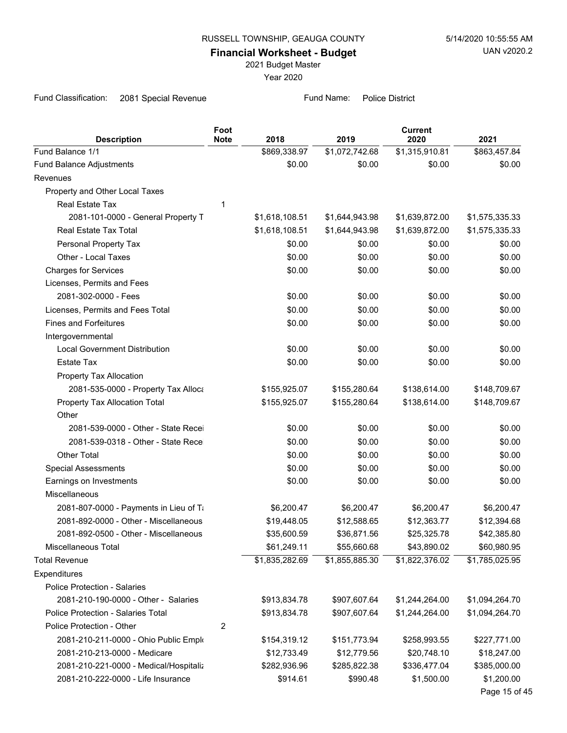2021 Budget Master

Year 2020

Fund Classification: 2081 Special Revenue Fund Name: Police District

| <b>Description</b>                     | Foot<br><b>Note</b> | 2018           | 2019           | <b>Current</b><br>2020 | 2021           |
|----------------------------------------|---------------------|----------------|----------------|------------------------|----------------|
| Fund Balance 1/1                       |                     | \$869,338.97   | \$1,072,742.68 | \$1,315,910.81         | \$863,457.84   |
| Fund Balance Adjustments               |                     | \$0.00         | \$0.00         | \$0.00                 | \$0.00         |
| Revenues                               |                     |                |                |                        |                |
| Property and Other Local Taxes         |                     |                |                |                        |                |
| Real Estate Tax                        | 1                   |                |                |                        |                |
| 2081-101-0000 - General Property T     |                     | \$1,618,108.51 | \$1,644,943.98 | \$1,639,872.00         | \$1,575,335.33 |
| Real Estate Tax Total                  |                     | \$1,618,108.51 | \$1,644,943.98 | \$1,639,872.00         | \$1,575,335.33 |
| Personal Property Tax                  |                     | \$0.00         | \$0.00         | \$0.00                 | \$0.00         |
| Other - Local Taxes                    |                     | \$0.00         | \$0.00         | \$0.00                 | \$0.00         |
| <b>Charges for Services</b>            |                     | \$0.00         | \$0.00         | \$0.00                 | \$0.00         |
| Licenses, Permits and Fees             |                     |                |                |                        |                |
| 2081-302-0000 - Fees                   |                     | \$0.00         | \$0.00         | \$0.00                 | \$0.00         |
| Licenses, Permits and Fees Total       |                     | \$0.00         | \$0.00         | \$0.00                 | \$0.00         |
| <b>Fines and Forfeitures</b>           |                     | \$0.00         | \$0.00         | \$0.00                 | \$0.00         |
| Intergovernmental                      |                     |                |                |                        |                |
| <b>Local Government Distribution</b>   |                     | \$0.00         | \$0.00         | \$0.00                 | \$0.00         |
| <b>Estate Tax</b>                      |                     | \$0.00         | \$0.00         | \$0.00                 | \$0.00         |
| Property Tax Allocation                |                     |                |                |                        |                |
| 2081-535-0000 - Property Tax Alloca    |                     | \$155,925.07   | \$155,280.64   | \$138,614.00           | \$148,709.67   |
| Property Tax Allocation Total          |                     | \$155,925.07   | \$155,280.64   | \$138,614.00           | \$148,709.67   |
| Other                                  |                     |                |                |                        |                |
| 2081-539-0000 - Other - State Recei    |                     | \$0.00         | \$0.00         | \$0.00                 | \$0.00         |
| 2081-539-0318 - Other - State Recei    |                     | \$0.00         | \$0.00         | \$0.00                 | \$0.00         |
| <b>Other Total</b>                     |                     | \$0.00         | \$0.00         | \$0.00                 | \$0.00         |
| <b>Special Assessments</b>             |                     | \$0.00         | \$0.00         | \$0.00                 | \$0.00         |
| Earnings on Investments                |                     | \$0.00         | \$0.00         | \$0.00                 | \$0.00         |
| Miscellaneous                          |                     |                |                |                        |                |
| 2081-807-0000 - Payments in Lieu of Ti |                     | \$6,200.47     | \$6,200.47     | \$6,200.47             | \$6,200.47     |
| 2081-892-0000 - Other - Miscellaneous  |                     | \$19,448.05    | \$12,588.65    | \$12,363.77            | \$12,394.68    |
| 2081-892-0500 - Other - Miscellaneous  |                     | \$35,600.59    | \$36,871.56    | \$25,325.78            | \$42,385.80    |
| Miscellaneous Total                    |                     | \$61,249.11    | \$55,660.68    | \$43,890.02            | \$60,980.95    |
| <b>Total Revenue</b>                   |                     | \$1,835,282.69 | \$1,855,885.30 | \$1,822,376.02         | \$1,785,025.95 |
| Expenditures                           |                     |                |                |                        |                |
| <b>Police Protection - Salaries</b>    |                     |                |                |                        |                |
| 2081-210-190-0000 - Other - Salaries   |                     | \$913,834.78   | \$907,607.64   | \$1,244,264.00         | \$1,094,264.70 |
| Police Protection - Salaries Total     |                     | \$913,834.78   | \$907,607.64   | \$1,244,264.00         | \$1,094,264.70 |
| Police Protection - Other              | 2                   |                |                |                        |                |
| 2081-210-211-0000 - Ohio Public Emplo  |                     | \$154,319.12   | \$151,773.94   | \$258,993.55           | \$227,771.00   |
| 2081-210-213-0000 - Medicare           |                     | \$12,733.49    | \$12,779.56    | \$20,748.10            | \$18,247.00    |
| 2081-210-221-0000 - Medical/Hospitaliz |                     | \$282,936.96   | \$285,822.38   | \$336,477.04           | \$385,000.00   |
| 2081-210-222-0000 - Life Insurance     |                     | \$914.61       | \$990.48       | \$1,500.00             | \$1,200.00     |
|                                        |                     |                |                |                        | Page 15 of 45  |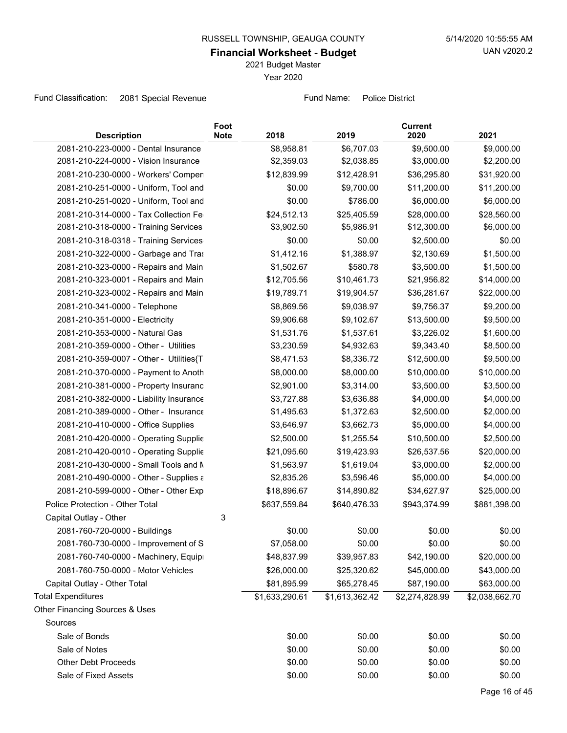2021 Budget Master

Year 2020

Fund Classification: 2081 Special Revenue Fund Name: Police District

| <b>Description</b>                      | Foot<br><b>Note</b> | 2018           | 2019           | <b>Current</b><br>2020 | 2021           |
|-----------------------------------------|---------------------|----------------|----------------|------------------------|----------------|
| 2081-210-223-0000 - Dental Insurance    |                     | \$8,958.81     | \$6,707.03     | \$9,500.00             | \$9,000.00     |
| 2081-210-224-0000 - Vision Insurance    |                     | \$2,359.03     | \$2,038.85     | \$3,000.00             | \$2,200.00     |
| 2081-210-230-0000 - Workers' Compen     |                     | \$12,839.99    | \$12,428.91    | \$36,295.80            | \$31,920.00    |
| 2081-210-251-0000 - Uniform, Tool and   |                     | \$0.00         | \$9,700.00     | \$11,200.00            | \$11,200.00    |
| 2081-210-251-0020 - Uniform, Tool and   |                     | \$0.00         | \$786.00       | \$6,000.00             | \$6,000.00     |
| 2081-210-314-0000 - Tax Collection Fe   |                     | \$24,512.13    | \$25,405.59    | \$28,000.00            | \$28,560.00    |
| 2081-210-318-0000 - Training Services   |                     | \$3,902.50     | \$5,986.91     | \$12,300.00            | \$6,000.00     |
| 2081-210-318-0318 - Training Services   |                     | \$0.00         | \$0.00         | \$2,500.00             | \$0.00         |
| 2081-210-322-0000 - Garbage and Tras    |                     | \$1,412.16     | \$1,388.97     | \$2,130.69             | \$1,500.00     |
| 2081-210-323-0000 - Repairs and Main    |                     | \$1,502.67     | \$580.78       | \$3,500.00             | \$1,500.00     |
| 2081-210-323-0001 - Repairs and Main    |                     | \$12,705.56    | \$10,461.73    | \$21,956.82            | \$14,000.00    |
| 2081-210-323-0002 - Repairs and Main    |                     | \$19,789.71    | \$19,904.57    | \$36,281.67            | \$22,000.00    |
| 2081-210-341-0000 - Telephone           |                     | \$8,869.56     | \$9,038.97     | \$9,756.37             | \$9,200.00     |
| 2081-210-351-0000 - Electricity         |                     | \$9,906.68     | \$9,102.67     | \$13,500.00            | \$9,500.00     |
| 2081-210-353-0000 - Natural Gas         |                     | \$1,531.76     | \$1,537.61     | \$3,226.02             | \$1,600.00     |
| 2081-210-359-0000 - Other - Utilities   |                     | \$3,230.59     | \$4,932.63     | \$9,343.40             | \$8,500.00     |
| 2081-210-359-0007 - Other - Utilities{T |                     | \$8,471.53     | \$8,336.72     | \$12,500.00            | \$9,500.00     |
| 2081-210-370-0000 - Payment to Anoth    |                     | \$8,000.00     | \$8,000.00     | \$10,000.00            | \$10,000.00    |
| 2081-210-381-0000 - Property Insuranc   |                     | \$2,901.00     | \$3,314.00     | \$3,500.00             | \$3,500.00     |
| 2081-210-382-0000 - Liability Insurance |                     | \$3,727.88     | \$3,636.88     | \$4,000.00             | \$4,000.00     |
| 2081-210-389-0000 - Other - Insurance   |                     | \$1,495.63     | \$1,372.63     | \$2,500.00             | \$2,000.00     |
| 2081-210-410-0000 - Office Supplies     |                     | \$3,646.97     | \$3,662.73     | \$5,000.00             | \$4,000.00     |
| 2081-210-420-0000 - Operating Supplie   |                     | \$2,500.00     | \$1,255.54     | \$10,500.00            | \$2,500.00     |
| 2081-210-420-0010 - Operating Supplie   |                     | \$21,095.60    | \$19,423.93    | \$26,537.56            | \$20,000.00    |
| 2081-210-430-0000 - Small Tools and N   |                     | \$1,563.97     | \$1,619.04     | \$3,000.00             | \$2,000.00     |
| 2081-210-490-0000 - Other - Supplies a  |                     | \$2,835.26     | \$3,596.46     | \$5,000.00             | \$4,000.00     |
| 2081-210-599-0000 - Other - Other Exp   |                     | \$18,896.67    | \$14,890.82    | \$34,627.97            | \$25,000.00    |
| Police Protection - Other Total         |                     | \$637,559.84   | \$640,476.33   | \$943,374.99           | \$881,398.00   |
| Capital Outlay - Other                  | 3                   |                |                |                        |                |
| 2081-760-720-0000 - Buildings           |                     | \$0.00         | \$0.00         | \$0.00                 | \$0.00         |
| 2081-760-730-0000 - Improvement of S    |                     | \$7,058.00     | \$0.00         | \$0.00                 | \$0.00         |
| 2081-760-740-0000 - Machinery, Equipi   |                     | \$48,837.99    | \$39,957.83    | \$42,190.00            | \$20,000.00    |
| 2081-760-750-0000 - Motor Vehicles      |                     | \$26,000.00    | \$25,320.62    | \$45,000.00            | \$43,000.00    |
| Capital Outlay - Other Total            |                     | \$81,895.99    | \$65,278.45    | \$87,190.00            | \$63,000.00    |
| <b>Total Expenditures</b>               |                     | \$1,633,290.61 | \$1,613,362.42 | \$2,274,828.99         | \$2,038,662.70 |
| Other Financing Sources & Uses          |                     |                |                |                        |                |
| Sources                                 |                     |                |                |                        |                |
| Sale of Bonds                           |                     | \$0.00         | \$0.00         | \$0.00                 | \$0.00         |
| Sale of Notes                           |                     | \$0.00         | \$0.00         | \$0.00                 | \$0.00         |
| <b>Other Debt Proceeds</b>              |                     | \$0.00         | \$0.00         | \$0.00                 | \$0.00         |
| Sale of Fixed Assets                    |                     | \$0.00         | \$0.00         | \$0.00                 | \$0.00         |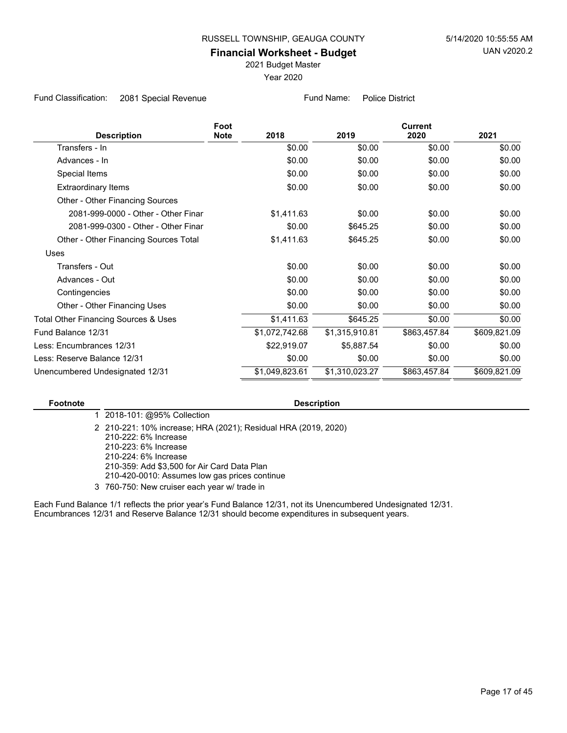2021 Budget Master

Year 2020

Fund Classification: 2081 Special Revenue Fund Name: Police District

|                                       | Foot        |                |                | <b>Current</b> |              |  |
|---------------------------------------|-------------|----------------|----------------|----------------|--------------|--|
| <b>Description</b>                    | <b>Note</b> | 2018           | 2019           | 2020           | 2021         |  |
| Transfers - In                        |             | \$0.00         | \$0.00         | \$0.00         | \$0.00       |  |
| Advances - In                         |             | \$0.00         | \$0.00         | \$0.00         | \$0.00       |  |
| Special Items                         |             | \$0.00         | \$0.00         | \$0.00         | \$0.00       |  |
| Extraordinary Items                   |             | \$0.00         | \$0.00         | \$0.00         | \$0.00       |  |
| Other - Other Financing Sources       |             |                |                |                |              |  |
| 2081-999-0000 - Other - Other Finar   |             | \$1,411.63     | \$0.00         | \$0.00         | \$0.00       |  |
| 2081-999-0300 - Other - Other Finar   |             | \$0.00         | \$645.25       | \$0.00         | \$0.00       |  |
| Other - Other Financing Sources Total |             | \$1,411.63     | \$645.25       | \$0.00         | \$0.00       |  |
| Uses                                  |             |                |                |                |              |  |
| Transfers - Out                       |             | \$0.00         | \$0.00         | \$0.00         | \$0.00       |  |
| Advances - Out                        |             | \$0.00         | \$0.00         | \$0.00         | \$0.00       |  |
| Contingencies                         |             | \$0.00         | \$0.00         | \$0.00         | \$0.00       |  |
| Other - Other Financing Uses          |             | \$0.00         | \$0.00         | \$0.00         | \$0.00       |  |
| Total Other Financing Sources & Uses  |             | \$1,411.63     | \$645.25       | \$0.00         | \$0.00       |  |
| Fund Balance 12/31                    |             | \$1,072,742.68 | \$1,315,910.81 | \$863,457.84   | \$609,821.09 |  |
| Less: Encumbrances 12/31              |             | \$22,919.07    | \$5,887.54     | \$0.00         | \$0.00       |  |
| Less: Reserve Balance 12/31           |             | \$0.00         | \$0.00         | \$0.00         | \$0.00       |  |
| Unencumbered Undesignated 12/31       |             | \$1,049,823.61 | \$1,310,023.27 | \$863,457.84   | \$609,821.09 |  |

#### **Footnote Description**

1 2018-101: @95% Collection

210-221: 10% increase; HRA (2021); Residual HRA (2019, 2020) 2 210-222: 6% Increase 210-223: 6% Increase 210-224: 6% Increase 210-359: Add \$3,500 for Air Card Data Plan 210-420-0010: Assumes low gas prices continue 3 760-750: New cruiser each year w/ trade in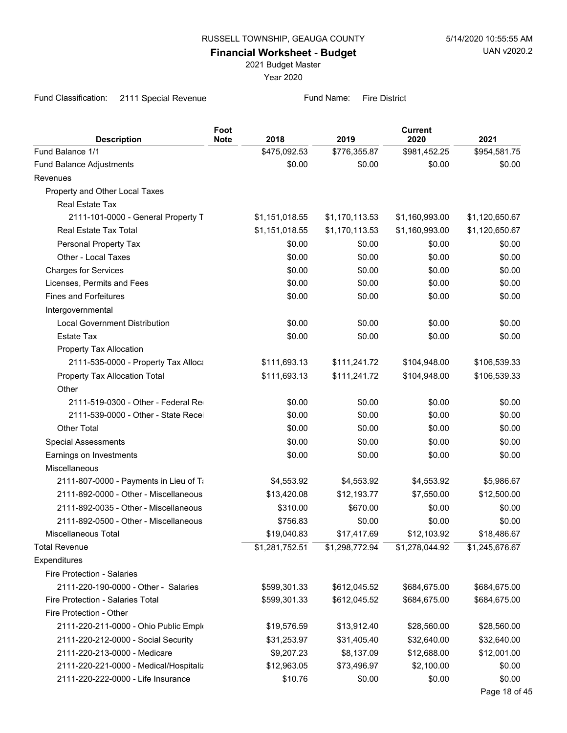2021 Budget Master

Year 2020

Fund Classification: 2111 Special Revenue Fund Name: Fire District

| <b>Description</b>                     | Foot<br><b>Note</b> | 2018           | 2019           | <b>Current</b><br>2020 | 2021           |
|----------------------------------------|---------------------|----------------|----------------|------------------------|----------------|
| Fund Balance 1/1                       |                     | \$475,092.53   | \$776,355.87   | \$981,452.25           | \$954,581.75   |
| Fund Balance Adjustments               |                     | \$0.00         | \$0.00         | \$0.00                 | \$0.00         |
| Revenues                               |                     |                |                |                        |                |
| Property and Other Local Taxes         |                     |                |                |                        |                |
| Real Estate Tax                        |                     |                |                |                        |                |
| 2111-101-0000 - General Property T     |                     | \$1,151,018.55 | \$1,170,113.53 | \$1,160,993.00         | \$1,120,650.67 |
| Real Estate Tax Total                  |                     | \$1,151,018.55 | \$1,170,113.53 | \$1,160,993.00         | \$1,120,650.67 |
| Personal Property Tax                  |                     | \$0.00         | \$0.00         | \$0.00                 | \$0.00         |
| Other - Local Taxes                    |                     | \$0.00         | \$0.00         | \$0.00                 | \$0.00         |
| <b>Charges for Services</b>            |                     | \$0.00         | \$0.00         | \$0.00                 | \$0.00         |
| Licenses, Permits and Fees             |                     | \$0.00         | \$0.00         | \$0.00                 | \$0.00         |
| <b>Fines and Forfeitures</b>           |                     | \$0.00         | \$0.00         | \$0.00                 | \$0.00         |
| Intergovernmental                      |                     |                |                |                        |                |
| <b>Local Government Distribution</b>   |                     | \$0.00         | \$0.00         | \$0.00                 | \$0.00         |
| <b>Estate Tax</b>                      |                     | \$0.00         | \$0.00         | \$0.00                 | \$0.00         |
| Property Tax Allocation                |                     |                |                |                        |                |
| 2111-535-0000 - Property Tax Alloca    |                     | \$111,693.13   | \$111,241.72   | \$104,948.00           | \$106,539.33   |
| Property Tax Allocation Total          |                     | \$111,693.13   | \$111,241.72   | \$104,948.00           | \$106,539.33   |
| Other                                  |                     |                |                |                        |                |
| 2111-519-0300 - Other - Federal Red    |                     | \$0.00         | \$0.00         | \$0.00                 | \$0.00         |
| 2111-539-0000 - Other - State Recei    |                     | \$0.00         | \$0.00         | \$0.00                 | \$0.00         |
| Other Total                            |                     | \$0.00         | \$0.00         | \$0.00                 | \$0.00         |
| <b>Special Assessments</b>             |                     | \$0.00         | \$0.00         | \$0.00                 | \$0.00         |
| Earnings on Investments                |                     | \$0.00         | \$0.00         | \$0.00                 | \$0.00         |
| Miscellaneous                          |                     |                |                |                        |                |
| 2111-807-0000 - Payments in Lieu of Ti |                     | \$4,553.92     | \$4,553.92     | \$4,553.92             | \$5,986.67     |
| 2111-892-0000 - Other - Miscellaneous  |                     | \$13,420.08    | \$12,193.77    | \$7,550.00             | \$12,500.00    |
| 2111-892-0035 - Other - Miscellaneous  |                     | \$310.00       | \$670.00       | \$0.00                 | \$0.00         |
| 2111-892-0500 - Other - Miscellaneous  |                     | \$756.83       | \$0.00         | \$0.00                 | \$0.00         |
| Miscellaneous Total                    |                     | \$19,040.83    | \$17,417.69    | \$12,103.92            | \$18,486.67    |
| <b>Total Revenue</b>                   |                     | \$1,281,752.51 | \$1,298,772.94 | \$1,278,044.92         | \$1,245,676.67 |
| Expenditures                           |                     |                |                |                        |                |
| Fire Protection - Salaries             |                     |                |                |                        |                |
| 2111-220-190-0000 - Other - Salaries   |                     | \$599,301.33   | \$612,045.52   | \$684,675.00           | \$684,675.00   |
| Fire Protection - Salaries Total       |                     | \$599,301.33   | \$612,045.52   | \$684,675.00           | \$684,675.00   |
| Fire Protection - Other                |                     |                |                |                        |                |
| 2111-220-211-0000 - Ohio Public Emplo  |                     | \$19,576.59    | \$13,912.40    | \$28,560.00            | \$28,560.00    |
| 2111-220-212-0000 - Social Security    |                     | \$31,253.97    | \$31,405.40    | \$32,640.00            | \$32,640.00    |
| 2111-220-213-0000 - Medicare           |                     | \$9,207.23     | \$8,137.09     | \$12,688.00            | \$12,001.00    |
| 2111-220-221-0000 - Medical/Hospitaliz |                     | \$12,963.05    | \$73,496.97    | \$2,100.00             | \$0.00         |
| 2111-220-222-0000 - Life Insurance     |                     | \$10.76        | \$0.00         | \$0.00                 | \$0.00         |
|                                        |                     |                |                |                        | Page 18 of 45  |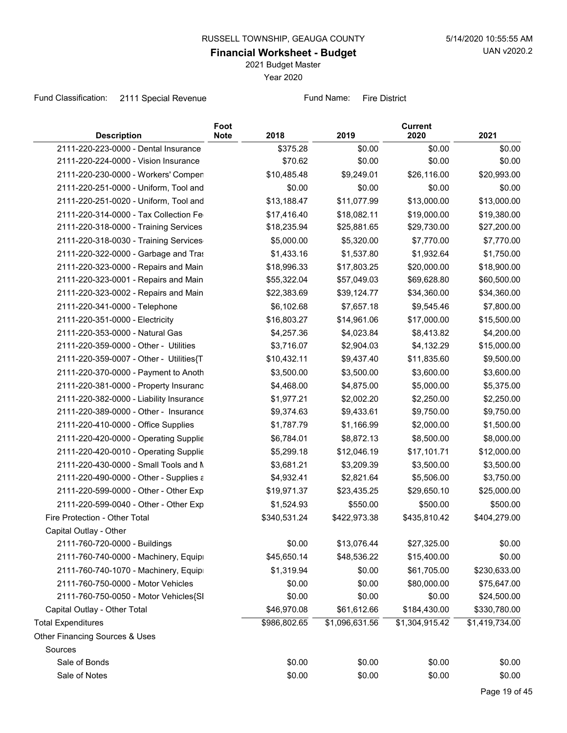2021 Budget Master

Year 2020

Fund Classification: 2111 Special Revenue Fund Name: Fire District

| <b>Description</b>                      | Foot<br><b>Note</b><br>2018 | 2019           | <b>Current</b><br>2020 | 2021           |
|-----------------------------------------|-----------------------------|----------------|------------------------|----------------|
| 2111-220-223-0000 - Dental Insurance    | \$375.28                    | \$0.00         | \$0.00                 | \$0.00         |
| 2111-220-224-0000 - Vision Insurance    | \$70.62                     | \$0.00         | \$0.00                 | \$0.00         |
| 2111-220-230-0000 - Workers' Compen     | \$10,485.48                 | \$9,249.01     | \$26,116.00            | \$20,993.00    |
| 2111-220-251-0000 - Uniform, Tool and   | \$0.00                      | \$0.00         | \$0.00                 | \$0.00         |
| 2111-220-251-0020 - Uniform, Tool and   | \$13,188.47                 | \$11,077.99    | \$13,000.00            | \$13,000.00    |
| 2111-220-314-0000 - Tax Collection Fe   | \$17,416.40                 | \$18,082.11    | \$19,000.00            | \$19,380.00    |
| 2111-220-318-0000 - Training Services   | \$18,235.94                 | \$25,881.65    | \$29,730.00            | \$27,200.00    |
| 2111-220-318-0030 - Training Services   | \$5,000.00                  | \$5,320.00     | \$7,770.00             | \$7,770.00     |
| 2111-220-322-0000 - Garbage and Tras    | \$1,433.16                  | \$1,537.80     | \$1,932.64             | \$1,750.00     |
| 2111-220-323-0000 - Repairs and Main    | \$18,996.33                 | \$17,803.25    | \$20,000.00            | \$18,900.00    |
| 2111-220-323-0001 - Repairs and Main    | \$55,322.04                 | \$57,049.03    | \$69,628.80            | \$60,500.00    |
| 2111-220-323-0002 - Repairs and Main    | \$22,383.69                 | \$39,124.77    | \$34,360.00            | \$34,360.00    |
| 2111-220-341-0000 - Telephone           | \$6,102.68                  | \$7,657.18     | \$9,545.46             | \$7,800.00     |
| 2111-220-351-0000 - Electricity         | \$16,803.27                 | \$14,961.06    | \$17,000.00            | \$15,500.00    |
| 2111-220-353-0000 - Natural Gas         | \$4,257.36                  | \$4,023.84     | \$8,413.82             | \$4,200.00     |
| 2111-220-359-0000 - Other - Utilities   | \$3,716.07                  | \$2,904.03     | \$4,132.29             | \$15,000.00    |
| 2111-220-359-0007 - Other - Utilities{T | \$10,432.11                 | \$9,437.40     | \$11,835.60            | \$9,500.00     |
| 2111-220-370-0000 - Payment to Anoth    | \$3,500.00                  | \$3,500.00     | \$3,600.00             | \$3,600.00     |
| 2111-220-381-0000 - Property Insuranc   | \$4,468.00                  | \$4,875.00     | \$5,000.00             | \$5,375.00     |
| 2111-220-382-0000 - Liability Insurance | \$1,977.21                  | \$2,002.20     | \$2,250.00             | \$2,250.00     |
| 2111-220-389-0000 - Other - Insurance   | \$9,374.63                  | \$9,433.61     | \$9,750.00             | \$9,750.00     |
| 2111-220-410-0000 - Office Supplies     | \$1,787.79                  | \$1,166.99     | \$2,000.00             | \$1,500.00     |
| 2111-220-420-0000 - Operating Supplie   | \$6,784.01                  | \$8,872.13     | \$8,500.00             | \$8,000.00     |
| 2111-220-420-0010 - Operating Supplie   | \$5,299.18                  | \$12,046.19    | \$17,101.71            | \$12,000.00    |
| 2111-220-430-0000 - Small Tools and N   | \$3,681.21                  | \$3,209.39     | \$3,500.00             | \$3,500.00     |
| 2111-220-490-0000 - Other - Supplies a  | \$4,932.41                  | \$2,821.64     | \$5,506.00             | \$3,750.00     |
| 2111-220-599-0000 - Other - Other Exp   | \$19,971.37                 | \$23,435.25    | \$29,650.10            | \$25,000.00    |
| 2111-220-599-0040 - Other - Other Exp   | \$1,524.93                  | \$550.00       | \$500.00               | \$500.00       |
| Fire Protection - Other Total           | \$340,531.24                | \$422,973.38   | \$435,810.42           | \$404,279.00   |
| Capital Outlay - Other                  |                             |                |                        |                |
| 2111-760-720-0000 - Buildings           | \$0.00                      | \$13,076.44    | \$27,325.00            | \$0.00         |
| 2111-760-740-0000 - Machinery, Equipi   | \$45,650.14                 | \$48,536.22    | \$15,400.00            | \$0.00         |
| 2111-760-740-1070 - Machinery, Equipr   | \$1,319.94                  | \$0.00         | \$61,705.00            | \$230,633.00   |
| 2111-760-750-0000 - Motor Vehicles      | \$0.00                      | \$0.00         | \$80,000.00            | \$75,647.00    |
| 2111-760-750-0050 - Motor Vehicles{SI   | \$0.00                      | \$0.00         | \$0.00                 | \$24,500.00    |
| Capital Outlay - Other Total            | \$46,970.08                 | \$61,612.66    | \$184,430.00           | \$330,780.00   |
| <b>Total Expenditures</b>               | \$986,802.65                | \$1,096,631.56 | \$1,304,915.42         | \$1,419,734.00 |
| Other Financing Sources & Uses          |                             |                |                        |                |
| Sources                                 |                             |                |                        |                |
| Sale of Bonds                           | \$0.00                      | \$0.00         | \$0.00                 | \$0.00         |
| Sale of Notes                           | \$0.00                      | \$0.00         | \$0.00                 | \$0.00         |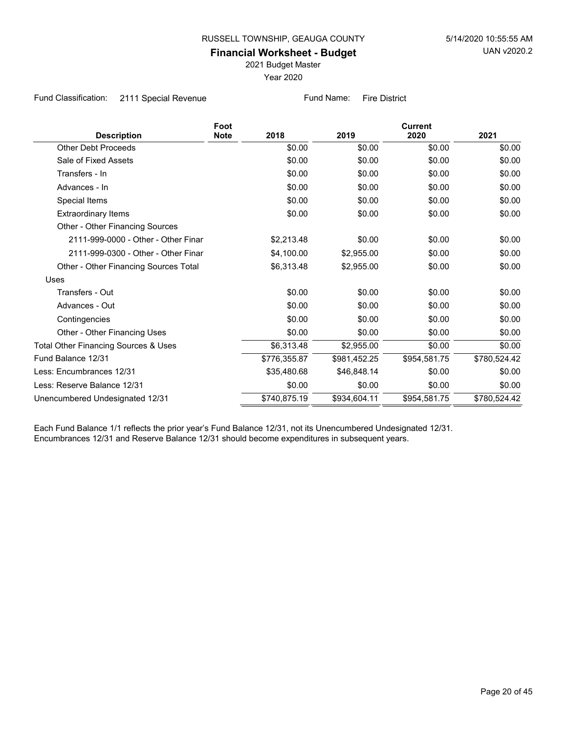2021 Budget Master

Year 2020

Fund Classification: 2111 Special Revenue Fund Name: Fire District

|                                       | Foot        |              |              | <b>Current</b> |              |
|---------------------------------------|-------------|--------------|--------------|----------------|--------------|
| <b>Description</b>                    | <b>Note</b> | 2018         | 2019         | 2020           | 2021         |
| <b>Other Debt Proceeds</b>            |             | \$0.00       | \$0.00       | \$0.00         | \$0.00       |
| Sale of Fixed Assets                  |             | \$0.00       | \$0.00       | \$0.00         | \$0.00       |
| Transfers - In                        |             | \$0.00       | \$0.00       | \$0.00         | \$0.00       |
| Advances - In                         |             | \$0.00       | \$0.00       | \$0.00         | \$0.00       |
| Special Items                         |             | \$0.00       | \$0.00       | \$0.00         | \$0.00       |
| <b>Extraordinary Items</b>            |             | \$0.00       | \$0.00       | \$0.00         | \$0.00       |
| Other - Other Financing Sources       |             |              |              |                |              |
| 2111-999-0000 - Other - Other Finar   |             | \$2,213.48   | \$0.00       | \$0.00         | \$0.00       |
| 2111-999-0300 - Other - Other Finar   |             | \$4,100.00   | \$2,955.00   | \$0.00         | \$0.00       |
| Other - Other Financing Sources Total |             | \$6,313.48   | \$2,955.00   | \$0.00         | \$0.00       |
| <b>Uses</b>                           |             |              |              |                |              |
| Transfers - Out                       |             | \$0.00       | \$0.00       | \$0.00         | \$0.00       |
| Advances - Out                        |             | \$0.00       | \$0.00       | \$0.00         | \$0.00       |
| Contingencies                         |             | \$0.00       | \$0.00       | \$0.00         | \$0.00       |
| Other - Other Financing Uses          |             | \$0.00       | \$0.00       | \$0.00         | \$0.00       |
| Total Other Financing Sources & Uses  |             | \$6,313.48   | \$2,955.00   | \$0.00         | \$0.00       |
| Fund Balance 12/31                    |             | \$776,355.87 | \$981,452.25 | \$954,581.75   | \$780,524.42 |
| Less: Encumbrances 12/31              |             | \$35,480.68  | \$46,848.14  | \$0.00         | \$0.00       |
| Less: Reserve Balance 12/31           |             | \$0.00       | \$0.00       | \$0.00         | \$0.00       |
| Unencumbered Undesignated 12/31       |             | \$740,875.19 | \$934,604.11 | \$954,581.75   | \$780,524.42 |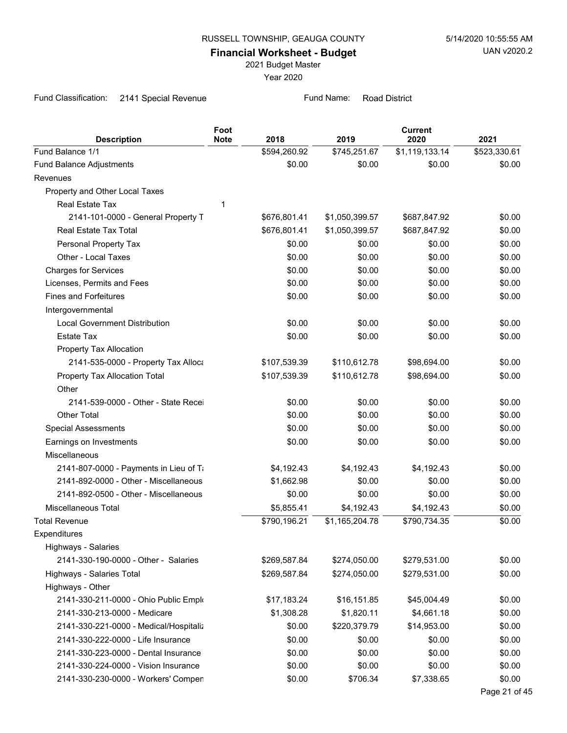2021 Budget Master

Year 2020

Fund Classification: 2141 Special Revenue Fund Name: Road District

| <b>Description</b>                     | Foot<br><b>Note</b> | 2018         | 2019           | <b>Current</b><br>2020 | 2021          |
|----------------------------------------|---------------------|--------------|----------------|------------------------|---------------|
| Fund Balance 1/1                       |                     | \$594,260.92 | \$745,251.67   | \$1,119,133.14         | \$523,330.61  |
| Fund Balance Adjustments               |                     | \$0.00       | \$0.00         | \$0.00                 | \$0.00        |
| Revenues                               |                     |              |                |                        |               |
| Property and Other Local Taxes         |                     |              |                |                        |               |
| <b>Real Estate Tax</b>                 | 1                   |              |                |                        |               |
| 2141-101-0000 - General Property T     |                     | \$676,801.41 | \$1,050,399.57 | \$687,847.92           | \$0.00        |
| Real Estate Tax Total                  |                     | \$676,801.41 | \$1,050,399.57 | \$687,847.92           | \$0.00        |
| Personal Property Tax                  |                     | \$0.00       | \$0.00         | \$0.00                 | \$0.00        |
| Other - Local Taxes                    |                     | \$0.00       | \$0.00         | \$0.00                 | \$0.00        |
| <b>Charges for Services</b>            |                     | \$0.00       | \$0.00         | \$0.00                 | \$0.00        |
| Licenses, Permits and Fees             |                     | \$0.00       | \$0.00         | \$0.00                 | \$0.00        |
| <b>Fines and Forfeitures</b>           |                     | \$0.00       | \$0.00         | \$0.00                 | \$0.00        |
| Intergovernmental                      |                     |              |                |                        |               |
| <b>Local Government Distribution</b>   |                     | \$0.00       | \$0.00         | \$0.00                 | \$0.00        |
| <b>Estate Tax</b>                      |                     | \$0.00       | \$0.00         | \$0.00                 | \$0.00        |
| Property Tax Allocation                |                     |              |                |                        |               |
| 2141-535-0000 - Property Tax Alloca    |                     | \$107,539.39 | \$110,612.78   | \$98,694.00            | \$0.00        |
| Property Tax Allocation Total          |                     | \$107,539.39 | \$110,612.78   | \$98,694.00            | \$0.00        |
| Other                                  |                     |              |                |                        |               |
| 2141-539-0000 - Other - State Recei    |                     | \$0.00       | \$0.00         | \$0.00                 | \$0.00        |
| <b>Other Total</b>                     |                     | \$0.00       | \$0.00         | \$0.00                 | \$0.00        |
| <b>Special Assessments</b>             |                     | \$0.00       | \$0.00         | \$0.00                 | \$0.00        |
| Earnings on Investments                |                     | \$0.00       | \$0.00         | \$0.00                 | \$0.00        |
| Miscellaneous                          |                     |              |                |                        |               |
| 2141-807-0000 - Payments in Lieu of Ti |                     | \$4,192.43   | \$4,192.43     | \$4,192.43             | \$0.00        |
| 2141-892-0000 - Other - Miscellaneous  |                     | \$1,662.98   | \$0.00         | \$0.00                 | \$0.00        |
| 2141-892-0500 - Other - Miscellaneous  |                     | \$0.00       | \$0.00         | \$0.00                 | \$0.00        |
| Miscellaneous Total                    |                     | \$5,855.41   | \$4,192.43     | \$4,192.43             | \$0.00        |
| <b>Total Revenue</b>                   |                     | \$790,196.21 | \$1,165,204.78 | \$790,734.35           | \$0.00        |
| Expenditures                           |                     |              |                |                        |               |
| Highways - Salaries                    |                     |              |                |                        |               |
| 2141-330-190-0000 - Other - Salaries   |                     | \$269,587.84 | \$274,050.00   | \$279,531.00           | \$0.00        |
| Highways - Salaries Total              |                     | \$269,587.84 | \$274,050.00   | \$279,531.00           | \$0.00        |
| Highways - Other                       |                     |              |                |                        |               |
| 2141-330-211-0000 - Ohio Public Emplo  |                     | \$17,183.24  | \$16,151.85    | \$45,004.49            | \$0.00        |
| 2141-330-213-0000 - Medicare           |                     | \$1,308.28   | \$1,820.11     | \$4,661.18             | \$0.00        |
| 2141-330-221-0000 - Medical/Hospitaliz |                     | \$0.00       | \$220,379.79   | \$14,953.00            | \$0.00        |
| 2141-330-222-0000 - Life Insurance     |                     | \$0.00       | \$0.00         | \$0.00                 | \$0.00        |
| 2141-330-223-0000 - Dental Insurance   |                     | \$0.00       | \$0.00         | \$0.00                 | \$0.00        |
| 2141-330-224-0000 - Vision Insurance   |                     | \$0.00       | \$0.00         | \$0.00                 | \$0.00        |
| 2141-330-230-0000 - Workers' Compen    |                     | \$0.00       | \$706.34       | \$7,338.65             | \$0.00        |
|                                        |                     |              |                |                        | Page 21 of 45 |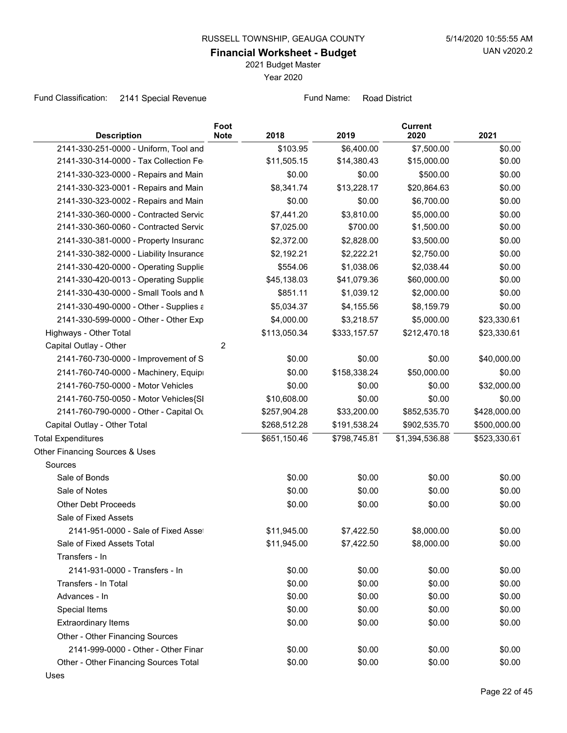2021 Budget Master

Year 2020

Fund Classification: 2141 Special Revenue Fund Name: Road District

| <b>Description</b>                      | Foot<br><b>Note</b> | 2018         | 2019         | <b>Current</b><br>2020 | 2021         |
|-----------------------------------------|---------------------|--------------|--------------|------------------------|--------------|
| 2141-330-251-0000 - Uniform, Tool and   |                     | \$103.95     | \$6,400.00   | \$7,500.00             | \$0.00       |
| 2141-330-314-0000 - Tax Collection Fe   |                     | \$11,505.15  | \$14,380.43  | \$15,000.00            | \$0.00       |
| 2141-330-323-0000 - Repairs and Main    |                     | \$0.00       | \$0.00       | \$500.00               | \$0.00       |
| 2141-330-323-0001 - Repairs and Main    |                     | \$8,341.74   | \$13,228.17  | \$20,864.63            | \$0.00       |
| 2141-330-323-0002 - Repairs and Main    |                     | \$0.00       | \$0.00       | \$6,700.00             | \$0.00       |
| 2141-330-360-0000 - Contracted Servic   |                     | \$7,441.20   | \$3,810.00   | \$5,000.00             | \$0.00       |
| 2141-330-360-0060 - Contracted Servic   |                     | \$7,025.00   | \$700.00     | \$1,500.00             | \$0.00       |
| 2141-330-381-0000 - Property Insuranc   |                     | \$2,372.00   | \$2,828.00   | \$3,500.00             | \$0.00       |
| 2141-330-382-0000 - Liability Insurance |                     | \$2,192.21   | \$2,222.21   | \$2,750.00             | \$0.00       |
| 2141-330-420-0000 - Operating Supplie   |                     | \$554.06     | \$1,038.06   | \$2,038.44             | \$0.00       |
| 2141-330-420-0013 - Operating Supplie   |                     | \$45,138.03  | \$41,079.36  | \$60,000.00            | \$0.00       |
| 2141-330-430-0000 - Small Tools and M   |                     | \$851.11     | \$1,039.12   | \$2,000.00             | \$0.00       |
| 2141-330-490-0000 - Other - Supplies a  |                     | \$5,034.37   | \$4,155.56   | \$8,159.79             | \$0.00       |
| 2141-330-599-0000 - Other - Other Exp   |                     | \$4,000.00   | \$3,218.57   | \$5,000.00             | \$23,330.61  |
| Highways - Other Total                  |                     | \$113,050.34 | \$333,157.57 | \$212,470.18           | \$23,330.61  |
| Capital Outlay - Other                  | $\overline{2}$      |              |              |                        |              |
| 2141-760-730-0000 - Improvement of S    |                     | \$0.00       | \$0.00       | \$0.00                 | \$40,000.00  |
| 2141-760-740-0000 - Machinery, Equipi   |                     | \$0.00       | \$158,338.24 | \$50,000.00            | \$0.00       |
| 2141-760-750-0000 - Motor Vehicles      |                     | \$0.00       | \$0.00       | \$0.00                 | \$32,000.00  |
| 2141-760-750-0050 - Motor Vehicles{SI   |                     | \$10,608.00  | \$0.00       | \$0.00                 | \$0.00       |
| 2141-760-790-0000 - Other - Capital Ou  |                     | \$257,904.28 | \$33,200.00  | \$852,535.70           | \$428,000.00 |
| Capital Outlay - Other Total            |                     | \$268,512.28 | \$191,538.24 | \$902,535.70           | \$500,000.00 |
| <b>Total Expenditures</b>               |                     | \$651,150.46 | \$798,745.81 | \$1,394,536.88         | \$523,330.61 |
| Other Financing Sources & Uses          |                     |              |              |                        |              |
| Sources                                 |                     |              |              |                        |              |
| Sale of Bonds                           |                     | \$0.00       | \$0.00       | \$0.00                 | \$0.00       |
| Sale of Notes                           |                     | \$0.00       | \$0.00       | \$0.00                 | \$0.00       |
| <b>Other Debt Proceeds</b>              |                     | \$0.00       | \$0.00       | \$0.00                 | \$0.00       |
| Sale of Fixed Assets                    |                     |              |              |                        |              |
| 2141-951-0000 - Sale of Fixed Asset     |                     | \$11,945.00  | \$7,422.50   | \$8,000.00             | \$0.00       |
| Sale of Fixed Assets Total              |                     | \$11,945.00  | \$7,422.50   | \$8,000.00             | \$0.00       |
| Transfers - In                          |                     |              |              |                        |              |
| 2141-931-0000 - Transfers - In          |                     | \$0.00       | \$0.00       | \$0.00                 | \$0.00       |
| Transfers - In Total                    |                     | \$0.00       | \$0.00       | \$0.00                 | \$0.00       |
| Advances - In                           |                     | \$0.00       | \$0.00       | \$0.00                 | \$0.00       |
| Special Items                           |                     | \$0.00       | \$0.00       | \$0.00                 | \$0.00       |
| <b>Extraordinary Items</b>              |                     | \$0.00       | \$0.00       | \$0.00                 | \$0.00       |
| Other - Other Financing Sources         |                     |              |              |                        |              |
| 2141-999-0000 - Other - Other Finar     |                     | \$0.00       | \$0.00       | \$0.00                 | \$0.00       |
| Other - Other Financing Sources Total   |                     | \$0.00       | \$0.00       | \$0.00                 | \$0.00       |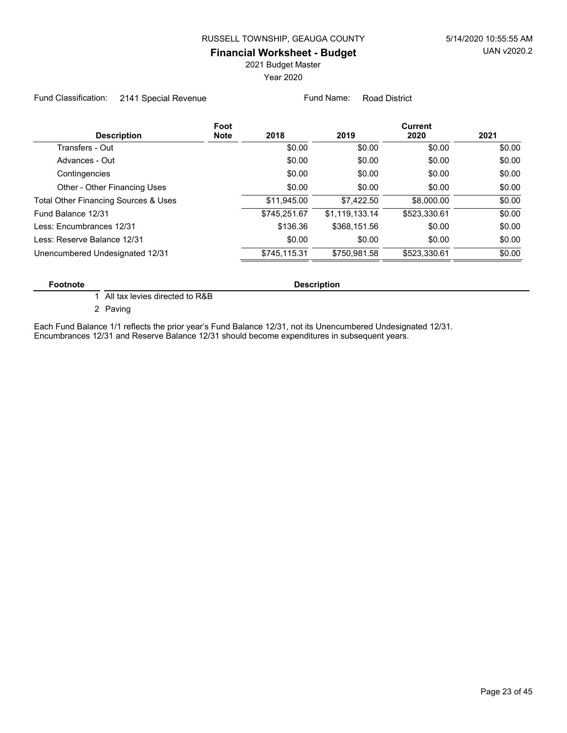2021 Budget Master

Year 2020

Fund Classification: 2141 Special Revenue Fund Name: Road District

| Foot<br><b>Description</b><br><b>Note</b> | 2018         | 2019           | <b>Current</b><br>2020 | 2021   |
|-------------------------------------------|--------------|----------------|------------------------|--------|
| Transfers - Out                           | \$0.00       | \$0.00         | \$0.00                 | \$0.00 |
| Advances - Out                            | \$0.00       | \$0.00         | \$0.00                 | \$0.00 |
| Contingencies                             | \$0.00       | \$0.00         | \$0.00                 | \$0.00 |
| Other - Other Financing Uses              | \$0.00       | \$0.00         | \$0.00                 | \$0.00 |
| Total Other Financing Sources & Uses      | \$11,945.00  | \$7,422.50     | \$8,000.00             | \$0.00 |
| Fund Balance 12/31                        | \$745,251.67 | \$1,119,133.14 | \$523,330.61           | \$0.00 |
| Less: Encumbrances 12/31                  | \$136.36     | \$368,151.56   | \$0.00                 | \$0.00 |
| Less: Reserve Balance 12/31               | \$0.00       | \$0.00         | \$0.00                 | \$0.00 |
| Unencumbered Undesignated 12/31           | \$745,115.31 | \$750.981.58   | \$523.330.61           | \$0.00 |

#### **Footnote Description**

1 All tax levies directed to R&B

2 Paving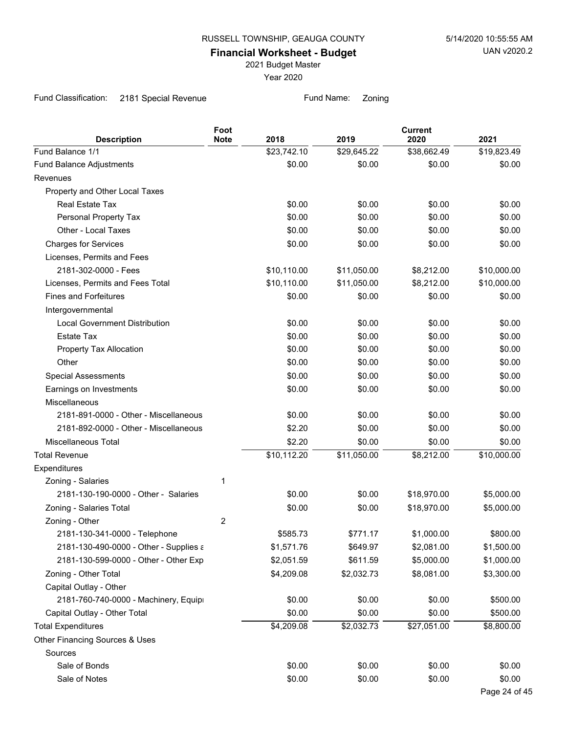2021 Budget Master

Year 2020

Fund Classification: 2181 Special Revenue Fund Name: Zoning

|                                        | Foot        |             |             | <b>Current</b> |               |
|----------------------------------------|-------------|-------------|-------------|----------------|---------------|
| <b>Description</b>                     | <b>Note</b> | 2018        | 2019        | 2020           | 2021          |
| Fund Balance 1/1                       |             | \$23,742.10 | \$29,645.22 | \$38,662.49    | \$19,823.49   |
| Fund Balance Adjustments               |             | \$0.00      | \$0.00      | \$0.00         | \$0.00        |
| Revenues                               |             |             |             |                |               |
| Property and Other Local Taxes         |             |             |             |                |               |
| Real Estate Tax                        |             | \$0.00      | \$0.00      | \$0.00         | \$0.00        |
| Personal Property Tax                  |             | \$0.00      | \$0.00      | \$0.00         | \$0.00        |
| Other - Local Taxes                    |             | \$0.00      | \$0.00      | \$0.00         | \$0.00        |
| <b>Charges for Services</b>            |             | \$0.00      | \$0.00      | \$0.00         | \$0.00        |
| Licenses, Permits and Fees             |             |             |             |                |               |
| 2181-302-0000 - Fees                   |             | \$10,110.00 | \$11,050.00 | \$8,212.00     | \$10,000.00   |
| Licenses, Permits and Fees Total       |             | \$10,110.00 | \$11,050.00 | \$8,212.00     | \$10,000.00   |
| <b>Fines and Forfeitures</b>           |             | \$0.00      | \$0.00      | \$0.00         | \$0.00        |
| Intergovernmental                      |             |             |             |                |               |
| <b>Local Government Distribution</b>   |             | \$0.00      | \$0.00      | \$0.00         | \$0.00        |
| <b>Estate Tax</b>                      |             | \$0.00      | \$0.00      | \$0.00         | \$0.00        |
| Property Tax Allocation                |             | \$0.00      | \$0.00      | \$0.00         | \$0.00        |
| Other                                  |             | \$0.00      | \$0.00      | \$0.00         | \$0.00        |
| <b>Special Assessments</b>             |             | \$0.00      | \$0.00      | \$0.00         | \$0.00        |
| Earnings on Investments                |             | \$0.00      | \$0.00      | \$0.00         | \$0.00        |
| Miscellaneous                          |             |             |             |                |               |
| 2181-891-0000 - Other - Miscellaneous  |             | \$0.00      | \$0.00      | \$0.00         | \$0.00        |
| 2181-892-0000 - Other - Miscellaneous  |             | \$2.20      | \$0.00      | \$0.00         | \$0.00        |
| <b>Miscellaneous Total</b>             |             | \$2.20      | \$0.00      | \$0.00         | \$0.00        |
| <b>Total Revenue</b>                   |             | \$10,112.20 | \$11,050.00 | \$8,212.00     | \$10,000.00   |
| Expenditures                           |             |             |             |                |               |
| Zoning - Salaries                      | 1           |             |             |                |               |
| 2181-130-190-0000 - Other - Salaries   |             | \$0.00      | \$0.00      | \$18,970.00    | \$5,000.00    |
| Zoning - Salaries Total                |             | \$0.00      | \$0.00      | \$18,970.00    | \$5,000.00    |
| Zoning - Other                         | 2           |             |             |                |               |
| 2181-130-341-0000 - Telephone          |             | \$585.73    | \$771.17    | \$1,000.00     | \$800.00      |
| 2181-130-490-0000 - Other - Supplies a |             | \$1,571.76  | \$649.97    | \$2,081.00     | \$1,500.00    |
| 2181-130-599-0000 - Other - Other Exp  |             | \$2,051.59  | \$611.59    | \$5,000.00     | \$1,000.00    |
| Zoning - Other Total                   |             | \$4,209.08  | \$2,032.73  | \$8,081.00     | \$3,300.00    |
| Capital Outlay - Other                 |             |             |             |                |               |
| 2181-760-740-0000 - Machinery, Equipi  |             | \$0.00      | \$0.00      | \$0.00         | \$500.00      |
| Capital Outlay - Other Total           |             | \$0.00      | \$0.00      | \$0.00         | \$500.00      |
| <b>Total Expenditures</b>              |             | \$4,209.08  | \$2,032.73  | \$27,051.00    | \$8,800.00    |
| Other Financing Sources & Uses         |             |             |             |                |               |
| Sources                                |             |             |             |                |               |
| Sale of Bonds                          |             | \$0.00      | \$0.00      | \$0.00         | \$0.00        |
| Sale of Notes                          |             | \$0.00      | \$0.00      | \$0.00         | \$0.00        |
|                                        |             |             |             |                | Page 24 of 45 |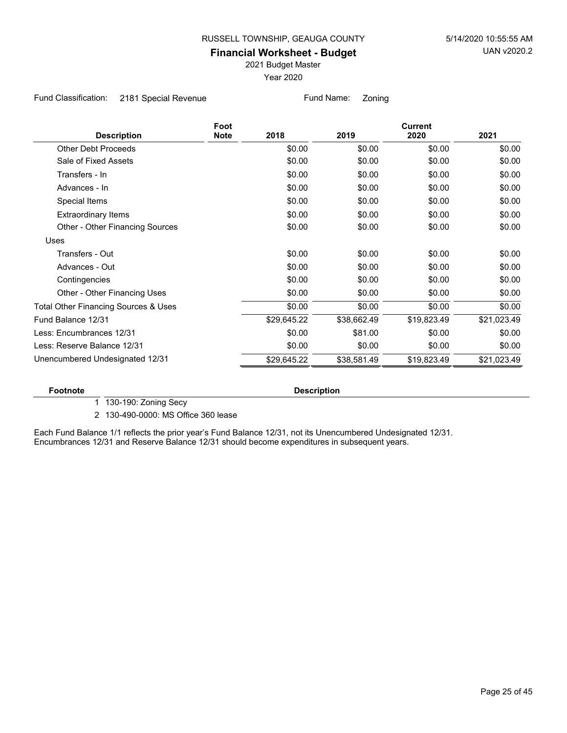2021 Budget Master

Year 2020

Fund Classification: 2181 Special Revenue Fund Name: Zoning

|                                                 | Foot        |             |             | <b>Current</b> |             |
|-------------------------------------------------|-------------|-------------|-------------|----------------|-------------|
| <b>Description</b>                              | <b>Note</b> | 2018        | 2019        | 2020           | 2021        |
| <b>Other Debt Proceeds</b>                      |             | \$0.00      | \$0.00      | \$0.00         | \$0.00      |
| Sale of Fixed Assets                            |             | \$0.00      | \$0.00      | \$0.00         | \$0.00      |
| Transfers - In                                  |             | \$0.00      | \$0.00      | \$0.00         | \$0.00      |
| Advances - In                                   |             | \$0.00      | \$0.00      | \$0.00         | \$0.00      |
| Special Items                                   |             | \$0.00      | \$0.00      | \$0.00         | \$0.00      |
| <b>Extraordinary Items</b>                      |             | \$0.00      | \$0.00      | \$0.00         | \$0.00      |
| Other - Other Financing Sources                 |             | \$0.00      | \$0.00      | \$0.00         | \$0.00      |
| Uses                                            |             |             |             |                |             |
| Transfers - Out                                 |             | \$0.00      | \$0.00      | \$0.00         | \$0.00      |
| Advances - Out                                  |             | \$0.00      | \$0.00      | \$0.00         | \$0.00      |
| Contingencies                                   |             | \$0.00      | \$0.00      | \$0.00         | \$0.00      |
| Other - Other Financing Uses                    |             | \$0.00      | \$0.00      | \$0.00         | \$0.00      |
| <b>Total Other Financing Sources &amp; Uses</b> |             | \$0.00      | \$0.00      | \$0.00         | \$0.00      |
| Fund Balance 12/31                              |             | \$29,645.22 | \$38,662.49 | \$19,823.49    | \$21,023.49 |
| Less: Encumbrances 12/31                        |             | \$0.00      | \$81.00     | \$0.00         | \$0.00      |
| Less: Reserve Balance 12/31                     |             | \$0.00      | \$0.00      | \$0.00         | \$0.00      |
| Unencumbered Undesignated 12/31                 |             | \$29,645.22 | \$38,581.49 | \$19,823.49    | \$21,023.49 |
|                                                 |             |             |             |                |             |

**Footnote Description** 

1 130-190: Zoning Secy

2 130-490-0000: MS Office 360 lease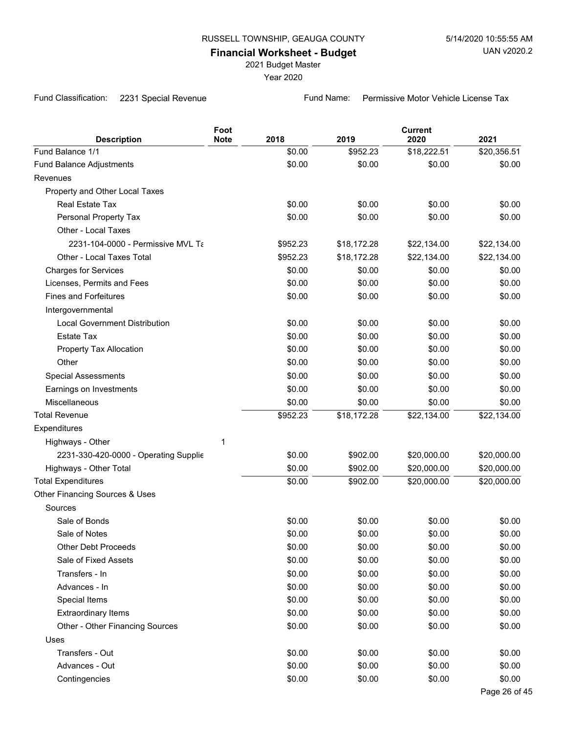2021 Budget Master

Year 2020

Fund Classification: 2231 Special Revenue Fund Name: Permissive Motor Vehicle License Tax

| <b>Description</b>                    | Foot<br><b>Note</b> | 2018     | 2019        | <b>Current</b><br>2020 | 2021          |
|---------------------------------------|---------------------|----------|-------------|------------------------|---------------|
| Fund Balance 1/1                      |                     | \$0.00   | \$952.23    | \$18,222.51            | \$20,356.51   |
| Fund Balance Adjustments              |                     | \$0.00   | \$0.00      | \$0.00                 | \$0.00        |
| Revenues                              |                     |          |             |                        |               |
| Property and Other Local Taxes        |                     |          |             |                        |               |
| <b>Real Estate Tax</b>                |                     | \$0.00   | \$0.00      | \$0.00                 | \$0.00        |
| Personal Property Tax                 |                     | \$0.00   | \$0.00      | \$0.00                 | \$0.00        |
| Other - Local Taxes                   |                     |          |             |                        |               |
| 2231-104-0000 - Permissive MVL Ta     |                     | \$952.23 | \$18,172.28 | \$22,134.00            | \$22,134.00   |
| Other - Local Taxes Total             |                     | \$952.23 | \$18,172.28 | \$22,134.00            | \$22,134.00   |
| <b>Charges for Services</b>           |                     | \$0.00   | \$0.00      | \$0.00                 | \$0.00        |
| Licenses, Permits and Fees            |                     | \$0.00   | \$0.00      | \$0.00                 | \$0.00        |
| <b>Fines and Forfeitures</b>          |                     | \$0.00   | \$0.00      | \$0.00                 | \$0.00        |
| Intergovernmental                     |                     |          |             |                        |               |
| <b>Local Government Distribution</b>  |                     | \$0.00   | \$0.00      | \$0.00                 | \$0.00        |
| <b>Estate Tax</b>                     |                     | \$0.00   | \$0.00      | \$0.00                 | \$0.00        |
| Property Tax Allocation               |                     | \$0.00   | \$0.00      | \$0.00                 | \$0.00        |
| Other                                 |                     | \$0.00   | \$0.00      | \$0.00                 | \$0.00        |
| <b>Special Assessments</b>            |                     | \$0.00   | \$0.00      | \$0.00                 | \$0.00        |
| Earnings on Investments               |                     | \$0.00   | \$0.00      | \$0.00                 | \$0.00        |
| Miscellaneous                         |                     | \$0.00   | \$0.00      | \$0.00                 | \$0.00        |
| <b>Total Revenue</b>                  |                     | \$952.23 | \$18,172.28 | \$22,134.00            | \$22,134.00   |
| Expenditures                          |                     |          |             |                        |               |
| Highways - Other                      | 1                   |          |             |                        |               |
| 2231-330-420-0000 - Operating Supplie |                     | \$0.00   | \$902.00    | \$20,000.00            | \$20,000.00   |
| Highways - Other Total                |                     | \$0.00   | \$902.00    | \$20,000.00            | \$20,000.00   |
| <b>Total Expenditures</b>             |                     | \$0.00   | \$902.00    | \$20,000.00            | \$20,000.00   |
| Other Financing Sources & Uses        |                     |          |             |                        |               |
| Sources                               |                     |          |             |                        |               |
| Sale of Bonds                         |                     | \$0.00   | \$0.00      | \$0.00                 | \$0.00        |
| Sale of Notes                         |                     | \$0.00   | \$0.00      | \$0.00                 | \$0.00        |
| <b>Other Debt Proceeds</b>            |                     | \$0.00   | \$0.00      | \$0.00                 | \$0.00        |
| Sale of Fixed Assets                  |                     | \$0.00   | \$0.00      | \$0.00                 | \$0.00        |
| Transfers - In                        |                     | \$0.00   | \$0.00      | \$0.00                 | \$0.00        |
| Advances - In                         |                     | \$0.00   | \$0.00      | \$0.00                 | \$0.00        |
| Special Items                         |                     | \$0.00   | \$0.00      | \$0.00                 | \$0.00        |
| <b>Extraordinary Items</b>            |                     | \$0.00   | \$0.00      | \$0.00                 | \$0.00        |
| Other - Other Financing Sources       |                     | \$0.00   | \$0.00      | \$0.00                 | \$0.00        |
| Uses                                  |                     |          |             |                        |               |
| Transfers - Out                       |                     | \$0.00   | \$0.00      | \$0.00                 | \$0.00        |
| Advances - Out                        |                     | \$0.00   | \$0.00      | \$0.00                 | \$0.00        |
| Contingencies                         |                     | \$0.00   | \$0.00      | \$0.00                 | \$0.00        |
|                                       |                     |          |             |                        | Page 26 of 45 |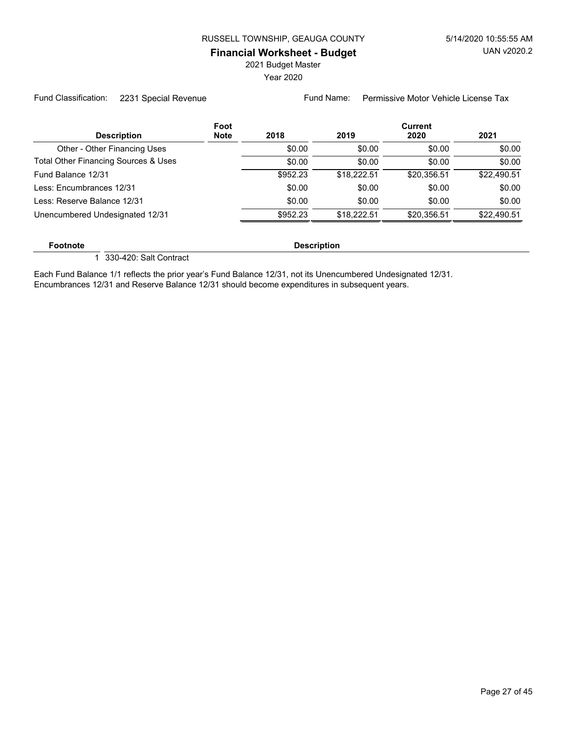2021 Budget Master

Year 2020

Fund Classification: 2231 Special Revenue Fund Name: Permissive Motor Vehicle License Tax

|                                      | Foot        |          |             | Current     |             |
|--------------------------------------|-------------|----------|-------------|-------------|-------------|
| <b>Description</b>                   | <b>Note</b> | 2018     | 2019        | 2020        | 2021        |
| Other - Other Financing Uses         |             | \$0.00   | \$0.00      | \$0.00      | \$0.00      |
| Total Other Financing Sources & Uses |             | \$0.00   | \$0.00      | \$0.00      | \$0.00      |
| Fund Balance 12/31                   |             | \$952.23 | \$18.222.51 | \$20.356.51 | \$22.490.51 |
| Less: Encumbrances 12/31             |             | \$0.00   | \$0.00      | \$0.00      | \$0.00      |
| Less: Reserve Balance 12/31          |             | \$0.00   | \$0.00      | \$0.00      | \$0.00      |
| Unencumbered Undesignated 12/31      |             | \$952.23 | \$18.222.51 | \$20.356.51 | \$22.490.51 |
|                                      |             |          |             |             |             |

**Footnote Description** 

1 330-420: Salt Contract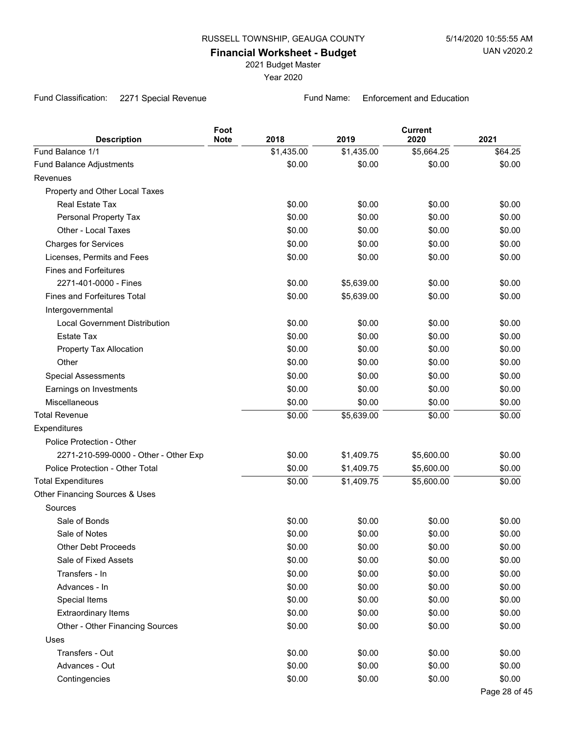2021 Budget Master

Year 2020

Fund Classification: 2271 Special Revenue Fund Name: Enforcement and Education

| <b>Description</b>                    | Foot<br><b>Note</b> | 2018       | 2019       | <b>Current</b><br>2020 | 2021          |
|---------------------------------------|---------------------|------------|------------|------------------------|---------------|
| Fund Balance 1/1                      |                     | \$1,435.00 | \$1,435.00 | \$5,664.25             | \$64.25       |
| Fund Balance Adjustments              |                     | \$0.00     | \$0.00     | \$0.00                 | \$0.00        |
| Revenues                              |                     |            |            |                        |               |
| Property and Other Local Taxes        |                     |            |            |                        |               |
| Real Estate Tax                       |                     | \$0.00     | \$0.00     | \$0.00                 | \$0.00        |
| Personal Property Tax                 |                     | \$0.00     | \$0.00     | \$0.00                 | \$0.00        |
| Other - Local Taxes                   |                     | \$0.00     | \$0.00     | \$0.00                 | \$0.00        |
| <b>Charges for Services</b>           |                     | \$0.00     | \$0.00     | \$0.00                 | \$0.00        |
| Licenses, Permits and Fees            |                     | \$0.00     | \$0.00     | \$0.00                 | \$0.00        |
| <b>Fines and Forfeitures</b>          |                     |            |            |                        |               |
| 2271-401-0000 - Fines                 |                     | \$0.00     | \$5,639.00 | \$0.00                 | \$0.00        |
| <b>Fines and Forfeitures Total</b>    |                     | \$0.00     | \$5,639.00 | \$0.00                 | \$0.00        |
| Intergovernmental                     |                     |            |            |                        |               |
| <b>Local Government Distribution</b>  |                     | \$0.00     | \$0.00     | \$0.00                 | \$0.00        |
| <b>Estate Tax</b>                     |                     | \$0.00     | \$0.00     | \$0.00                 | \$0.00        |
| Property Tax Allocation               |                     | \$0.00     | \$0.00     | \$0.00                 | \$0.00        |
| Other                                 |                     | \$0.00     | \$0.00     | \$0.00                 | \$0.00        |
| <b>Special Assessments</b>            |                     | \$0.00     | \$0.00     | \$0.00                 | \$0.00        |
| Earnings on Investments               |                     | \$0.00     | \$0.00     | \$0.00                 | \$0.00        |
| Miscellaneous                         |                     | \$0.00     | \$0.00     | \$0.00                 | \$0.00        |
| <b>Total Revenue</b>                  |                     | \$0.00     | \$5,639.00 | \$0.00                 | \$0.00        |
| Expenditures                          |                     |            |            |                        |               |
| Police Protection - Other             |                     |            |            |                        |               |
| 2271-210-599-0000 - Other - Other Exp |                     | \$0.00     | \$1,409.75 | \$5,600.00             | \$0.00        |
| Police Protection - Other Total       |                     | \$0.00     | \$1,409.75 | \$5,600.00             | \$0.00        |
| <b>Total Expenditures</b>             |                     | \$0.00     | \$1,409.75 | \$5,600.00             | \$0.00        |
| Other Financing Sources & Uses        |                     |            |            |                        |               |
| Sources                               |                     |            |            |                        |               |
| Sale of Bonds                         |                     | \$0.00     | \$0.00     | \$0.00                 | \$0.00        |
| Sale of Notes                         |                     | \$0.00     | \$0.00     | \$0.00                 | \$0.00        |
| <b>Other Debt Proceeds</b>            |                     | \$0.00     | \$0.00     | \$0.00                 | \$0.00        |
| Sale of Fixed Assets                  |                     | \$0.00     | \$0.00     | \$0.00                 | \$0.00        |
| Transfers - In                        |                     | \$0.00     | \$0.00     | \$0.00                 | \$0.00        |
| Advances - In                         |                     | \$0.00     | \$0.00     | \$0.00                 | \$0.00        |
| Special Items                         |                     | \$0.00     | \$0.00     | \$0.00                 | \$0.00        |
| <b>Extraordinary Items</b>            |                     | \$0.00     | \$0.00     | \$0.00                 | \$0.00        |
| Other - Other Financing Sources       |                     | \$0.00     | \$0.00     | \$0.00                 | \$0.00        |
| Uses                                  |                     |            |            |                        |               |
| Transfers - Out                       |                     | \$0.00     | \$0.00     | \$0.00                 | \$0.00        |
| Advances - Out                        |                     | \$0.00     | \$0.00     | \$0.00                 | \$0.00        |
| Contingencies                         |                     | \$0.00     | \$0.00     | \$0.00                 | \$0.00        |
|                                       |                     |            |            |                        | Page 28 of 45 |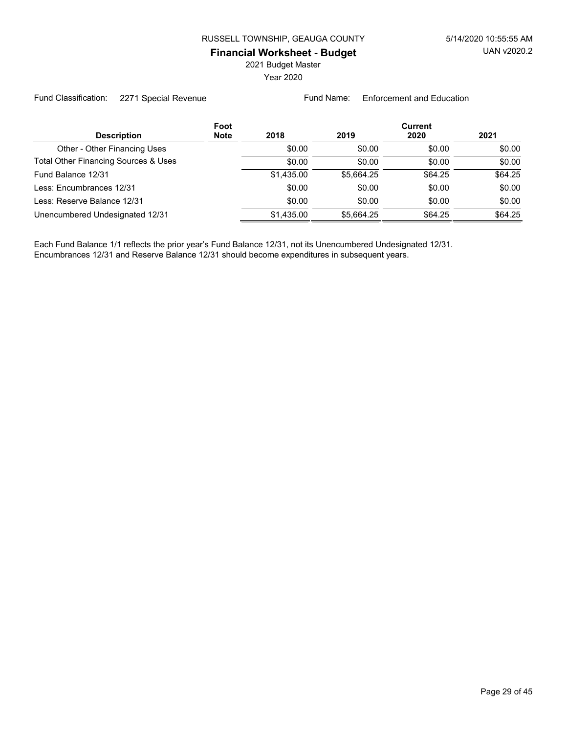2021 Budget Master

Year 2020

Fund Classification: 2271 Special Revenue Fund Name: Enforcement and Education

|                                      | Foot        |            |            | Current |         |  |
|--------------------------------------|-------------|------------|------------|---------|---------|--|
| <b>Description</b>                   | <b>Note</b> | 2018       | 2019       | 2020    | 2021    |  |
| Other - Other Financing Uses         |             | \$0.00     | \$0.00     | \$0.00  | \$0.00  |  |
| Total Other Financing Sources & Uses |             | \$0.00     | \$0.00     | \$0.00  | \$0.00  |  |
| Fund Balance 12/31                   |             | \$1,435.00 | \$5,664.25 | \$64.25 | \$64.25 |  |
| Less: Encumbrances 12/31             |             | \$0.00     | \$0.00     | \$0.00  | \$0.00  |  |
| Less: Reserve Balance 12/31          |             | \$0.00     | \$0.00     | \$0.00  | \$0.00  |  |
| Unencumbered Undesignated 12/31      |             | \$1,435.00 | \$5.664.25 | \$64.25 | \$64.25 |  |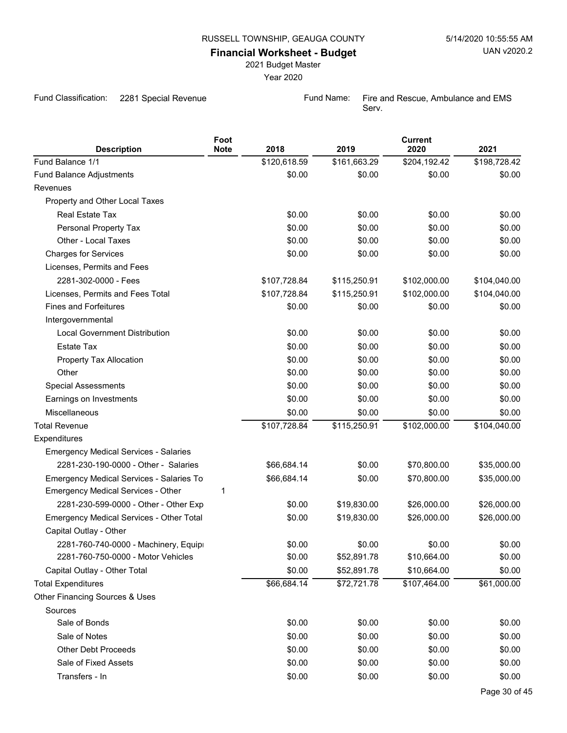2021 Budget Master

Year 2020

Fund Classification: 2281 Special Revenue Fund Name: Fire and Rescue, Ambulance and EMS

Serv.

| <b>Description</b>                           | Foot<br><b>Note</b> | 2018         | 2019         | <b>Current</b><br>2020 | 2021         |
|----------------------------------------------|---------------------|--------------|--------------|------------------------|--------------|
| Fund Balance 1/1                             |                     | \$120,618.59 | \$161,663.29 | \$204,192.42           | \$198,728.42 |
| Fund Balance Adjustments                     |                     | \$0.00       | \$0.00       | \$0.00                 | \$0.00       |
| Revenues                                     |                     |              |              |                        |              |
| Property and Other Local Taxes               |                     |              |              |                        |              |
| Real Estate Tax                              |                     | \$0.00       | \$0.00       | \$0.00                 | \$0.00       |
| Personal Property Tax                        |                     | \$0.00       | \$0.00       | \$0.00                 | \$0.00       |
| Other - Local Taxes                          |                     | \$0.00       | \$0.00       | \$0.00                 | \$0.00       |
| <b>Charges for Services</b>                  |                     | \$0.00       | \$0.00       | \$0.00                 | \$0.00       |
| Licenses, Permits and Fees                   |                     |              |              |                        |              |
| 2281-302-0000 - Fees                         |                     | \$107,728.84 | \$115,250.91 | \$102,000.00           | \$104,040.00 |
| Licenses, Permits and Fees Total             |                     | \$107,728.84 | \$115,250.91 | \$102,000.00           | \$104,040.00 |
| <b>Fines and Forfeitures</b>                 |                     | \$0.00       | \$0.00       | \$0.00                 | \$0.00       |
| Intergovernmental                            |                     |              |              |                        |              |
| <b>Local Government Distribution</b>         |                     | \$0.00       | \$0.00       | \$0.00                 | \$0.00       |
| <b>Estate Tax</b>                            |                     | \$0.00       | \$0.00       | \$0.00                 | \$0.00       |
| Property Tax Allocation                      |                     | \$0.00       | \$0.00       | \$0.00                 | \$0.00       |
| Other                                        |                     | \$0.00       | \$0.00       | \$0.00                 | \$0.00       |
| <b>Special Assessments</b>                   |                     | \$0.00       | \$0.00       | \$0.00                 | \$0.00       |
| Earnings on Investments                      |                     | \$0.00       | \$0.00       | \$0.00                 | \$0.00       |
| Miscellaneous                                |                     | \$0.00       | \$0.00       | \$0.00                 | \$0.00       |
| <b>Total Revenue</b>                         |                     | \$107,728.84 | \$115,250.91 | \$102,000.00           | \$104,040.00 |
| Expenditures                                 |                     |              |              |                        |              |
| <b>Emergency Medical Services - Salaries</b> |                     |              |              |                        |              |
| 2281-230-190-0000 - Other - Salaries         |                     | \$66,684.14  | \$0.00       | \$70,800.00            | \$35,000.00  |
| Emergency Medical Services - Salaries To     |                     | \$66,684.14  | \$0.00       | \$70,800.00            | \$35,000.00  |
| Emergency Medical Services - Other           | 1                   |              |              |                        |              |
| 2281-230-599-0000 - Other - Other Exp        |                     | \$0.00       | \$19,830.00  | \$26,000.00            | \$26,000.00  |
| Emergency Medical Services - Other Total     |                     | \$0.00       | \$19,830.00  | \$26,000.00            | \$26,000.00  |
| Capital Outlay - Other                       |                     |              |              |                        |              |
| 2281-760-740-0000 - Machinery, Equipi        |                     | \$0.00       | \$0.00       | \$0.00                 | \$0.00       |
| 2281-760-750-0000 - Motor Vehicles           |                     | \$0.00       | \$52,891.78  | \$10,664.00            | \$0.00       |
| Capital Outlay - Other Total                 |                     | \$0.00       | \$52,891.78  | \$10,664.00            | \$0.00       |
| <b>Total Expenditures</b>                    |                     | \$66,684.14  | \$72,721.78  | \$107,464.00           | \$61,000.00  |
| Other Financing Sources & Uses               |                     |              |              |                        |              |
| Sources                                      |                     |              |              |                        |              |
| Sale of Bonds                                |                     | \$0.00       | \$0.00       | \$0.00                 | \$0.00       |
| Sale of Notes                                |                     | \$0.00       | \$0.00       | \$0.00                 | \$0.00       |
| <b>Other Debt Proceeds</b>                   |                     | \$0.00       | \$0.00       | \$0.00                 | \$0.00       |
| Sale of Fixed Assets                         |                     | \$0.00       | \$0.00       | \$0.00                 | \$0.00       |
| Transfers - In                               |                     | \$0.00       | \$0.00       | \$0.00                 | \$0.00       |
|                                              |                     |              |              |                        |              |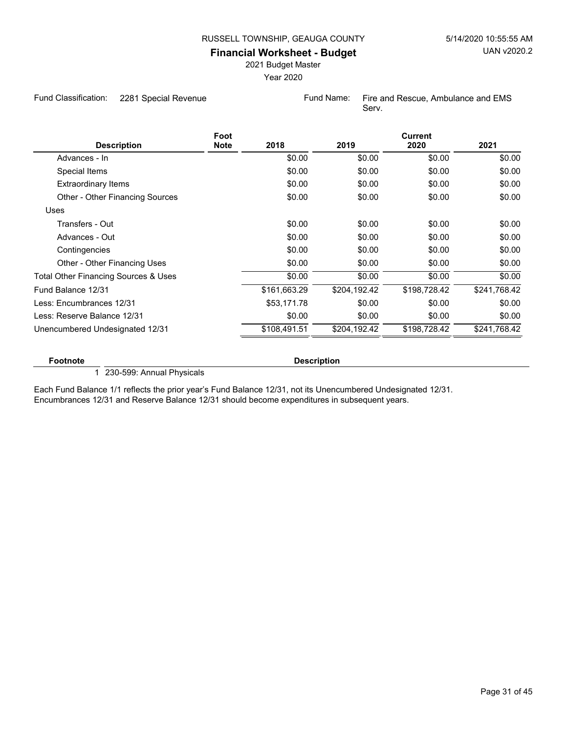2021 Budget Master

Year 2020

Fund Classification: 2281 Special Revenue Fund Name: Fire and Rescue, Ambulance and EMS

Serv.

|                                      | Foot        |              |              | <b>Current</b> |              |
|--------------------------------------|-------------|--------------|--------------|----------------|--------------|
| <b>Description</b>                   | <b>Note</b> | 2018         | 2019         | 2020           | 2021         |
| Advances - In                        |             | \$0.00       | \$0.00       | \$0.00         | \$0.00       |
| Special Items                        |             | \$0.00       | \$0.00       | \$0.00         | \$0.00       |
| <b>Extraordinary Items</b>           |             | \$0.00       | \$0.00       | \$0.00         | \$0.00       |
| Other - Other Financing Sources      |             | \$0.00       | \$0.00       | \$0.00         | \$0.00       |
| Uses                                 |             |              |              |                |              |
| Transfers - Out                      |             | \$0.00       | \$0.00       | \$0.00         | \$0.00       |
| Advances - Out                       |             | \$0.00       | \$0.00       | \$0.00         | \$0.00       |
| Contingencies                        |             | \$0.00       | \$0.00       | \$0.00         | \$0.00       |
| Other - Other Financing Uses         |             | \$0.00       | \$0.00       | \$0.00         | \$0.00       |
| Total Other Financing Sources & Uses |             | \$0.00       | \$0.00       | \$0.00         | \$0.00       |
| Fund Balance 12/31                   |             | \$161,663.29 | \$204,192.42 | \$198,728.42   | \$241,768.42 |
| Less: Encumbrances 12/31             |             | \$53,171.78  | \$0.00       | \$0.00         | \$0.00       |
| Less: Reserve Balance 12/31          |             | \$0.00       | \$0.00       | \$0.00         | \$0.00       |
| Unencumbered Undesignated 12/31      |             | \$108,491.51 | \$204,192.42 | \$198.728.42   | \$241,768.42 |
|                                      |             |              |              |                |              |

#### **Footnote Description**

1 230-599: Annual Physicals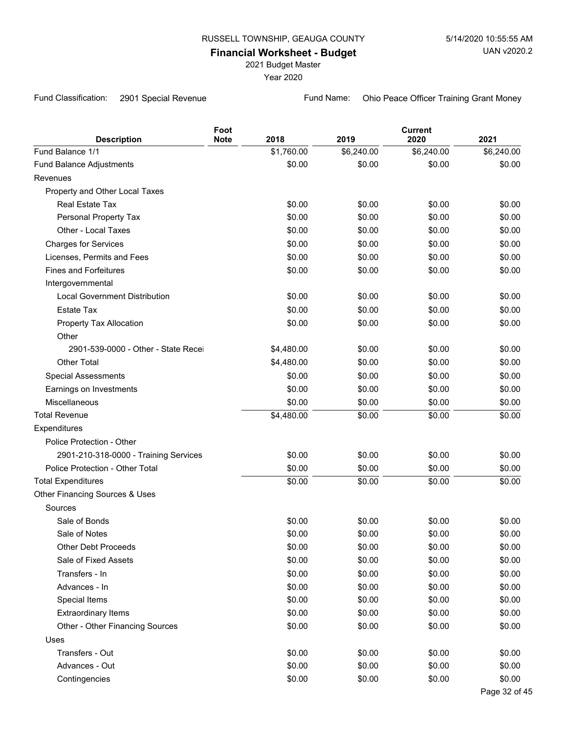2021 Budget Master

Year 2020

Fund Classification: 2901 Special Revenue Fund Name: Ohio Peace Officer Training Grant Money

| <b>Description</b>                    | Foot<br><b>Note</b> | 2018       | 2019       | <b>Current</b><br>2020 | 2021          |
|---------------------------------------|---------------------|------------|------------|------------------------|---------------|
| Fund Balance 1/1                      |                     | \$1,760.00 | \$6,240.00 | \$6,240.00             | \$6,240.00    |
| Fund Balance Adjustments              |                     | \$0.00     | \$0.00     | \$0.00                 | \$0.00        |
| Revenues                              |                     |            |            |                        |               |
| Property and Other Local Taxes        |                     |            |            |                        |               |
| Real Estate Tax                       |                     | \$0.00     | \$0.00     | \$0.00                 | \$0.00        |
| Personal Property Tax                 |                     | \$0.00     | \$0.00     | \$0.00                 | \$0.00        |
| Other - Local Taxes                   |                     | \$0.00     | \$0.00     | \$0.00                 | \$0.00        |
| <b>Charges for Services</b>           |                     | \$0.00     | \$0.00     | \$0.00                 | \$0.00        |
| Licenses, Permits and Fees            |                     | \$0.00     | \$0.00     | \$0.00                 | \$0.00        |
| <b>Fines and Forfeitures</b>          |                     | \$0.00     | \$0.00     | \$0.00                 | \$0.00        |
| Intergovernmental                     |                     |            |            |                        |               |
| <b>Local Government Distribution</b>  |                     | \$0.00     | \$0.00     | \$0.00                 | \$0.00        |
| <b>Estate Tax</b>                     |                     | \$0.00     | \$0.00     | \$0.00                 | \$0.00        |
| Property Tax Allocation               |                     | \$0.00     | \$0.00     | \$0.00                 | \$0.00        |
| Other                                 |                     |            |            |                        |               |
| 2901-539-0000 - Other - State Recei   |                     | \$4,480.00 | \$0.00     | \$0.00                 | \$0.00        |
| Other Total                           |                     | \$4,480.00 | \$0.00     | \$0.00                 | \$0.00        |
| <b>Special Assessments</b>            |                     | \$0.00     | \$0.00     | \$0.00                 | \$0.00        |
| Earnings on Investments               |                     | \$0.00     | \$0.00     | \$0.00                 | \$0.00        |
| Miscellaneous                         |                     | \$0.00     | \$0.00     | \$0.00                 | \$0.00        |
| <b>Total Revenue</b>                  |                     | \$4,480.00 | \$0.00     | \$0.00                 | \$0.00        |
| Expenditures                          |                     |            |            |                        |               |
| Police Protection - Other             |                     |            |            |                        |               |
| 2901-210-318-0000 - Training Services |                     | \$0.00     | \$0.00     | \$0.00                 | \$0.00        |
| Police Protection - Other Total       |                     | \$0.00     | \$0.00     | \$0.00                 | \$0.00        |
| <b>Total Expenditures</b>             |                     | \$0.00     | \$0.00     | \$0.00                 | \$0.00        |
| Other Financing Sources & Uses        |                     |            |            |                        |               |
| Sources                               |                     |            |            |                        |               |
| Sale of Bonds                         |                     | \$0.00     | \$0.00     | \$0.00                 | \$0.00        |
| Sale of Notes                         |                     | \$0.00     | \$0.00     | \$0.00                 | \$0.00        |
| <b>Other Debt Proceeds</b>            |                     | \$0.00     | \$0.00     | \$0.00                 | \$0.00        |
| Sale of Fixed Assets                  |                     | \$0.00     | \$0.00     | \$0.00                 | \$0.00        |
| Transfers - In                        |                     | \$0.00     | \$0.00     | \$0.00                 | \$0.00        |
| Advances - In                         |                     | \$0.00     | \$0.00     | \$0.00                 | \$0.00        |
| Special Items                         |                     | \$0.00     | \$0.00     | \$0.00                 | \$0.00        |
| <b>Extraordinary Items</b>            |                     | \$0.00     | \$0.00     | \$0.00                 | \$0.00        |
| Other - Other Financing Sources       |                     | \$0.00     | \$0.00     | \$0.00                 | \$0.00        |
| Uses                                  |                     |            |            |                        |               |
| Transfers - Out                       |                     | \$0.00     | \$0.00     | \$0.00                 | \$0.00        |
| Advances - Out                        |                     | \$0.00     | \$0.00     | \$0.00                 | \$0.00        |
| Contingencies                         |                     | \$0.00     | \$0.00     | \$0.00                 | \$0.00        |
|                                       |                     |            |            |                        | Page 32 of 45 |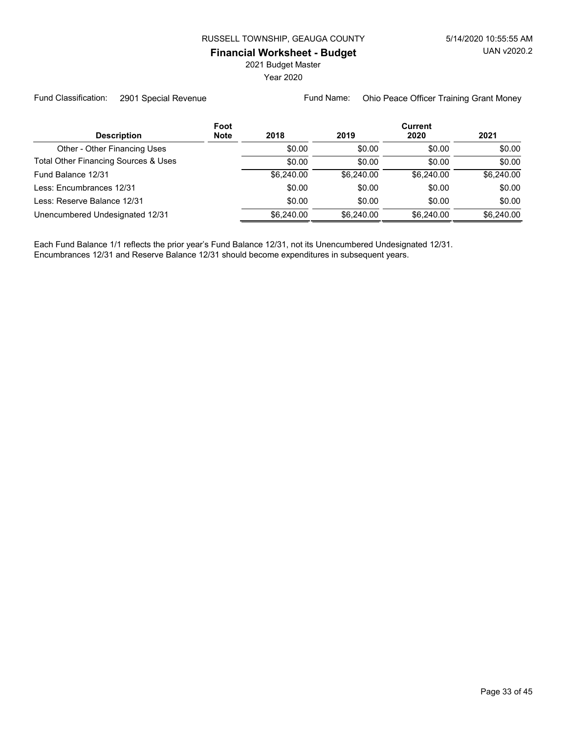2021 Budget Master

Year 2020

Fund Classification: 2901 Special Revenue Fund Name: Ohio Peace Officer Training Grant Money

|                                      | Foot        |            |            | <b>Current</b> |            |  |  |
|--------------------------------------|-------------|------------|------------|----------------|------------|--|--|
| <b>Description</b>                   | <b>Note</b> | 2018       | 2019       | 2020           | 2021       |  |  |
| Other - Other Financing Uses         |             | \$0.00     | \$0.00     | \$0.00         | \$0.00     |  |  |
| Total Other Financing Sources & Uses |             | \$0.00     | \$0.00     | \$0.00         | \$0.00     |  |  |
| Fund Balance 12/31                   |             | \$6,240,00 | \$6,240,00 | \$6,240.00     | \$6,240.00 |  |  |
| Less: Encumbrances 12/31             |             | \$0.00     | \$0.00     | \$0.00         | \$0.00     |  |  |
| Less: Reserve Balance 12/31          |             | \$0.00     | \$0.00     | \$0.00         | \$0.00     |  |  |
| Unencumbered Undesignated 12/31      |             | \$6,240,00 | \$6,240,00 | \$6,240.00     | \$6,240.00 |  |  |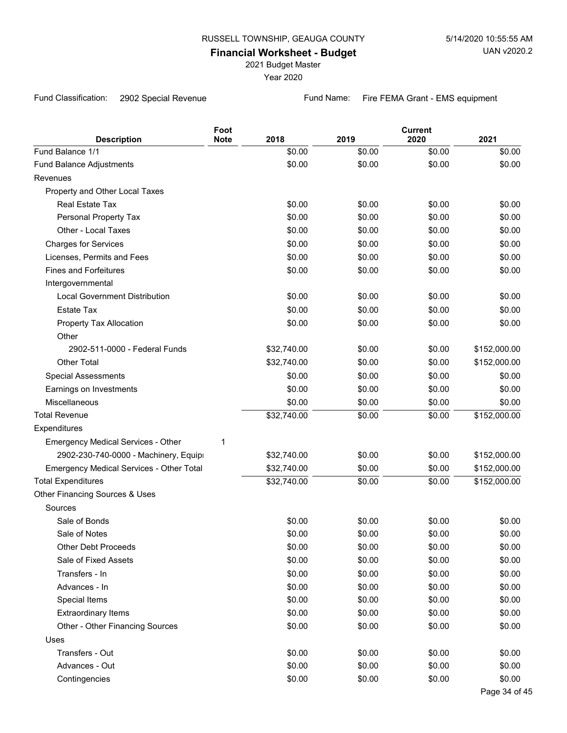2021 Budget Master

Year 2020

Fund Classification: 2902 Special Revenue Fund Name: Fire FEMA Grant - EMS equipment

| <b>Description</b>                        | Foot<br><b>Note</b> | 2018        | 2019   | <b>Current</b><br>2020 | 2021          |
|-------------------------------------------|---------------------|-------------|--------|------------------------|---------------|
| Fund Balance 1/1                          |                     | \$0.00      | \$0.00 | \$0.00                 | \$0.00        |
| Fund Balance Adjustments                  |                     | \$0.00      | \$0.00 | \$0.00                 | \$0.00        |
| Revenues                                  |                     |             |        |                        |               |
| Property and Other Local Taxes            |                     |             |        |                        |               |
| Real Estate Tax                           |                     | \$0.00      | \$0.00 | \$0.00                 | \$0.00        |
| Personal Property Tax                     |                     | \$0.00      | \$0.00 | \$0.00                 | \$0.00        |
| Other - Local Taxes                       |                     | \$0.00      | \$0.00 | \$0.00                 | \$0.00        |
| <b>Charges for Services</b>               |                     | \$0.00      | \$0.00 | \$0.00                 | \$0.00        |
| Licenses, Permits and Fees                |                     | \$0.00      | \$0.00 | \$0.00                 | \$0.00        |
| <b>Fines and Forfeitures</b>              |                     | \$0.00      | \$0.00 | \$0.00                 | \$0.00        |
| Intergovernmental                         |                     |             |        |                        |               |
| <b>Local Government Distribution</b>      |                     | \$0.00      | \$0.00 | \$0.00                 | \$0.00        |
| <b>Estate Tax</b>                         |                     | \$0.00      | \$0.00 | \$0.00                 | \$0.00        |
| Property Tax Allocation                   |                     | \$0.00      | \$0.00 | \$0.00                 | \$0.00        |
| Other                                     |                     |             |        |                        |               |
| 2902-511-0000 - Federal Funds             |                     | \$32,740.00 | \$0.00 | \$0.00                 | \$152,000.00  |
| <b>Other Total</b>                        |                     | \$32,740.00 | \$0.00 | \$0.00                 | \$152,000.00  |
| <b>Special Assessments</b>                |                     | \$0.00      | \$0.00 | \$0.00                 | \$0.00        |
| Earnings on Investments                   |                     | \$0.00      | \$0.00 | \$0.00                 | \$0.00        |
| Miscellaneous                             |                     | \$0.00      | \$0.00 | \$0.00                 | \$0.00        |
| <b>Total Revenue</b>                      |                     | \$32,740.00 | \$0.00 | \$0.00                 | \$152,000.00  |
| Expenditures                              |                     |             |        |                        |               |
| <b>Emergency Medical Services - Other</b> | 1                   |             |        |                        |               |
| 2902-230-740-0000 - Machinery, Equipi     |                     | \$32,740.00 | \$0.00 | \$0.00                 | \$152,000.00  |
| Emergency Medical Services - Other Total  |                     | \$32,740.00 | \$0.00 | \$0.00                 | \$152,000.00  |
| <b>Total Expenditures</b>                 |                     | \$32,740.00 | \$0.00 | \$0.00                 | \$152,000.00  |
| Other Financing Sources & Uses            |                     |             |        |                        |               |
| Sources                                   |                     |             |        |                        |               |
| Sale of Bonds                             |                     | \$0.00      | \$0.00 | \$0.00                 | \$0.00        |
| Sale of Notes                             |                     | \$0.00      | \$0.00 | \$0.00                 | \$0.00        |
| <b>Other Debt Proceeds</b>                |                     | \$0.00      | \$0.00 | \$0.00                 | \$0.00        |
| Sale of Fixed Assets                      |                     | \$0.00      | \$0.00 | \$0.00                 | \$0.00        |
| Transfers - In                            |                     | \$0.00      | \$0.00 | \$0.00                 | \$0.00        |
| Advances - In                             |                     | \$0.00      | \$0.00 | \$0.00                 | \$0.00        |
| Special Items                             |                     | \$0.00      | \$0.00 | \$0.00                 | \$0.00        |
| <b>Extraordinary Items</b>                |                     | \$0.00      | \$0.00 | \$0.00                 | \$0.00        |
| Other - Other Financing Sources           |                     | \$0.00      | \$0.00 | \$0.00                 | \$0.00        |
| Uses                                      |                     |             |        |                        |               |
| Transfers - Out                           |                     | \$0.00      | \$0.00 | \$0.00                 | \$0.00        |
| Advances - Out                            |                     | \$0.00      | \$0.00 | \$0.00                 | \$0.00        |
| Contingencies                             |                     | \$0.00      | \$0.00 | \$0.00                 | \$0.00        |
|                                           |                     |             |        |                        | Page 34 of 45 |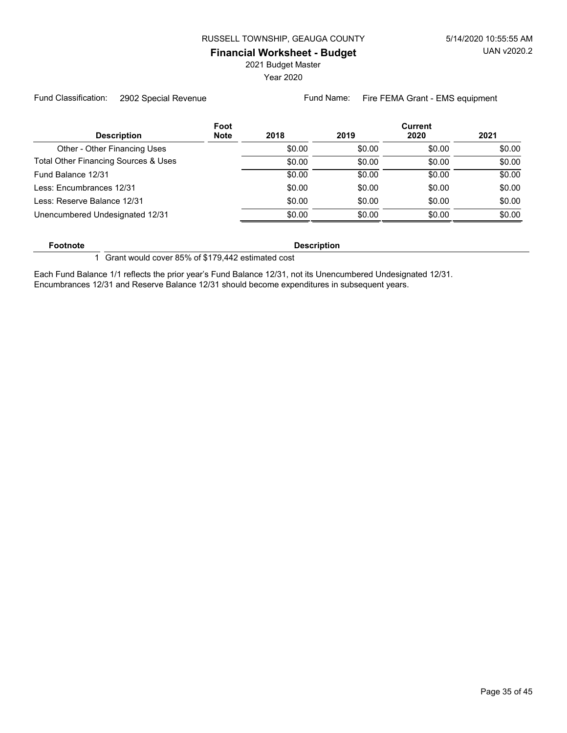2021 Budget Master

Year 2020

Fund Classification: 2902 Special Revenue Fund Name: Fire FEMA Grant - EMS equipment

| Foot                                 |        |        | <b>Current</b> |        |
|--------------------------------------|--------|--------|----------------|--------|
| <b>Note</b><br><b>Description</b>    | 2018   | 2019   | 2020           | 2021   |
| Other - Other Financing Uses         | \$0.00 | \$0.00 | \$0.00         | \$0.00 |
| Total Other Financing Sources & Uses | \$0.00 | \$0.00 | \$0.00         | \$0.00 |
| Fund Balance 12/31                   | \$0.00 | \$0.00 | \$0.00         | \$0.00 |
| Less: Encumbrances 12/31             | \$0.00 | \$0.00 | \$0.00         | \$0.00 |
| Less: Reserve Balance 12/31          | \$0.00 | \$0.00 | \$0.00         | \$0.00 |
| Unencumbered Undesignated 12/31      | \$0.00 | \$0.00 | \$0.00         | \$0.00 |

**Footnote Description** 

1 Grant would cover 85% of \$179,442 estimated cost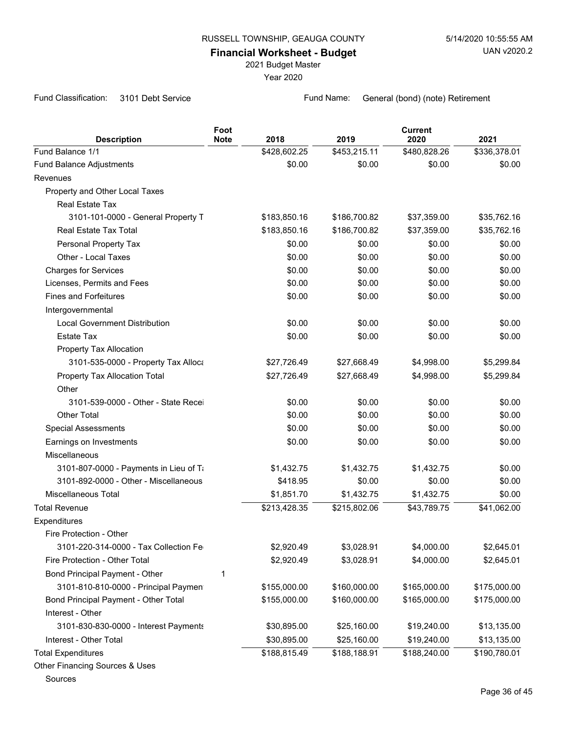2021 Budget Master

Year 2020

Fund Classification: 3101 Debt Service Fund Name: General (bond) (note) Retirement

|                                             | Foot<br><b>Note</b> | 2018         | 2019         | <b>Current</b><br>2020 | 2021         |
|---------------------------------------------|---------------------|--------------|--------------|------------------------|--------------|
| <b>Description</b><br>Fund Balance 1/1      |                     | \$428,602.25 | \$453,215.11 | \$480,828.26           | \$336,378.01 |
|                                             |                     | \$0.00       | \$0.00       | \$0.00                 | \$0.00       |
| <b>Fund Balance Adjustments</b><br>Revenues |                     |              |              |                        |              |
|                                             |                     |              |              |                        |              |
| Property and Other Local Taxes              |                     |              |              |                        |              |
| Real Estate Tax                             |                     |              |              |                        |              |
| 3101-101-0000 - General Property T          |                     | \$183,850.16 | \$186,700.82 | \$37,359.00            | \$35,762.16  |
| Real Estate Tax Total                       |                     | \$183,850.16 | \$186,700.82 | \$37,359.00            | \$35,762.16  |
| Personal Property Tax                       |                     | \$0.00       | \$0.00       | \$0.00                 | \$0.00       |
| Other - Local Taxes                         |                     | \$0.00       | \$0.00       | \$0.00                 | \$0.00       |
| <b>Charges for Services</b>                 |                     | \$0.00       | \$0.00       | \$0.00                 | \$0.00       |
| Licenses, Permits and Fees                  |                     | \$0.00       | \$0.00       | \$0.00                 | \$0.00       |
| <b>Fines and Forfeitures</b>                |                     | \$0.00       | \$0.00       | \$0.00                 | \$0.00       |
| Intergovernmental                           |                     |              |              |                        |              |
| <b>Local Government Distribution</b>        |                     | \$0.00       | \$0.00       | \$0.00                 | \$0.00       |
| <b>Estate Tax</b>                           |                     | \$0.00       | \$0.00       | \$0.00                 | \$0.00       |
| Property Tax Allocation                     |                     |              |              |                        |              |
| 3101-535-0000 - Property Tax Alloca         |                     | \$27,726.49  | \$27,668.49  | \$4,998.00             | \$5,299.84   |
| Property Tax Allocation Total               |                     | \$27,726.49  | \$27,668.49  | \$4,998.00             | \$5,299.84   |
| Other                                       |                     |              |              |                        |              |
| 3101-539-0000 - Other - State Recei         |                     | \$0.00       | \$0.00       | \$0.00                 | \$0.00       |
| <b>Other Total</b>                          |                     | \$0.00       | \$0.00       | \$0.00                 | \$0.00       |
| <b>Special Assessments</b>                  |                     | \$0.00       | \$0.00       | \$0.00                 | \$0.00       |
| Earnings on Investments                     |                     | \$0.00       | \$0.00       | \$0.00                 | \$0.00       |
| Miscellaneous                               |                     |              |              |                        |              |
| 3101-807-0000 - Payments in Lieu of Ti      |                     | \$1,432.75   | \$1,432.75   | \$1,432.75             | \$0.00       |
| 3101-892-0000 - Other - Miscellaneous       |                     | \$418.95     | \$0.00       | \$0.00                 | \$0.00       |
| <b>Miscellaneous Total</b>                  |                     | \$1,851.70   | \$1,432.75   | \$1,432.75             | \$0.00       |
| <b>Total Revenue</b>                        |                     | \$213,428.35 | \$215,802.06 | \$43,789.75            | \$41,062.00  |
| Expenditures                                |                     |              |              |                        |              |
| Fire Protection - Other                     |                     |              |              |                        |              |
| 3101-220-314-0000 - Tax Collection Fe       |                     | \$2,920.49   | \$3,028.91   | \$4,000.00             | \$2,645.01   |
| Fire Protection - Other Total               |                     | \$2,920.49   | \$3,028.91   | \$4,000.00             | \$2,645.01   |
| Bond Principal Payment - Other              | 1                   |              |              |                        |              |
| 3101-810-810-0000 - Principal Paymen        |                     | \$155,000.00 | \$160,000.00 | \$165,000.00           | \$175,000.00 |
| Bond Principal Payment - Other Total        |                     | \$155,000.00 | \$160,000.00 | \$165,000.00           | \$175,000.00 |
| Interest - Other                            |                     |              |              |                        |              |
| 3101-830-830-0000 - Interest Payments       |                     | \$30,895.00  | \$25,160.00  | \$19,240.00            | \$13,135.00  |
| Interest - Other Total                      |                     | \$30,895.00  | \$25,160.00  | \$19,240.00            | \$13,135.00  |
| <b>Total Expenditures</b>                   |                     | \$188,815.49 | \$188,188.91 | \$188,240.00           | \$190,780.01 |
| Other Financing Sources & Uses              |                     |              |              |                        |              |
| Sources                                     |                     |              |              |                        |              |
|                                             |                     |              |              |                        |              |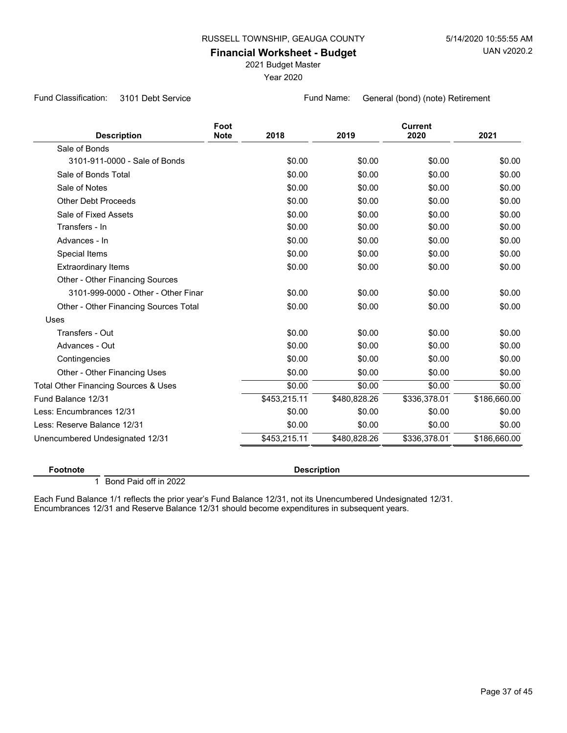2021 Budget Master

Year 2020

Fund Classification: 3101 Debt Service Fund Name: General (bond) (note) Retirement

| <b>Description</b>                    | Foot<br><b>Note</b> | 2018         | 2019         | <b>Current</b><br>2020 | 2021         |
|---------------------------------------|---------------------|--------------|--------------|------------------------|--------------|
| Sale of Bonds                         |                     |              |              |                        |              |
| 3101-911-0000 - Sale of Bonds         |                     | \$0.00       | \$0.00       | \$0.00                 | \$0.00       |
| Sale of Bonds Total                   |                     | \$0.00       | \$0.00       | \$0.00                 | \$0.00       |
| Sale of Notes                         |                     | \$0.00       | \$0.00       | \$0.00                 | \$0.00       |
| <b>Other Debt Proceeds</b>            |                     | \$0.00       | \$0.00       | \$0.00                 | \$0.00       |
| Sale of Fixed Assets                  |                     | \$0.00       | \$0.00       | \$0.00                 | \$0.00       |
| Transfers - In                        |                     | \$0.00       | \$0.00       | \$0.00                 | \$0.00       |
| Advances - In                         |                     | \$0.00       | \$0.00       | \$0.00                 | \$0.00       |
| Special Items                         |                     | \$0.00       | \$0.00       | \$0.00                 | \$0.00       |
| <b>Extraordinary Items</b>            |                     | \$0.00       | \$0.00       | \$0.00                 | \$0.00       |
| Other - Other Financing Sources       |                     |              |              |                        |              |
| 3101-999-0000 - Other - Other Finar   |                     | \$0.00       | \$0.00       | \$0.00                 | \$0.00       |
| Other - Other Financing Sources Total |                     | \$0.00       | \$0.00       | \$0.00                 | \$0.00       |
| Uses                                  |                     |              |              |                        |              |
| Transfers - Out                       |                     | \$0.00       | \$0.00       | \$0.00                 | \$0.00       |
| Advances - Out                        |                     | \$0.00       | \$0.00       | \$0.00                 | \$0.00       |
| Contingencies                         |                     | \$0.00       | \$0.00       | \$0.00                 | \$0.00       |
| Other - Other Financing Uses          |                     | \$0.00       | \$0.00       | \$0.00                 | \$0.00       |
| Total Other Financing Sources & Uses  |                     | \$0.00       | \$0.00       | \$0.00                 | \$0.00       |
| Fund Balance 12/31                    |                     | \$453,215.11 | \$480,828.26 | \$336,378.01           | \$186,660.00 |
| Less: Encumbrances 12/31              |                     | \$0.00       | \$0.00       | \$0.00                 | \$0.00       |
| Less: Reserve Balance 12/31           |                     | \$0.00       | \$0.00       | \$0.00                 | \$0.00       |
| Unencumbered Undesignated 12/31       |                     | \$453,215.11 | \$480,828.26 | \$336,378.01           | \$186,660.00 |
|                                       |                     |              |              |                        |              |

#### **Footnote Description**

1 Bond Paid off in 2022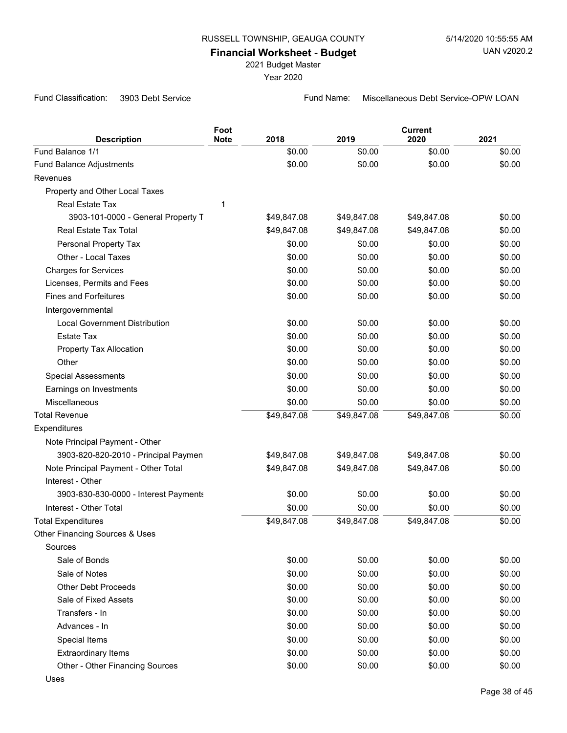## **Financial Worksheet - Budget**

2021 Budget Master

Year 2020

Fund Classification: 3903 Debt Service **Fund Name:** Miscellaneous Debt Service-OPW LOAN

|                                       | Foot        |             |             | <b>Current</b> |        |
|---------------------------------------|-------------|-------------|-------------|----------------|--------|
| <b>Description</b>                    | <b>Note</b> | 2018        | 2019        | 2020           | 2021   |
| Fund Balance 1/1                      |             | \$0.00      | \$0.00      | \$0.00         | \$0.00 |
| Fund Balance Adjustments              |             | \$0.00      | \$0.00      | \$0.00         | \$0.00 |
| Revenues                              |             |             |             |                |        |
| Property and Other Local Taxes        |             |             |             |                |        |
| Real Estate Tax                       | 1           |             |             |                |        |
| 3903-101-0000 - General Property T    |             | \$49,847.08 | \$49,847.08 | \$49,847.08    | \$0.00 |
| Real Estate Tax Total                 |             | \$49,847.08 | \$49,847.08 | \$49,847.08    | \$0.00 |
| Personal Property Tax                 |             | \$0.00      | \$0.00      | \$0.00         | \$0.00 |
| Other - Local Taxes                   |             | \$0.00      | \$0.00      | \$0.00         | \$0.00 |
| <b>Charges for Services</b>           |             | \$0.00      | \$0.00      | \$0.00         | \$0.00 |
| Licenses, Permits and Fees            |             | \$0.00      | \$0.00      | \$0.00         | \$0.00 |
| <b>Fines and Forfeitures</b>          |             | \$0.00      | \$0.00      | \$0.00         | \$0.00 |
| Intergovernmental                     |             |             |             |                |        |
| <b>Local Government Distribution</b>  |             | \$0.00      | \$0.00      | \$0.00         | \$0.00 |
| <b>Estate Tax</b>                     |             | \$0.00      | \$0.00      | \$0.00         | \$0.00 |
| Property Tax Allocation               |             | \$0.00      | \$0.00      | \$0.00         | \$0.00 |
| Other                                 |             | \$0.00      | \$0.00      | \$0.00         | \$0.00 |
| <b>Special Assessments</b>            |             | \$0.00      | \$0.00      | \$0.00         | \$0.00 |
| Earnings on Investments               |             | \$0.00      | \$0.00      | \$0.00         | \$0.00 |
| Miscellaneous                         |             | \$0.00      | \$0.00      | \$0.00         | \$0.00 |
| <b>Total Revenue</b>                  |             | \$49,847.08 | \$49,847.08 | \$49,847.08    | \$0.00 |
| Expenditures                          |             |             |             |                |        |
| Note Principal Payment - Other        |             |             |             |                |        |
| 3903-820-820-2010 - Principal Paymen  |             | \$49,847.08 | \$49,847.08 | \$49,847.08    | \$0.00 |
| Note Principal Payment - Other Total  |             | \$49,847.08 | \$49,847.08 | \$49,847.08    | \$0.00 |
| Interest - Other                      |             |             |             |                |        |
| 3903-830-830-0000 - Interest Payments |             | \$0.00      | \$0.00      | \$0.00         | \$0.00 |
| Interest - Other Total                |             | \$0.00      | \$0.00      | \$0.00         | \$0.00 |
| <b>Total Expenditures</b>             |             | \$49,847.08 | \$49,847.08 | \$49,847.08    | \$0.00 |
| Other Financing Sources & Uses        |             |             |             |                |        |
| Sources                               |             |             |             |                |        |
| Sale of Bonds                         |             | \$0.00      | \$0.00      | \$0.00         | \$0.00 |
| Sale of Notes                         |             | \$0.00      | \$0.00      | \$0.00         | \$0.00 |
| <b>Other Debt Proceeds</b>            |             | \$0.00      | \$0.00      | \$0.00         | \$0.00 |
| Sale of Fixed Assets                  |             | \$0.00      | \$0.00      | \$0.00         | \$0.00 |
| Transfers - In                        |             | \$0.00      | \$0.00      | \$0.00         | \$0.00 |
| Advances - In                         |             | \$0.00      | \$0.00      | \$0.00         | \$0.00 |
| Special Items                         |             | \$0.00      | \$0.00      | \$0.00         | \$0.00 |
| <b>Extraordinary Items</b>            |             | \$0.00      | \$0.00      | \$0.00         | \$0.00 |
| Other - Other Financing Sources       |             | \$0.00      | \$0.00      | \$0.00         | \$0.00 |
| <b>Uses</b>                           |             |             |             |                |        |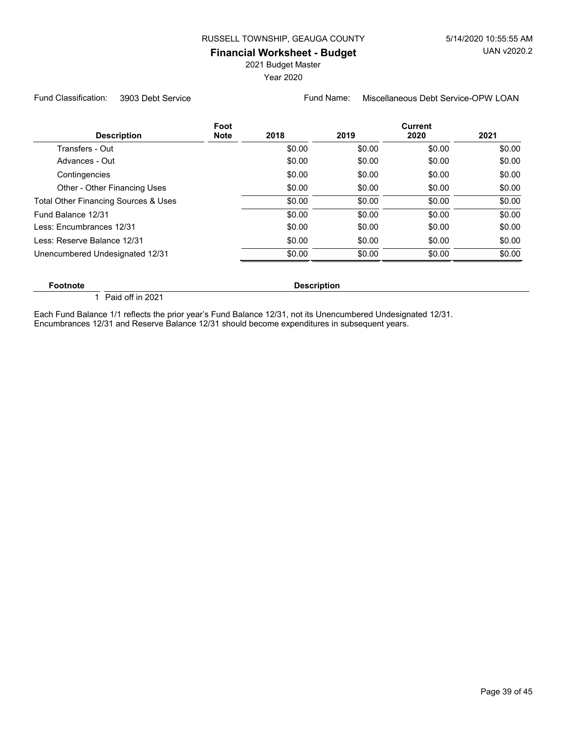2021 Budget Master

Year 2020

Fund Classification: 3903 Debt Service Fund Name: Miscellaneous Debt Service-OPW LOAN

| <b>Description</b>                   | Foot<br><b>Note</b> | 2018               | 2019   | <b>Current</b><br>2020 | 2021   |
|--------------------------------------|---------------------|--------------------|--------|------------------------|--------|
| Transfers - Out                      |                     | \$0.00             | \$0.00 | \$0.00                 | \$0.00 |
| Advances - Out                       |                     | \$0.00             | \$0.00 | \$0.00                 | \$0.00 |
| Contingencies                        |                     | \$0.00             | \$0.00 | \$0.00                 | \$0.00 |
| Other - Other Financing Uses         |                     | \$0.00             | \$0.00 | \$0.00                 | \$0.00 |
| Total Other Financing Sources & Uses |                     | \$0.00             | \$0.00 | \$0.00                 | \$0.00 |
| Fund Balance 12/31                   |                     | \$0.00             | \$0.00 | \$0.00                 | \$0.00 |
| Less: Encumbrances 12/31             |                     | \$0.00             | \$0.00 | \$0.00                 | \$0.00 |
| Less: Reserve Balance 12/31          |                     | \$0.00             | \$0.00 | \$0.00                 | \$0.00 |
| Unencumbered Undesignated 12/31      |                     | \$0.00             | \$0.00 | \$0.00                 | \$0.00 |
| <b>Footnote</b>                      |                     | <b>Description</b> |        |                        |        |

 $\overline{1}$  Paid off in 2021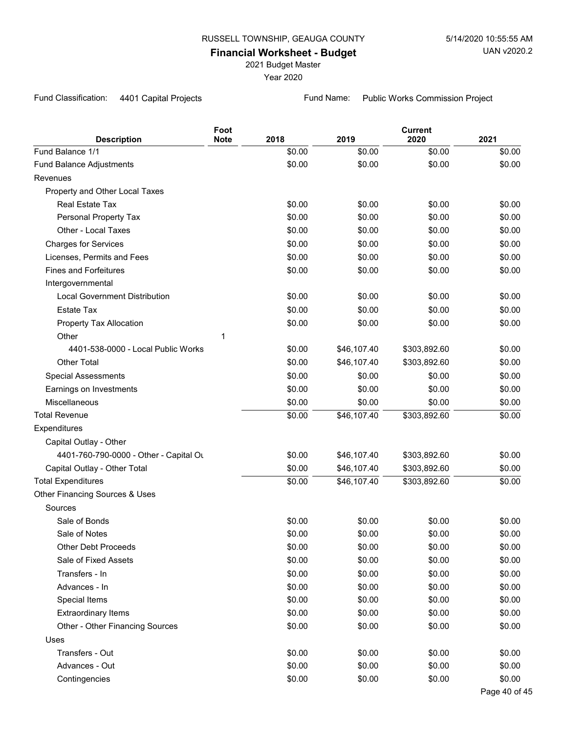2021 Budget Master

Year 2020

Fund Classification: 4401 Capital Projects Fund Name: Public Works Commission Project

| <b>Description</b>                     | Foot<br><b>Note</b> | 2018   | 2019        | <b>Current</b><br>2020 | 2021          |
|----------------------------------------|---------------------|--------|-------------|------------------------|---------------|
| Fund Balance 1/1                       |                     | \$0.00 | \$0.00      | \$0.00                 | \$0.00        |
| Fund Balance Adjustments               |                     | \$0.00 | \$0.00      | \$0.00                 | \$0.00        |
| Revenues                               |                     |        |             |                        |               |
| Property and Other Local Taxes         |                     |        |             |                        |               |
| <b>Real Estate Tax</b>                 |                     | \$0.00 | \$0.00      | \$0.00                 | \$0.00        |
| Personal Property Tax                  |                     | \$0.00 | \$0.00      | \$0.00                 | \$0.00        |
| Other - Local Taxes                    |                     | \$0.00 | \$0.00      | \$0.00                 | \$0.00        |
| <b>Charges for Services</b>            |                     | \$0.00 | \$0.00      | \$0.00                 | \$0.00        |
| Licenses, Permits and Fees             |                     | \$0.00 | \$0.00      | \$0.00                 | \$0.00        |
| <b>Fines and Forfeitures</b>           |                     | \$0.00 | \$0.00      | \$0.00                 | \$0.00        |
| Intergovernmental                      |                     |        |             |                        |               |
| <b>Local Government Distribution</b>   |                     | \$0.00 | \$0.00      | \$0.00                 | \$0.00        |
| <b>Estate Tax</b>                      |                     | \$0.00 | \$0.00      | \$0.00                 | \$0.00        |
| Property Tax Allocation                |                     | \$0.00 | \$0.00      | \$0.00                 | \$0.00        |
| Other                                  | 1                   |        |             |                        |               |
| 4401-538-0000 - Local Public Works     |                     | \$0.00 | \$46,107.40 | \$303,892.60           | \$0.00        |
| Other Total                            |                     | \$0.00 | \$46,107.40 | \$303,892.60           | \$0.00        |
| <b>Special Assessments</b>             |                     | \$0.00 | \$0.00      | \$0.00                 | \$0.00        |
| Earnings on Investments                |                     | \$0.00 | \$0.00      | \$0.00                 | \$0.00        |
| Miscellaneous                          |                     | \$0.00 | \$0.00      | \$0.00                 | \$0.00        |
| <b>Total Revenue</b>                   |                     | \$0.00 | \$46,107.40 | \$303,892.60           | \$0.00        |
| Expenditures                           |                     |        |             |                        |               |
| Capital Outlay - Other                 |                     |        |             |                        |               |
| 4401-760-790-0000 - Other - Capital Ou |                     | \$0.00 | \$46,107.40 | \$303,892.60           | \$0.00        |
| Capital Outlay - Other Total           |                     | \$0.00 | \$46,107.40 | \$303,892.60           | \$0.00        |
| <b>Total Expenditures</b>              |                     | \$0.00 | \$46,107.40 | \$303,892.60           | \$0.00        |
| Other Financing Sources & Uses         |                     |        |             |                        |               |
| Sources                                |                     |        |             |                        |               |
| Sale of Bonds                          |                     | \$0.00 | \$0.00      | \$0.00                 | \$0.00        |
| Sale of Notes                          |                     | \$0.00 | \$0.00      | \$0.00                 | \$0.00        |
| <b>Other Debt Proceeds</b>             |                     | \$0.00 | \$0.00      | \$0.00                 | \$0.00        |
| Sale of Fixed Assets                   |                     | \$0.00 | \$0.00      | \$0.00                 | \$0.00        |
| Transfers - In                         |                     | \$0.00 | \$0.00      | \$0.00                 | \$0.00        |
| Advances - In                          |                     | \$0.00 | \$0.00      | \$0.00                 | \$0.00        |
| Special Items                          |                     | \$0.00 | \$0.00      | \$0.00                 | \$0.00        |
| <b>Extraordinary Items</b>             |                     | \$0.00 | \$0.00      | \$0.00                 | \$0.00        |
| Other - Other Financing Sources        |                     | \$0.00 | \$0.00      | \$0.00                 | \$0.00        |
| Uses                                   |                     |        |             |                        |               |
| Transfers - Out                        |                     | \$0.00 | \$0.00      | \$0.00                 | \$0.00        |
| Advances - Out                         |                     | \$0.00 | \$0.00      | \$0.00                 | \$0.00        |
| Contingencies                          |                     | \$0.00 | \$0.00      | \$0.00                 | \$0.00        |
|                                        |                     |        |             |                        | Page 40 of 45 |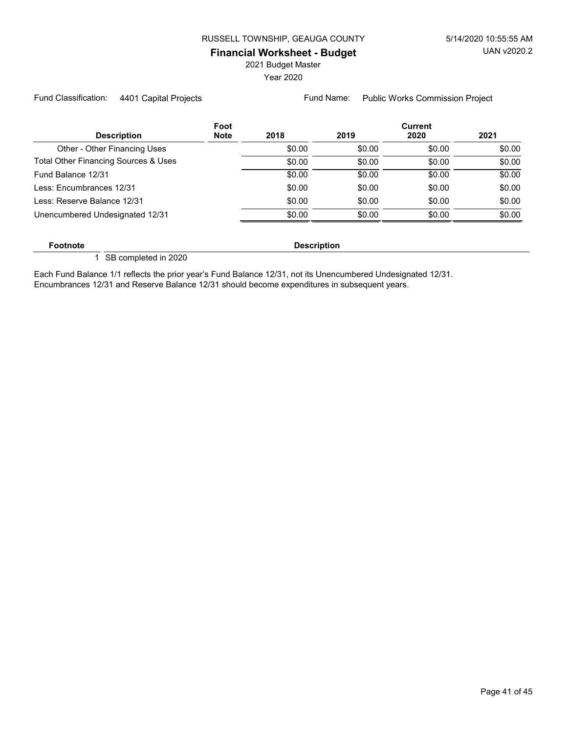2021 Budget Master

Year 2020

Fund Classification: 4401 Capital Projects Fund Name: Public Works Commission Project

|                                      | Foot        |        |        | <b>Current</b> |        |
|--------------------------------------|-------------|--------|--------|----------------|--------|
| <b>Description</b>                   | <b>Note</b> | 2018   | 2019   | 2020           | 2021   |
| Other - Other Financing Uses         |             | \$0.00 | \$0.00 | \$0.00         | \$0.00 |
| Total Other Financing Sources & Uses |             | \$0.00 | \$0.00 | \$0.00         | \$0.00 |
| Fund Balance 12/31                   |             | \$0.00 | \$0.00 | \$0.00         | \$0.00 |
| Less: Encumbrances 12/31             |             | \$0.00 | \$0.00 | \$0.00         | \$0.00 |
| Less: Reserve Balance 12/31          |             | \$0.00 | \$0.00 | \$0.00         | \$0.00 |
| Unencumbered Undesignated 12/31      |             | \$0.00 | \$0.00 | \$0.00         | \$0.00 |
|                                      |             |        |        |                |        |

**Footnote Description** 

1 SB completed in 2020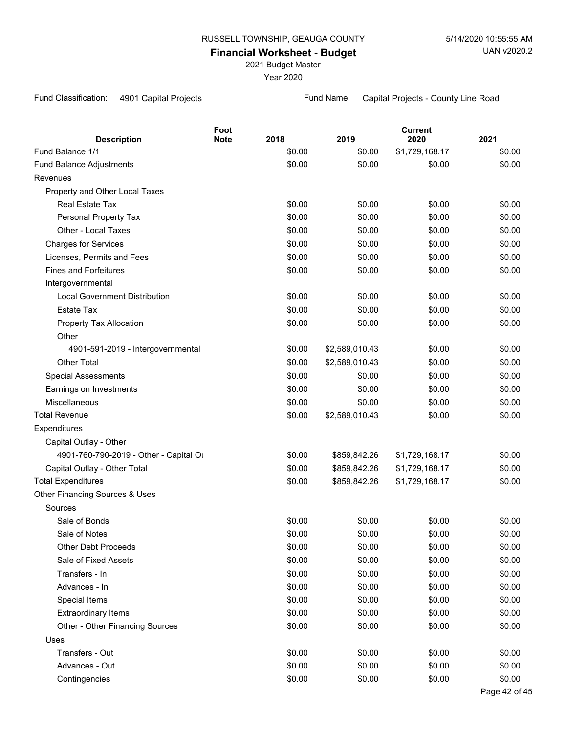2021 Budget Master

Year 2020

Fund Classification: 4901 Capital Projects Fund Name: Capital Projects - County Line Road

| <b>Description</b>                     | Foot<br><b>Note</b> | 2018   | 2019           | <b>Current</b><br>2020 | 2021          |
|----------------------------------------|---------------------|--------|----------------|------------------------|---------------|
| Fund Balance 1/1                       |                     | \$0.00 | \$0.00         | \$1,729,168.17         | \$0.00        |
| Fund Balance Adjustments               |                     | \$0.00 | \$0.00         | \$0.00                 | \$0.00        |
| Revenues                               |                     |        |                |                        |               |
| Property and Other Local Taxes         |                     |        |                |                        |               |
| Real Estate Tax                        |                     | \$0.00 | \$0.00         | \$0.00                 | \$0.00        |
| Personal Property Tax                  |                     | \$0.00 | \$0.00         | \$0.00                 | \$0.00        |
| Other - Local Taxes                    |                     | \$0.00 | \$0.00         | \$0.00                 | \$0.00        |
| <b>Charges for Services</b>            |                     | \$0.00 | \$0.00         | \$0.00                 | \$0.00        |
| Licenses, Permits and Fees             |                     | \$0.00 | \$0.00         | \$0.00                 | \$0.00        |
| <b>Fines and Forfeitures</b>           |                     | \$0.00 | \$0.00         | \$0.00                 | \$0.00        |
| Intergovernmental                      |                     |        |                |                        |               |
| <b>Local Government Distribution</b>   |                     | \$0.00 | \$0.00         | \$0.00                 | \$0.00        |
| <b>Estate Tax</b>                      |                     | \$0.00 | \$0.00         | \$0.00                 | \$0.00        |
| Property Tax Allocation                |                     | \$0.00 | \$0.00         | \$0.00                 | \$0.00        |
| Other                                  |                     |        |                |                        |               |
| 4901-591-2019 - Intergovernmental      |                     | \$0.00 | \$2,589,010.43 | \$0.00                 | \$0.00        |
| <b>Other Total</b>                     |                     | \$0.00 | \$2,589,010.43 | \$0.00                 | \$0.00        |
| <b>Special Assessments</b>             |                     | \$0.00 | \$0.00         | \$0.00                 | \$0.00        |
| Earnings on Investments                |                     | \$0.00 | \$0.00         | \$0.00                 | \$0.00        |
| Miscellaneous                          |                     | \$0.00 | \$0.00         | \$0.00                 | \$0.00        |
| <b>Total Revenue</b>                   |                     | \$0.00 | \$2,589,010.43 | \$0.00                 | \$0.00        |
| Expenditures                           |                     |        |                |                        |               |
| Capital Outlay - Other                 |                     |        |                |                        |               |
| 4901-760-790-2019 - Other - Capital Ou |                     | \$0.00 | \$859,842.26   | \$1,729,168.17         | \$0.00        |
| Capital Outlay - Other Total           |                     | \$0.00 | \$859,842.26   | \$1,729,168.17         | \$0.00        |
| <b>Total Expenditures</b>              |                     | \$0.00 | \$859,842.26   | \$1,729,168.17         | \$0.00        |
| Other Financing Sources & Uses         |                     |        |                |                        |               |
| Sources                                |                     |        |                |                        |               |
| Sale of Bonds                          |                     | \$0.00 | \$0.00         | \$0.00                 | \$0.00        |
| Sale of Notes                          |                     | \$0.00 | \$0.00         | \$0.00                 | \$0.00        |
| <b>Other Debt Proceeds</b>             |                     | \$0.00 | \$0.00         | \$0.00                 | \$0.00        |
| Sale of Fixed Assets                   |                     | \$0.00 | \$0.00         | \$0.00                 | \$0.00        |
| Transfers - In                         |                     | \$0.00 | \$0.00         | \$0.00                 | \$0.00        |
| Advances - In                          |                     | \$0.00 | \$0.00         | \$0.00                 | \$0.00        |
| Special Items                          |                     | \$0.00 | \$0.00         | \$0.00                 | \$0.00        |
| <b>Extraordinary Items</b>             |                     | \$0.00 | \$0.00         | \$0.00                 | \$0.00        |
| Other - Other Financing Sources        |                     | \$0.00 | \$0.00         | \$0.00                 | \$0.00        |
| Uses                                   |                     |        |                |                        |               |
| Transfers - Out                        |                     | \$0.00 | \$0.00         | \$0.00                 | \$0.00        |
| Advances - Out                         |                     | \$0.00 | \$0.00         | \$0.00                 | \$0.00        |
| Contingencies                          |                     | \$0.00 | \$0.00         | \$0.00                 | \$0.00        |
|                                        |                     |        |                |                        | Page 42 of 45 |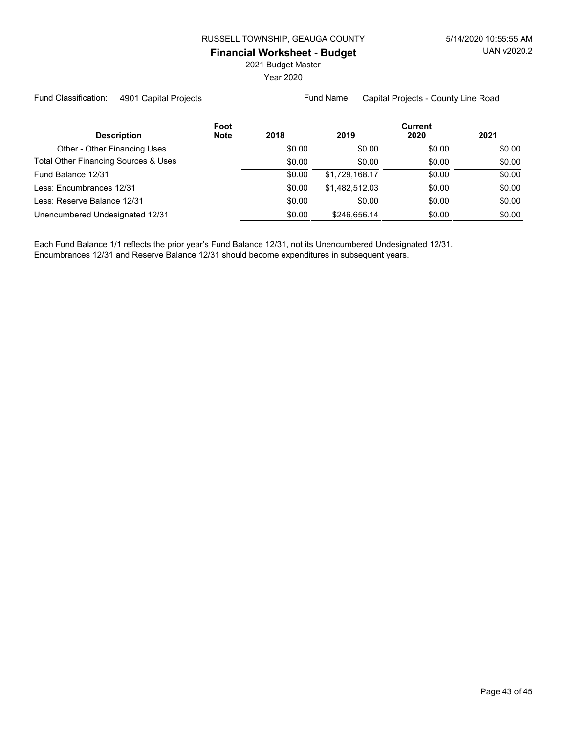2021 Budget Master

Year 2020

Fund Classification: 4901 Capital Projects Fund Name: Capital Projects - County Line Road

|                                      | Foot        |        | <b>Current</b> |        |        |  |
|--------------------------------------|-------------|--------|----------------|--------|--------|--|
| <b>Description</b>                   | <b>Note</b> | 2018   | 2019           | 2020   | 2021   |  |
| Other - Other Financing Uses         |             | \$0.00 | \$0.00         | \$0.00 | \$0.00 |  |
| Total Other Financing Sources & Uses |             | \$0.00 | \$0.00         | \$0.00 | \$0.00 |  |
| Fund Balance 12/31                   |             | \$0.00 | \$1,729,168.17 | \$0.00 | \$0.00 |  |
| Less: Encumbrances 12/31             |             | \$0.00 | \$1.482.512.03 | \$0.00 | \$0.00 |  |
| Less: Reserve Balance 12/31          |             | \$0.00 | \$0.00         | \$0.00 | \$0.00 |  |
| Unencumbered Undesignated 12/31      |             | \$0.00 | \$246.656.14   | \$0.00 | \$0.00 |  |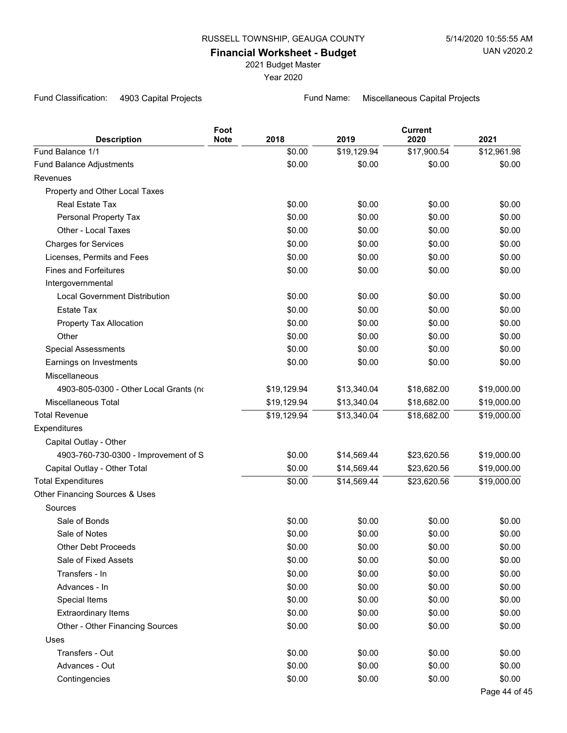2021 Budget Master

Year 2020

Fund Classification: 4903 Capital Projects Fund Name: Miscellaneous Capital Projects

| <b>Description</b>                     | Foot<br><b>Note</b> | 2018        | 2019        | <b>Current</b><br>2020 | 2021          |
|----------------------------------------|---------------------|-------------|-------------|------------------------|---------------|
| Fund Balance 1/1                       |                     | \$0.00      | \$19,129.94 | \$17,900.54            | \$12,961.98   |
| Fund Balance Adjustments               |                     | \$0.00      | \$0.00      | \$0.00                 | \$0.00        |
| Revenues                               |                     |             |             |                        |               |
| Property and Other Local Taxes         |                     |             |             |                        |               |
| Real Estate Tax                        |                     | \$0.00      | \$0.00      | \$0.00                 | \$0.00        |
| Personal Property Tax                  |                     | \$0.00      | \$0.00      | \$0.00                 | \$0.00        |
| Other - Local Taxes                    |                     | \$0.00      | \$0.00      | \$0.00                 | \$0.00        |
| <b>Charges for Services</b>            |                     | \$0.00      | \$0.00      | \$0.00                 | \$0.00        |
| Licenses, Permits and Fees             |                     | \$0.00      | \$0.00      | \$0.00                 | \$0.00        |
| <b>Fines and Forfeitures</b>           |                     | \$0.00      | \$0.00      | \$0.00                 | \$0.00        |
| Intergovernmental                      |                     |             |             |                        |               |
| <b>Local Government Distribution</b>   |                     | \$0.00      | \$0.00      | \$0.00                 | \$0.00        |
| <b>Estate Tax</b>                      |                     | \$0.00      | \$0.00      | \$0.00                 | \$0.00        |
| Property Tax Allocation                |                     | \$0.00      | \$0.00      | \$0.00                 | \$0.00        |
| Other                                  |                     | \$0.00      | \$0.00      | \$0.00                 | \$0.00        |
| <b>Special Assessments</b>             |                     | \$0.00      | \$0.00      | \$0.00                 | \$0.00        |
| Earnings on Investments                |                     | \$0.00      | \$0.00      | \$0.00                 | \$0.00        |
| Miscellaneous                          |                     |             |             |                        |               |
| 4903-805-0300 - Other Local Grants (no |                     | \$19,129.94 | \$13,340.04 | \$18,682.00            | \$19,000.00   |
| <b>Miscellaneous Total</b>             |                     | \$19,129.94 | \$13,340.04 | \$18,682.00            | \$19,000.00   |
| <b>Total Revenue</b>                   |                     | \$19,129.94 | \$13,340.04 | \$18,682.00            | \$19,000.00   |
| Expenditures                           |                     |             |             |                        |               |
| Capital Outlay - Other                 |                     |             |             |                        |               |
| 4903-760-730-0300 - Improvement of S   |                     | \$0.00      | \$14,569.44 | \$23,620.56            | \$19,000.00   |
| Capital Outlay - Other Total           |                     | \$0.00      | \$14,569.44 | \$23,620.56            | \$19,000.00   |
| <b>Total Expenditures</b>              |                     | \$0.00      | \$14,569.44 | \$23,620.56            | \$19,000.00   |
| Other Financing Sources & Uses         |                     |             |             |                        |               |
| Sources                                |                     |             |             |                        |               |
| Sale of Bonds                          |                     | \$0.00      | \$0.00      | \$0.00                 | \$0.00        |
| Sale of Notes                          |                     | \$0.00      | \$0.00      | \$0.00                 | \$0.00        |
| <b>Other Debt Proceeds</b>             |                     | \$0.00      | \$0.00      | \$0.00                 | \$0.00        |
| Sale of Fixed Assets                   |                     | \$0.00      | \$0.00      | \$0.00                 | \$0.00        |
| Transfers - In                         |                     | \$0.00      | \$0.00      | \$0.00                 | \$0.00        |
| Advances - In                          |                     | \$0.00      | \$0.00      | \$0.00                 | \$0.00        |
| Special Items                          |                     | \$0.00      | \$0.00      | \$0.00                 | \$0.00        |
| <b>Extraordinary Items</b>             |                     | \$0.00      | \$0.00      | \$0.00                 | \$0.00        |
| Other - Other Financing Sources        |                     | \$0.00      | \$0.00      | \$0.00                 | \$0.00        |
| Uses                                   |                     |             |             |                        |               |
| Transfers - Out                        |                     | \$0.00      | \$0.00      | \$0.00                 | \$0.00        |
| Advances - Out                         |                     | \$0.00      | \$0.00      | \$0.00                 | \$0.00        |
| Contingencies                          |                     | \$0.00      | \$0.00      | \$0.00                 | \$0.00        |
|                                        |                     |             |             |                        | Page 44 of 45 |